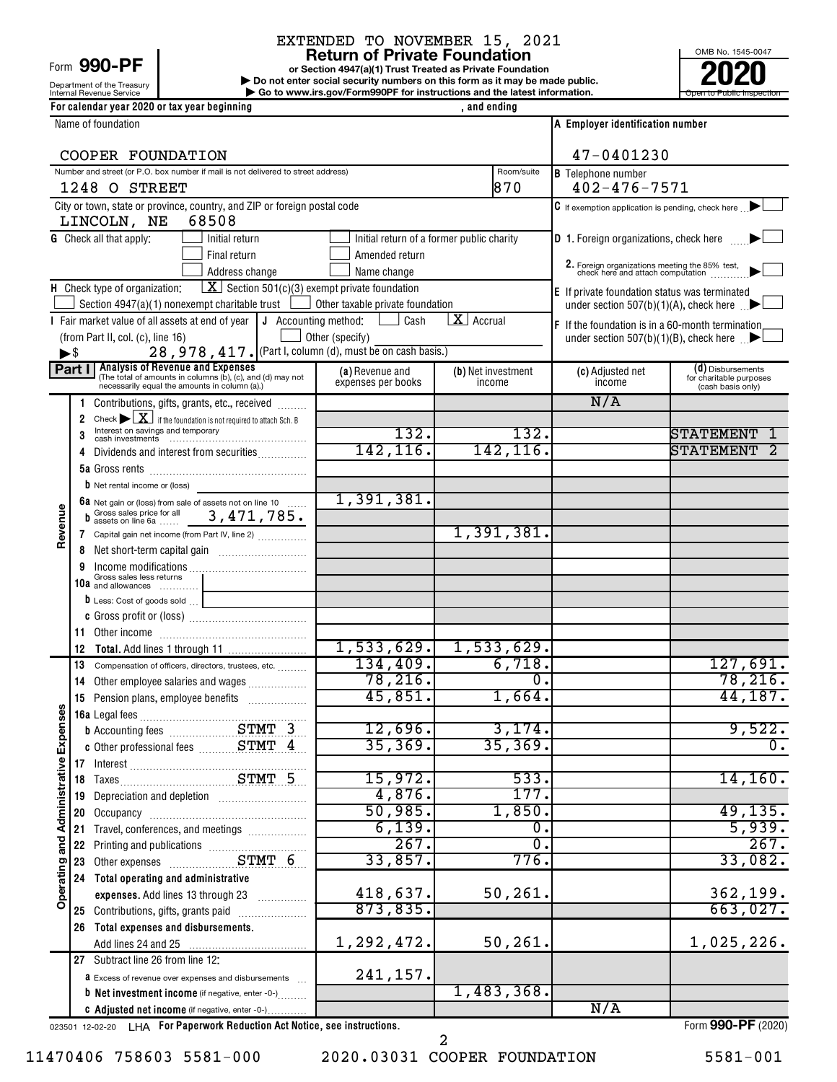# EXTENDED TO NOVEMBER 15, 2021

OMB No. 1545-0047

|         | Form 990-PF<br>Department of the Treasury<br>Internal Revenue Service                                             |                                                                                                                                                 | <b>Return of Private Foundation</b><br>or Section 4947(a)(1) Trust Treated as Private Foundation<br>Do not enter social security numbers on this form as it may be made public.<br>Go to www.irs.gov/Form990PF for instructions and the latest information. |                                 |            |                                                                                                                            | OMB No. 1545-0047<br>Open to Public II                            |
|---------|-------------------------------------------------------------------------------------------------------------------|-------------------------------------------------------------------------------------------------------------------------------------------------|-------------------------------------------------------------------------------------------------------------------------------------------------------------------------------------------------------------------------------------------------------------|---------------------------------|------------|----------------------------------------------------------------------------------------------------------------------------|-------------------------------------------------------------------|
|         | For calendar year 2020 or tax year beginning                                                                      |                                                                                                                                                 |                                                                                                                                                                                                                                                             | , and ending                    |            |                                                                                                                            |                                                                   |
|         | Name of foundation                                                                                                |                                                                                                                                                 |                                                                                                                                                                                                                                                             |                                 |            | A Employer identification number                                                                                           |                                                                   |
|         | COOPER FOUNDATION                                                                                                 |                                                                                                                                                 |                                                                                                                                                                                                                                                             |                                 |            | 47-0401230                                                                                                                 |                                                                   |
|         | 1248 O STREET                                                                                                     | Number and street (or P.O. box number if mail is not delivered to street address)                                                               |                                                                                                                                                                                                                                                             | 870                             | Room/suite | <b>B</b> Telephone number<br>$402 - 476 - 7571$                                                                            |                                                                   |
|         | LINCOLN, NE                                                                                                       | City or town, state or province, country, and ZIP or foreign postal code<br>68508                                                               |                                                                                                                                                                                                                                                             |                                 |            | $\mathsf C$ If exemption application is pending, check here                                                                |                                                                   |
|         | <b>G</b> Check all that apply:                                                                                    | Initial return<br>Final return<br>Address change                                                                                                | Initial return of a former public charity<br>Amended return<br>Name change                                                                                                                                                                                  |                                 |            | D 1. Foreign organizations, check here<br>2. Foreign organizations meeting the 85% test, check here and attach computation |                                                                   |
|         | H Check type of organization:                                                                                     | $\boxed{\mathbf{X}}$ Section 501(c)(3) exempt private foundation<br>Section 4947(a)(1) nonexempt charitable trust                               | $\rfloor$ Other taxable private foundation                                                                                                                                                                                                                  |                                 |            | E If private foundation status was terminated<br>under section $507(b)(1)(A)$ , check here $\Box$                          |                                                                   |
|         | I Fair market value of all assets at end of year<br>(from Part II, col. (c), line 16)<br>$\blacktriangleright$ \$ | J Accounting method:<br>28, 978, 417. (Part I, column (d), must be on cash basis.)                                                              | Cash<br>Other (specify)                                                                                                                                                                                                                                     | $\overline{\mathbf{X}}$ Accrual |            | <b>F</b> If the foundation is in a 60-month termination<br>under section 507(b)(1)(B), check here $\rightarrow$            |                                                                   |
|         | Part I                                                                                                            | Analysis of Revenue and Expenses<br>(The total of amounts in columns (b), (c), and (d) may not<br>necessarily equal the amounts in column (a).) | (a) Revenue and<br>expenses per books                                                                                                                                                                                                                       | (b) Net investment<br>income    |            | (c) Adjusted net<br>income                                                                                                 | (d) Disbursements<br>for charitable purposes<br>(cash basis only) |
|         |                                                                                                                   | Contributions, gifts, grants, etc., received                                                                                                    |                                                                                                                                                                                                                                                             |                                 |            | N/A                                                                                                                        |                                                                   |
|         | $\overline{2}$                                                                                                    | Check $\blacktriangleright \boxed{\mathbf{X}}$ if the foundation is not required to attach Sch. B                                               |                                                                                                                                                                                                                                                             |                                 |            |                                                                                                                            |                                                                   |
|         |                                                                                                                   |                                                                                                                                                 | 132.                                                                                                                                                                                                                                                        |                                 | 132.       |                                                                                                                            | <b>STATEMENT</b>                                                  |
|         | 4                                                                                                                 | Dividends and interest from securities                                                                                                          | 142, 116.                                                                                                                                                                                                                                                   |                                 | 142, 116.  |                                                                                                                            | STATEMENT                                                         |
|         |                                                                                                                   |                                                                                                                                                 |                                                                                                                                                                                                                                                             |                                 |            |                                                                                                                            |                                                                   |
|         | <b>b</b> Net rental income or (loss)                                                                              |                                                                                                                                                 |                                                                                                                                                                                                                                                             |                                 |            |                                                                                                                            |                                                                   |
|         |                                                                                                                   | 6a Net gain or (loss) from sale of assets not on line 10<br>b Gross sales price for all 3, 471, 785.                                            | 1,391,381.                                                                                                                                                                                                                                                  |                                 |            |                                                                                                                            |                                                                   |
|         |                                                                                                                   |                                                                                                                                                 |                                                                                                                                                                                                                                                             |                                 |            |                                                                                                                            |                                                                   |
| Revenue |                                                                                                                   | 7 Capital gain net income (from Part IV, line 2)                                                                                                |                                                                                                                                                                                                                                                             | 1,391,381.                      |            |                                                                                                                            |                                                                   |
|         | 8                                                                                                                 |                                                                                                                                                 |                                                                                                                                                                                                                                                             |                                 |            |                                                                                                                            |                                                                   |
|         | Gross sales less returns<br>10a and allowances                                                                    |                                                                                                                                                 |                                                                                                                                                                                                                                                             |                                 |            |                                                                                                                            |                                                                   |
|         | <b>b</b> Less: Cost of goods sold                                                                                 |                                                                                                                                                 |                                                                                                                                                                                                                                                             |                                 |            |                                                                                                                            |                                                                   |
|         | c Gross profit or (loss)                                                                                          |                                                                                                                                                 |                                                                                                                                                                                                                                                             |                                 |            |                                                                                                                            |                                                                   |

|                          | Address change                                                                                                                                         | Name change                             |                                     | 2. Foreign organizations meeting the 85% test,<br>check here and attach computation |                                                                   |
|--------------------------|--------------------------------------------------------------------------------------------------------------------------------------------------------|-----------------------------------------|-------------------------------------|-------------------------------------------------------------------------------------|-------------------------------------------------------------------|
|                          | $\boxed{\textbf{X}}$ Section 501(c)(3) exempt private foundation<br>H Check type of organization:                                                      |                                         |                                     | E If private foundation status was terminated                                       |                                                                   |
|                          | Section $4947(a)(1)$ nonexempt charitable trust $\left  \right $                                                                                       | $\Box$ Other taxable private foundation |                                     |                                                                                     | under section 507(b)(1)(A), check here $\Box$                     |
|                          | Fair market value of all assets at end of year  <br>J Accounting method:                                                                               | Cash                                    | $\boxed{\mathbf{X}}$ Accrual        | F If the foundation is in a 60-month termination                                    |                                                                   |
|                          | (from Part II, col. (c), line 16)                                                                                                                      | Other (specify)                         |                                     |                                                                                     | under section 507(b)(1)(B), check here $\Box$                     |
| $\blacktriangleright$ \$ | 28, 978, 417. (Part I, column (d), must be on cash basis.)                                                                                             |                                         |                                     |                                                                                     |                                                                   |
|                          | Analysis of Revenue and Expenses<br>Part I<br>(The total of amounts in columns (b), (c), and (d) may not necessarily equal the amounts in column (a).) | (a) Revenue and<br>expenses per books   | <b>(b)</b> Net investment<br>income | (c) Adjusted net<br>income                                                          | (d) Disbursements<br>for charitable purposes<br>(cash basis only) |
|                          | Contributions, gifts, grants, etc., received<br>1.                                                                                                     |                                         |                                     | N/A                                                                                 |                                                                   |
|                          | 2 Check $\triangleright \boxed{\textbf{X}}$ if the foundation is not required to attach Sch. B                                                         |                                         |                                     |                                                                                     |                                                                   |
|                          |                                                                                                                                                        | 132.                                    | 132.                                |                                                                                     | <b>STATEMENT</b>                                                  |
|                          | Dividends and interest from securities<br>4                                                                                                            | 142, 116.                               | 142,116.                            |                                                                                     | <b>STATEMENT</b>                                                  |
|                          |                                                                                                                                                        |                                         |                                     |                                                                                     |                                                                   |
|                          | <b>b</b> Net rental income or (loss)                                                                                                                   |                                         |                                     |                                                                                     |                                                                   |
|                          |                                                                                                                                                        | 1,391,381.                              |                                     |                                                                                     |                                                                   |
|                          | 6a Net gain or (loss) from sale of assets not on line 10<br>b Gross sales price for all 3, 471, 785.                                                   |                                         |                                     |                                                                                     |                                                                   |
| Revenue                  | 7 Capital gain net income (from Part IV, line 2)                                                                                                       |                                         | 1,391,381.                          |                                                                                     |                                                                   |
|                          | 8                                                                                                                                                      |                                         |                                     |                                                                                     |                                                                   |
|                          | 9                                                                                                                                                      |                                         |                                     |                                                                                     |                                                                   |
|                          | Gross sales less returns<br>10a and allowances                                                                                                         |                                         |                                     |                                                                                     |                                                                   |
|                          | <b>b</b> Less: Cost of goods sold $\ldots$                                                                                                             |                                         |                                     |                                                                                     |                                                                   |
|                          |                                                                                                                                                        |                                         |                                     |                                                                                     |                                                                   |
|                          | 11                                                                                                                                                     |                                         |                                     |                                                                                     |                                                                   |
|                          | 12                                                                                                                                                     | 1,533,629.                              | 1,533,629.                          |                                                                                     |                                                                   |
|                          | 13<br>Compensation of officers, directors, trustees, etc.                                                                                              | 134, 409.                               | 6,718.                              |                                                                                     | 127,691.                                                          |
|                          | Other employee salaries and wages<br>14                                                                                                                | 78, 216.                                | $\overline{0}$ .                    |                                                                                     | 78, 216.                                                          |
|                          | Pension plans, employee benefits<br>15                                                                                                                 | 45,851.                                 | 1,664.                              |                                                                                     | 44,187.                                                           |
|                          |                                                                                                                                                        |                                         |                                     |                                                                                     |                                                                   |
|                          | <b>b</b> Accounting fees <b>STMT</b> 3                                                                                                                 | 12,696.                                 | 3,174.                              |                                                                                     | 9,522.                                                            |
|                          |                                                                                                                                                        | 35, 369.                                | 35, 369.                            |                                                                                     | $\overline{0}$ .                                                  |
|                          |                                                                                                                                                        |                                         |                                     |                                                                                     |                                                                   |
|                          |                                                                                                                                                        | 15,972.                                 | 533.                                |                                                                                     | 14,160.                                                           |
| Administrative Expenses  | 19                                                                                                                                                     | 4,876.                                  | 177.                                |                                                                                     |                                                                   |
|                          | 20                                                                                                                                                     | 50,985.                                 | 1,850.                              |                                                                                     | 49, 135.                                                          |
|                          | Travel, conferences, and meetings<br>21                                                                                                                | 6,139.                                  | о.                                  |                                                                                     | 5,939.                                                            |
| and                      |                                                                                                                                                        | 267.                                    | $\overline{0}$ .                    |                                                                                     | 267.                                                              |
| Ō)                       |                                                                                                                                                        | 33,857.                                 | 776.                                |                                                                                     | 33,082.                                                           |
|                          | 24 Total operating and administrative                                                                                                                  |                                         |                                     |                                                                                     |                                                                   |
| Operati                  |                                                                                                                                                        | 418,637.                                | 50, 261.                            |                                                                                     | 362, 199.                                                         |
|                          | expenses. Add lines 13 through 23<br>25 Contributions, gifts, grants paid                                                                              | 873, 835.                               |                                     |                                                                                     | 663,027.                                                          |
|                          |                                                                                                                                                        |                                         |                                     |                                                                                     |                                                                   |
|                          | 26 Total expenses and disbursements.                                                                                                                   | 1,292,472.                              | 50, 261.                            |                                                                                     | 1,025,226.                                                        |
|                          | Add lines 24 and 25                                                                                                                                    |                                         |                                     |                                                                                     |                                                                   |
|                          | 27 Subtract line 26 from line 12:                                                                                                                      |                                         |                                     |                                                                                     |                                                                   |
|                          | <b>a</b> Excess of revenue over expenses and disbursements                                                                                             | 241,157.                                | 1,483,368.                          |                                                                                     |                                                                   |
|                          | <b>b</b> Net investment income (if negative, enter -0-)                                                                                                |                                         |                                     |                                                                                     |                                                                   |
|                          | C Adjusted net income (if negative, enter -0-)                                                                                                         |                                         |                                     | N/A                                                                                 |                                                                   |
|                          | 023501 12-02-20 LHA For Paperwork Reduction Act Notice, see instructions.                                                                              |                                         |                                     |                                                                                     | Form 990-PF (2020)                                                |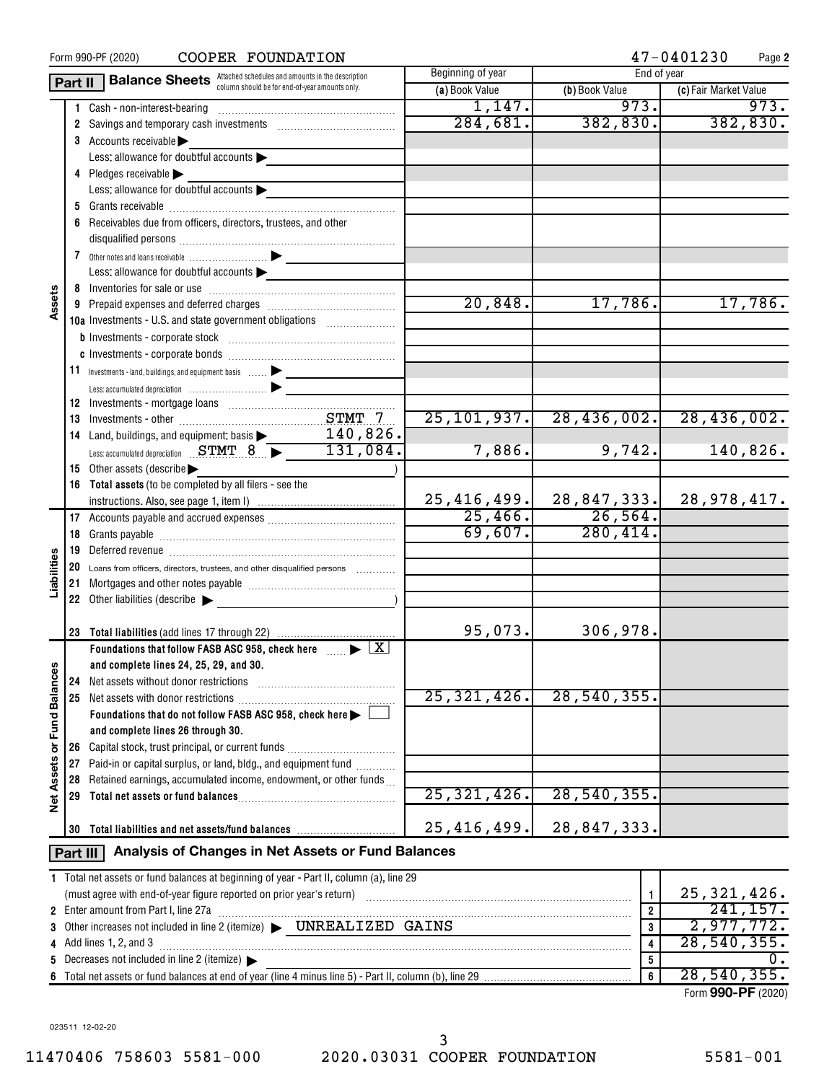|                                                                                                         |          | COOPER FOUNDATION<br>Form 990-PF (2020)                                                                                                                                                                                        |                         |                                           | 47-0401230<br>Page 2  |  |  |  |
|---------------------------------------------------------------------------------------------------------|----------|--------------------------------------------------------------------------------------------------------------------------------------------------------------------------------------------------------------------------------|-------------------------|-------------------------------------------|-----------------------|--|--|--|
| Beginning of year<br><b>Balance Sheets</b> Attached schedules and amounts in the description<br>Part II |          |                                                                                                                                                                                                                                | End of year             |                                           |                       |  |  |  |
|                                                                                                         |          | column should be for end-of-year amounts only.                                                                                                                                                                                 | (a) Book Value          | (b) Book Value                            | (c) Fair Market Value |  |  |  |
|                                                                                                         |          | Cash - non-interest-bearing                                                                                                                                                                                                    | 1,147.                  | 973.                                      | 973.                  |  |  |  |
|                                                                                                         |          |                                                                                                                                                                                                                                | 284,681.                | 382, 830.                                 | 382, 830.             |  |  |  |
|                                                                                                         |          | 3 Accounts receivable                                                                                                                                                                                                          |                         |                                           |                       |  |  |  |
|                                                                                                         |          | Less: allowance for doubtful accounts $\blacktriangleright$                                                                                                                                                                    |                         |                                           |                       |  |  |  |
|                                                                                                         |          | 4 Pledges receivable $\blacktriangleright$                                                                                                                                                                                     |                         |                                           |                       |  |  |  |
|                                                                                                         |          | Less: allowance for doubtful accounts                                                                                                                                                                                          |                         |                                           |                       |  |  |  |
|                                                                                                         | 5        |                                                                                                                                                                                                                                |                         |                                           |                       |  |  |  |
|                                                                                                         |          | 6 Receivables due from officers, directors, trustees, and other                                                                                                                                                                |                         |                                           |                       |  |  |  |
|                                                                                                         |          |                                                                                                                                                                                                                                |                         |                                           |                       |  |  |  |
|                                                                                                         |          |                                                                                                                                                                                                                                |                         |                                           |                       |  |  |  |
|                                                                                                         |          |                                                                                                                                                                                                                                |                         |                                           |                       |  |  |  |
|                                                                                                         |          | Less: allowance for doubtful accounts                                                                                                                                                                                          |                         |                                           |                       |  |  |  |
| Assets                                                                                                  |          |                                                                                                                                                                                                                                |                         |                                           |                       |  |  |  |
|                                                                                                         |          |                                                                                                                                                                                                                                | 20,848.                 | 17,786.                                   | 17,786.               |  |  |  |
|                                                                                                         |          | 10a Investments - U.S. and state government obligations                                                                                                                                                                        |                         |                                           |                       |  |  |  |
|                                                                                                         |          |                                                                                                                                                                                                                                |                         |                                           |                       |  |  |  |
|                                                                                                         |          |                                                                                                                                                                                                                                |                         |                                           |                       |  |  |  |
|                                                                                                         |          | 11 Investments - land, buildings, and equipment: basis  > _______________                                                                                                                                                      |                         |                                           |                       |  |  |  |
|                                                                                                         |          | Less: accumulated depreciation (1999) (1999) (1999) (1999) (1999) (1999) (1999) (1999) (1999) (1999) (1999) (1                                                                                                                 |                         |                                           |                       |  |  |  |
|                                                                                                         |          |                                                                                                                                                                                                                                |                         |                                           |                       |  |  |  |
|                                                                                                         |          |                                                                                                                                                                                                                                | 25, 101, 937.           | 28, 436, 002.                             | 28,436,002.           |  |  |  |
|                                                                                                         |          | 140,826.<br>14 Land, buildings, and equipment: basis >                                                                                                                                                                         |                         |                                           |                       |  |  |  |
|                                                                                                         |          | Less: accumulated depreciation STMT 8 > 131,084.                                                                                                                                                                               | 7,886.                  | 9,742.                                    | 140,826.              |  |  |  |
|                                                                                                         |          | 15 Other assets (describe                                                                                                                                                                                                      |                         |                                           |                       |  |  |  |
|                                                                                                         |          | 16 Total assets (to be completed by all filers - see the                                                                                                                                                                       |                         |                                           |                       |  |  |  |
|                                                                                                         |          |                                                                                                                                                                                                                                |                         |                                           | 28,978,417.           |  |  |  |
|                                                                                                         |          |                                                                                                                                                                                                                                |                         | $\frac{25,416,499.}{25,466.}$ 28,847,333. |                       |  |  |  |
|                                                                                                         | 18       |                                                                                                                                                                                                                                | 69,607.                 | 280, 414.                                 |                       |  |  |  |
|                                                                                                         | 19       |                                                                                                                                                                                                                                |                         |                                           |                       |  |  |  |
|                                                                                                         |          | Deferred revenue information and contain an account of the contract of the contact of the contact of the contact of the contact of the contact of the contact of the contact of the contact of the contact of the contact of t |                         |                                           |                       |  |  |  |
| Liabilities                                                                                             | 20       | Loans from officers, directors, trustees, and other disqualified persons [                                                                                                                                                     |                         |                                           |                       |  |  |  |
|                                                                                                         |          |                                                                                                                                                                                                                                |                         |                                           |                       |  |  |  |
|                                                                                                         |          | 22 Other liabilities (describe >                                                                                                                                                                                               |                         |                                           |                       |  |  |  |
|                                                                                                         |          |                                                                                                                                                                                                                                |                         |                                           |                       |  |  |  |
|                                                                                                         |          |                                                                                                                                                                                                                                | 95,073.                 | 306,978.                                  |                       |  |  |  |
|                                                                                                         |          | Foundations that follow FASB ASC 958, check here $\Box$ $\blacktriangleright$ $\Box X$                                                                                                                                         |                         |                                           |                       |  |  |  |
|                                                                                                         |          | and complete lines 24, 25, 29, and 30.                                                                                                                                                                                         |                         |                                           |                       |  |  |  |
|                                                                                                         | 24       | Net assets without donor restrictions                                                                                                                                                                                          |                         |                                           |                       |  |  |  |
| <b>Fund Balances</b>                                                                                    |          | 25 Net assets with donor restrictions                                                                                                                                                                                          | 25, 321, 426.           | 28, 540, 355.                             |                       |  |  |  |
|                                                                                                         |          | Foundations that do not follow FASB ASC 958, check here $\blacktriangleright$                                                                                                                                                  |                         |                                           |                       |  |  |  |
|                                                                                                         |          | and complete lines 26 through 30.                                                                                                                                                                                              |                         |                                           |                       |  |  |  |
| ৯                                                                                                       |          |                                                                                                                                                                                                                                |                         |                                           |                       |  |  |  |
|                                                                                                         |          | 27 Paid-in or capital surplus, or land, bldg., and equipment fund                                                                                                                                                              |                         |                                           |                       |  |  |  |
| Net Assets                                                                                              | 28       | Retained earnings, accumulated income, endowment, or other funds                                                                                                                                                               |                         |                                           |                       |  |  |  |
|                                                                                                         | 29       |                                                                                                                                                                                                                                | 25, 321, 426.           | 28,540,355.                               |                       |  |  |  |
|                                                                                                         |          |                                                                                                                                                                                                                                |                         |                                           |                       |  |  |  |
|                                                                                                         | 30       | Total liabilities and net assets/fund balances                                                                                                                                                                                 | 25,416,499.             | 28,847,333.                               |                       |  |  |  |
|                                                                                                         | Part III | Analysis of Changes in Net Assets or Fund Balances                                                                                                                                                                             |                         |                                           |                       |  |  |  |
|                                                                                                         |          | 1 Total net assets or fund balances at beginning of year - Part II, column (a), line 29                                                                                                                                        |                         |                                           |                       |  |  |  |
|                                                                                                         |          |                                                                                                                                                                                                                                |                         | 1                                         | 25, 321, 426.         |  |  |  |
|                                                                                                         |          | 2 Enter amount from Part I, line 27a                                                                                                                                                                                           | $\overline{\mathbf{2}}$ | 241, 157.                                 |                       |  |  |  |
|                                                                                                         |          | Other increases not included in line 2 (itemize) > UNREALIZED GAINS                                                                                                                                                            |                         |                                           | 2,977,772.            |  |  |  |
| 3                                                                                                       |          |                                                                                                                                                                                                                                |                         | 3                                         | 28, 540, 355.         |  |  |  |
| 4                                                                                                       |          | Add lines 1, 2, and 3                                                                                                                                                                                                          |                         | 4                                         |                       |  |  |  |
| 5                                                                                                       |          | Decreases not included in line 2 (itemize)                                                                                                                                                                                     |                         | 5                                         | 0.<br>28,540,355.     |  |  |  |
| 6                                                                                                       |          |                                                                                                                                                                                                                                |                         | 6                                         |                       |  |  |  |

Form (2020) **990-PF**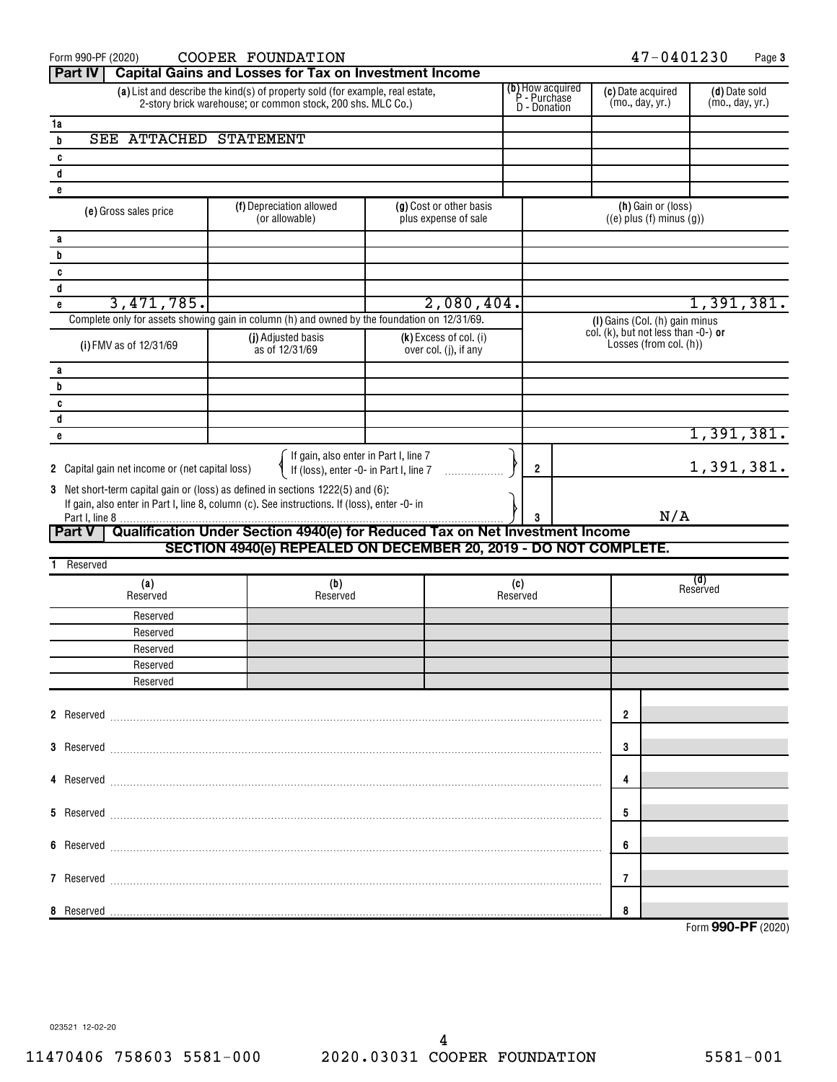| Form 990-PF (2020)                                                                                                                                                                                                                  | COOPER FOUNDATION                                                                                                                            |                                                 |                 |                                                  |                                        | 47-0401230                                            |                                  | Page 3     |
|-------------------------------------------------------------------------------------------------------------------------------------------------------------------------------------------------------------------------------------|----------------------------------------------------------------------------------------------------------------------------------------------|-------------------------------------------------|-----------------|--------------------------------------------------|----------------------------------------|-------------------------------------------------------|----------------------------------|------------|
| Part IV                                                                                                                                                                                                                             | <b>Capital Gains and Losses for Tax on Investment Income</b>                                                                                 |                                                 |                 |                                                  |                                        |                                                       |                                  |            |
|                                                                                                                                                                                                                                     | (a) List and describe the kind(s) of property sold (for example, real estate,<br>2-story brick warehouse; or common stock, 200 shs. MLC Co.) |                                                 |                 | (b) How acquired<br>P - Purchase<br>D - Donation | (c) Date acquired<br>(mo., day, yr.)   |                                                       | (d) Date sold<br>(mo., day, yr.) |            |
| 1a                                                                                                                                                                                                                                  |                                                                                                                                              |                                                 |                 |                                                  |                                        |                                                       |                                  |            |
| <b>SEE ATTACHED</b><br>b                                                                                                                                                                                                            | <b>STATEMENT</b>                                                                                                                             |                                                 |                 |                                                  |                                        |                                                       |                                  |            |
| C                                                                                                                                                                                                                                   |                                                                                                                                              |                                                 |                 |                                                  |                                        |                                                       |                                  |            |
| d                                                                                                                                                                                                                                   |                                                                                                                                              |                                                 |                 |                                                  |                                        |                                                       |                                  |            |
| e                                                                                                                                                                                                                                   |                                                                                                                                              |                                                 |                 |                                                  |                                        |                                                       |                                  |            |
| (e) Gross sales price                                                                                                                                                                                                               | (f) Depreciation allowed<br>(or allowable)                                                                                                   | (g) Cost or other basis<br>plus expense of sale |                 |                                                  |                                        | (h) Gain or (loss)<br>$((e)$ plus $(f)$ minus $(g)$ ) |                                  |            |
| а                                                                                                                                                                                                                                   |                                                                                                                                              |                                                 |                 |                                                  |                                        |                                                       |                                  |            |
| b                                                                                                                                                                                                                                   |                                                                                                                                              |                                                 |                 |                                                  |                                        |                                                       |                                  |            |
| C                                                                                                                                                                                                                                   |                                                                                                                                              |                                                 |                 |                                                  |                                        |                                                       |                                  |            |
| d                                                                                                                                                                                                                                   |                                                                                                                                              |                                                 |                 |                                                  |                                        |                                                       |                                  |            |
| 3,471,785.<br>e                                                                                                                                                                                                                     | Complete only for assets showing gain in column (h) and owned by the foundation on 12/31/69.                                                 | 2,080,404.                                      |                 |                                                  |                                        |                                                       |                                  | 1,391,381. |
|                                                                                                                                                                                                                                     |                                                                                                                                              |                                                 |                 |                                                  | col. (k), but not less than $-0$ -) or | (I) Gains (Col. (h) gain minus                        |                                  |            |
| (i) FMV as of 12/31/69                                                                                                                                                                                                              | (j) Adjusted basis<br>as of 12/31/69                                                                                                         | (k) Excess of col. (i)<br>over col. (j), if any |                 |                                                  |                                        | Losses (from col. (h))                                |                                  |            |
| а                                                                                                                                                                                                                                   |                                                                                                                                              |                                                 |                 |                                                  |                                        |                                                       |                                  |            |
| b                                                                                                                                                                                                                                   |                                                                                                                                              |                                                 |                 |                                                  |                                        |                                                       |                                  |            |
| C                                                                                                                                                                                                                                   |                                                                                                                                              |                                                 |                 |                                                  |                                        |                                                       |                                  |            |
| d                                                                                                                                                                                                                                   |                                                                                                                                              |                                                 |                 |                                                  |                                        |                                                       |                                  | 1,391,381. |
| e                                                                                                                                                                                                                                   |                                                                                                                                              |                                                 |                 |                                                  |                                        |                                                       |                                  |            |
| 2 Capital gain net income or (net capital loss)                                                                                                                                                                                     | If gain, also enter in Part I, line 7<br>If (loss), enter -0- in Part I, line 7                                                              |                                                 |                 | 2                                                |                                        |                                                       |                                  | 1,391,381. |
|                                                                                                                                                                                                                                     |                                                                                                                                              |                                                 |                 |                                                  |                                        |                                                       |                                  |            |
| 3 Net short-term capital gain or (loss) as defined in sections 1222(5) and (6):                                                                                                                                                     | If gain, also enter in Part I, line 8, column (c). See instructions. If (loss), enter -0- in                                                 |                                                 |                 |                                                  |                                        |                                                       |                                  |            |
|                                                                                                                                                                                                                                     |                                                                                                                                              |                                                 |                 |                                                  | N/A                                    |                                                       |                                  |            |
| <b>Part V</b>                                                                                                                                                                                                                       | Qualification Under Section 4940(e) for Reduced Tax on Net Investment Income                                                                 |                                                 |                 |                                                  |                                        |                                                       |                                  |            |
|                                                                                                                                                                                                                                     | SECTION 4940(e) REPEALED ON DECEMBER 20, 2019 - DO NOT COMPLETE.                                                                             |                                                 |                 |                                                  |                                        |                                                       |                                  |            |
| Reserved                                                                                                                                                                                                                            |                                                                                                                                              |                                                 |                 |                                                  |                                        |                                                       |                                  |            |
| (a)<br>Reserved                                                                                                                                                                                                                     | (b)<br>Reserved                                                                                                                              |                                                 | (c)<br>Reserved |                                                  |                                        |                                                       | (d)<br>Reserved                  |            |
| Reserved                                                                                                                                                                                                                            |                                                                                                                                              |                                                 |                 |                                                  |                                        |                                                       |                                  |            |
| Reserved                                                                                                                                                                                                                            |                                                                                                                                              |                                                 |                 |                                                  |                                        |                                                       |                                  |            |
| Reserved                                                                                                                                                                                                                            |                                                                                                                                              |                                                 |                 |                                                  |                                        |                                                       |                                  |            |
| Reserved                                                                                                                                                                                                                            |                                                                                                                                              |                                                 |                 |                                                  |                                        |                                                       |                                  |            |
| Reserved                                                                                                                                                                                                                            |                                                                                                                                              |                                                 |                 |                                                  |                                        |                                                       |                                  |            |
|                                                                                                                                                                                                                                     |                                                                                                                                              |                                                 |                 |                                                  |                                        |                                                       |                                  |            |
| 2 Reserved <b>Maria Communication Communication</b> and a construction of the construction of the construction of the construction of the construction of the construction of the construction of the construction of the construct |                                                                                                                                              |                                                 |                 |                                                  | $\overline{2}$                         |                                                       |                                  |            |
|                                                                                                                                                                                                                                     |                                                                                                                                              |                                                 |                 |                                                  |                                        |                                                       |                                  |            |
|                                                                                                                                                                                                                                     |                                                                                                                                              |                                                 |                 |                                                  | 3                                      |                                                       |                                  |            |
|                                                                                                                                                                                                                                     |                                                                                                                                              |                                                 |                 |                                                  |                                        |                                                       |                                  |            |
|                                                                                                                                                                                                                                     |                                                                                                                                              |                                                 |                 |                                                  | 4                                      |                                                       |                                  |            |
|                                                                                                                                                                                                                                     |                                                                                                                                              |                                                 |                 |                                                  | 5                                      |                                                       |                                  |            |
|                                                                                                                                                                                                                                     |                                                                                                                                              |                                                 |                 |                                                  |                                        |                                                       |                                  |            |
|                                                                                                                                                                                                                                     |                                                                                                                                              |                                                 |                 |                                                  | 6                                      |                                                       |                                  |            |
|                                                                                                                                                                                                                                     |                                                                                                                                              |                                                 |                 |                                                  | 7                                      |                                                       |                                  |            |
|                                                                                                                                                                                                                                     |                                                                                                                                              |                                                 |                 |                                                  |                                        |                                                       |                                  |            |
|                                                                                                                                                                                                                                     |                                                                                                                                              |                                                 |                 |                                                  | 8                                      |                                                       |                                  |            |

Form (2020) **990-PF**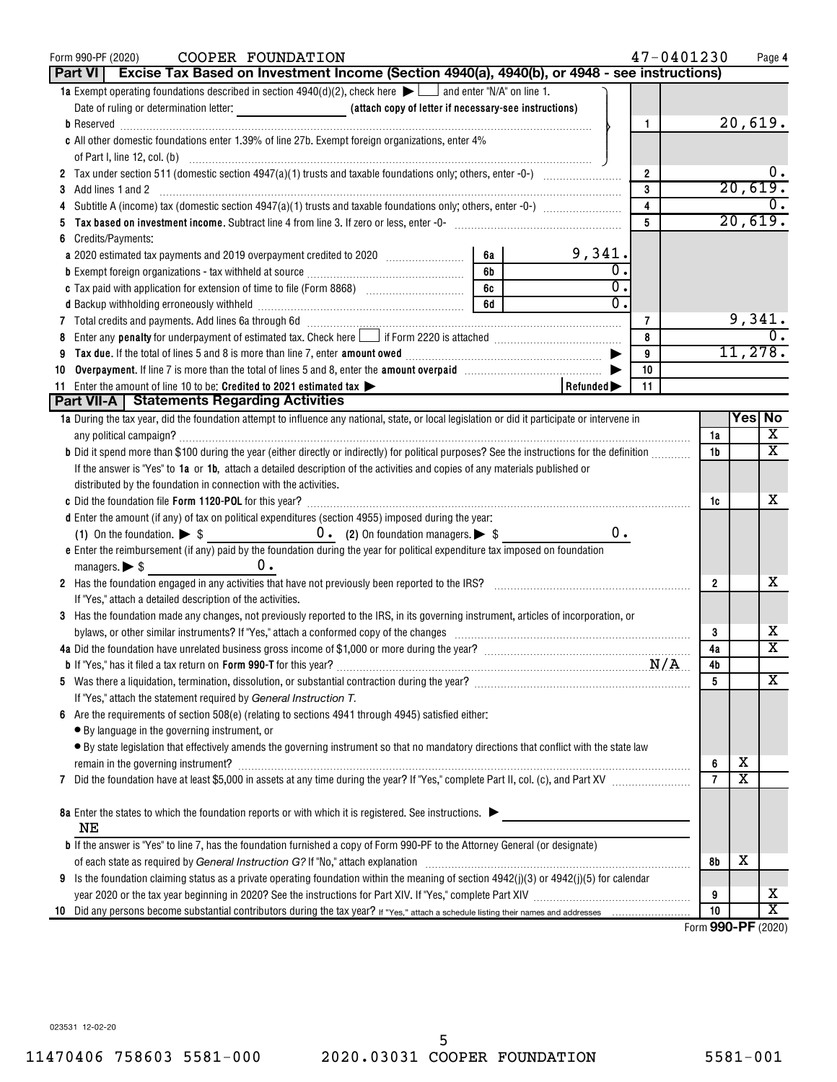| COOPER FOUNDATION<br>Form 990-PF (2020)                                                                                                                                                                                        |                                         |                  | 47-0401230              |                    |                       | Page 4                |
|--------------------------------------------------------------------------------------------------------------------------------------------------------------------------------------------------------------------------------|-----------------------------------------|------------------|-------------------------|--------------------|-----------------------|-----------------------|
| Part VI   Excise Tax Based on Investment Income (Section 4940(a), 4940(b), or 4948 - see instructions)                                                                                                                         |                                         |                  |                         |                    |                       |                       |
| 1a Exempt operating foundations described in section $4940(d)(2)$ , check here $\blacktriangleright$ and enter "N/A" on line 1.                                                                                                |                                         |                  |                         |                    |                       |                       |
|                                                                                                                                                                                                                                |                                         |                  |                         |                    |                       |                       |
|                                                                                                                                                                                                                                |                                         |                  | 1                       |                    | 20,619.               |                       |
| c All other domestic foundations enter 1.39% of line 27b. Exempt foreign organizations, enter 4%                                                                                                                               |                                         |                  |                         |                    |                       |                       |
|                                                                                                                                                                                                                                |                                         |                  |                         |                    |                       |                       |
| 2                                                                                                                                                                                                                              |                                         |                  | $\overline{2}$          |                    |                       | υ.                    |
| Add lines 1 and 2<br>3                                                                                                                                                                                                         |                                         |                  | 3                       |                    | 20,619.               |                       |
| 4                                                                                                                                                                                                                              |                                         |                  | $\overline{\mathbf{4}}$ |                    |                       | о.                    |
| 5                                                                                                                                                                                                                              |                                         |                  | 5                       |                    |                       | 20,619.               |
| Credits/Payments:<br>6                                                                                                                                                                                                         |                                         |                  |                         |                    |                       |                       |
| a 2020 estimated tax payments and 2019 overpayment credited to 2020 [11, 12, 12, 13, 13, 13, 13, 13, 13, 13, 1                                                                                                                 | 6а                                      | 9,341.           |                         |                    |                       |                       |
|                                                                                                                                                                                                                                | 6b                                      | $\overline{0}$ . |                         |                    |                       |                       |
|                                                                                                                                                                                                                                | 6с                                      | О.               |                         |                    |                       |                       |
|                                                                                                                                                                                                                                | 6d                                      | $\overline{0}$ . |                         |                    |                       |                       |
| 7 Total credits and payments. Add lines 6a through 6d [11] [12] Martin Martin Martin Martin Martin Martin Martin Martin Martin Martin Martin Martin Martin Martin Martin Martin Martin Martin Martin Martin Martin Martin Mart |                                         |                  | 7                       |                    | 9,341.                |                       |
| 8                                                                                                                                                                                                                              |                                         |                  | 8                       |                    |                       |                       |
| 9                                                                                                                                                                                                                              |                                         |                  | 9                       |                    | 11,278.               |                       |
| 10                                                                                                                                                                                                                             |                                         |                  | 10                      |                    |                       |                       |
| 11 Enter the amount of line 10 to be: Credited to 2021 estimated tax                                                                                                                                                           | <u> 1990 - Johann Barbara, martin a</u> | Refunded         | 11                      |                    |                       |                       |
| <b>Part VII-A   Statements Regarding Activities</b>                                                                                                                                                                            |                                         |                  |                         |                    |                       |                       |
| 1a During the tax year, did the foundation attempt to influence any national, state, or local legislation or did it participate or intervene in                                                                                |                                         |                  |                         |                    | Yes  No               |                       |
|                                                                                                                                                                                                                                |                                         |                  |                         | 1a                 |                       | X                     |
| b Did it spend more than \$100 during the year (either directly or indirectly) for political purposes? See the instructions for the definition                                                                                 |                                         |                  |                         | 1 <sub>b</sub>     |                       | X                     |
| If the answer is "Yes" to 1a or 1b, attach a detailed description of the activities and copies of any materials published or                                                                                                   |                                         |                  |                         |                    |                       |                       |
| distributed by the foundation in connection with the activities.                                                                                                                                                               |                                         |                  |                         |                    |                       |                       |
|                                                                                                                                                                                                                                |                                         |                  |                         | 1c                 |                       | x                     |
| d Enter the amount (if any) of tax on political expenditures (section 4955) imposed during the year:                                                                                                                           |                                         |                  |                         |                    |                       |                       |
|                                                                                                                                                                                                                                |                                         | 0.               |                         |                    |                       |                       |
| e Enter the reimbursement (if any) paid by the foundation during the year for political expenditure tax imposed on foundation                                                                                                  |                                         |                  |                         |                    |                       |                       |
| 0.                                                                                                                                                                                                                             |                                         |                  |                         |                    |                       |                       |
| managers. $\triangleright$ \$                                                                                                                                                                                                  |                                         |                  |                         |                    |                       | x                     |
| 2 Has the foundation engaged in any activities that have not previously been reported to the IRS? [[[[[[[[[[[[[[[[[[[[[[[[[]]]]]]]]]]                                                                                          |                                         |                  |                         | $\overline{2}$     |                       |                       |
| If "Yes," attach a detailed description of the activities.                                                                                                                                                                     |                                         |                  |                         |                    |                       |                       |
| 3 Has the foundation made any changes, not previously reported to the IRS, in its governing instrument, articles of incorporation, or                                                                                          |                                         |                  |                         |                    |                       | х                     |
|                                                                                                                                                                                                                                |                                         |                  |                         | 3                  |                       | $\overline{\text{x}}$ |
| 4a Did the foundation have unrelated business gross income of \$1,000 or more during the year?                                                                                                                                 |                                         |                  |                         | 4a                 |                       |                       |
|                                                                                                                                                                                                                                |                                         |                  | N/A                     | 4b                 |                       | $\overline{\text{X}}$ |
|                                                                                                                                                                                                                                |                                         |                  |                         | 5                  |                       |                       |
| If "Yes," attach the statement required by General Instruction T.                                                                                                                                                              |                                         |                  |                         |                    |                       |                       |
| Are the requirements of section 508(e) (relating to sections 4941 through 4945) satisfied either:                                                                                                                              |                                         |                  |                         |                    |                       |                       |
| • By language in the governing instrument, or                                                                                                                                                                                  |                                         |                  |                         |                    |                       |                       |
| • By state legislation that effectively amends the governing instrument so that no mandatory directions that conflict with the state law                                                                                       |                                         |                  |                         |                    |                       |                       |
|                                                                                                                                                                                                                                |                                         |                  |                         | 6                  | х                     |                       |
| 7                                                                                                                                                                                                                              |                                         |                  |                         | $\overline{7}$     | $\overline{\text{x}}$ |                       |
|                                                                                                                                                                                                                                |                                         |                  |                         |                    |                       |                       |
| 8a Enter the states to which the foundation reports or with which it is registered. See instructions. $\blacktriangleright$                                                                                                    |                                         |                  |                         |                    |                       |                       |
| ΝE                                                                                                                                                                                                                             |                                         |                  |                         |                    |                       |                       |
| <b>b</b> If the answer is "Yes" to line 7, has the foundation furnished a copy of Form 990-PF to the Attorney General (or designate)                                                                                           |                                         |                  |                         |                    |                       |                       |
|                                                                                                                                                                                                                                |                                         |                  |                         | 8b                 | х                     |                       |
| Is the foundation claiming status as a private operating foundation within the meaning of section $4942(j)(3)$ or $4942(j)(5)$ for calendar<br>9                                                                               |                                         |                  |                         |                    |                       |                       |
|                                                                                                                                                                                                                                |                                         |                  |                         | 9                  |                       | х                     |
| 10                                                                                                                                                                                                                             |                                         |                  |                         | 10                 |                       | $\overline{\text{x}}$ |
|                                                                                                                                                                                                                                |                                         |                  |                         | Form 990-PF (2020) |                       |                       |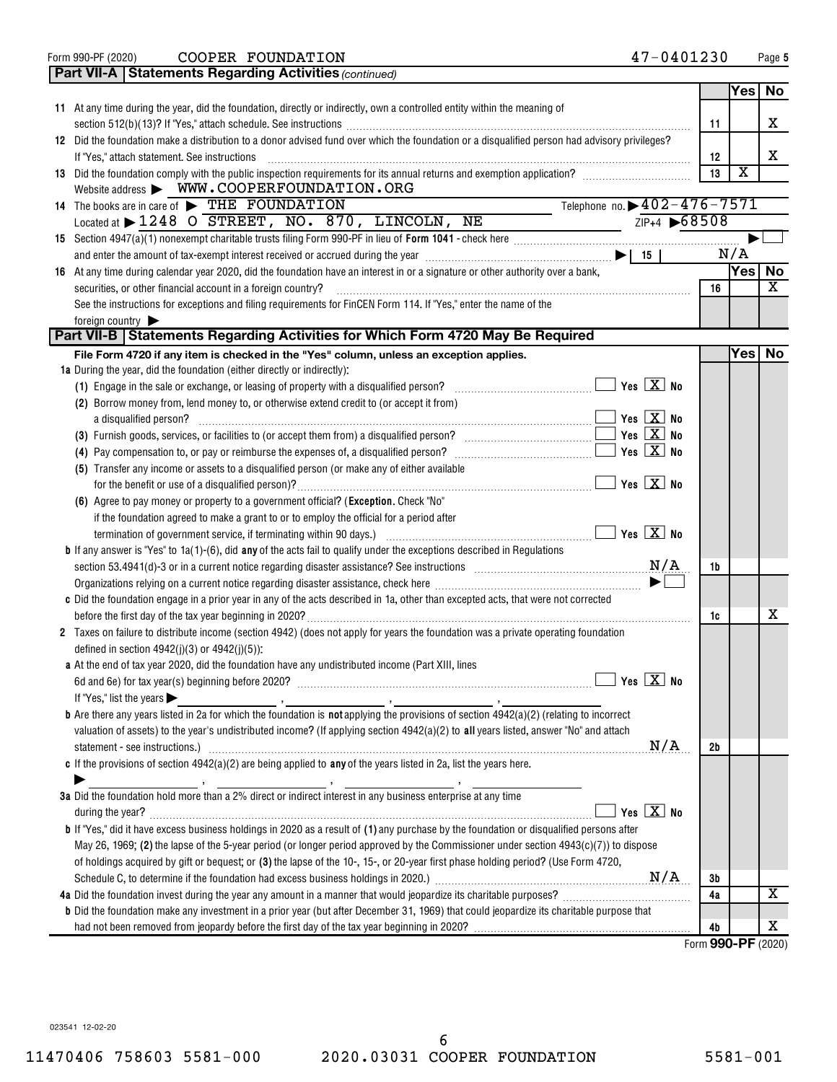| Yesl<br>No<br>11 At any time during the year, did the foundation, directly or indirectly, own a controlled entity within the meaning of<br>X<br>11<br>12 Did the foundation make a distribution to a donor advised fund over which the foundation or a disqualified person had advisory privileges?<br>X<br>If "Yes," attach statement. See instructions<br>12<br>$\overline{\textbf{x}}$<br>13<br>13 Did the foundation comply with the public inspection requirements for its annual returns and exemption application?<br>Website address > WWW.COOPERFOUNDATION.ORG<br>Telephone no. > 402-476-7571<br>14 The books are in care of FIHE FOUNDATION<br>$\frac{ZIP+4}{9}$ $\rightarrow$ 68508<br>Located at > 1248 O STREET, NO. 870, LINCOLN, NE<br>N/A<br>Yes <br>No<br>16 At any time during calendar year 2020, did the foundation have an interest in or a signature or other authority over a bank,<br>x<br>securities, or other financial account in a foreign country?<br>16<br>See the instructions for exceptions and filing requirements for FinCEN Form 114. If "Yes," enter the name of the<br>foreign country<br>Part VII-B   Statements Regarding Activities for Which Form 4720 May Be Required<br>Yes <br>No<br>File Form 4720 if any item is checked in the "Yes" column, unless an exception applies.<br>1a During the year, did the foundation (either directly or indirectly):<br>$\blacksquare$ Yes $\boxed{\mathrm{X}}$ No<br>(1) Engage in the sale or exchange, or leasing of property with a disqualified person?<br>(2) Borrow money from, lend money to, or otherwise extend credit to (or accept it from)<br>$\blacksquare$ Yes $\boxed{\mathrm{X}}$ No<br>a disqualified person?<br>$\blacksquare$ Yes $\boxed{\mathrm{X}}$ No<br>Yes $X$ No<br>(5) Transfer any income or assets to a disqualified person (or make any of either available<br>$\blacksquare$ Yes $\boxed{\mathrm{X}}$ No<br>for the benefit or use of a disqualified person)?<br>(6) Agree to pay money or property to a government official? (Exception. Check "No"<br>if the foundation agreed to make a grant to or to employ the official for a period after<br>$\boxed{\phantom{1}}$ Yes $\boxed{\text{X}}$ No<br>termination of government service, if terminating within 90 days.) [10] manufacture in the service contraction<br><b>b</b> If any answer is "Yes" to $1a(1)-(6)$ , did any of the acts fail to qualify under the exceptions described in Regulations<br>section 53.4941(d)-3 or in a current notice regarding disaster assistance? See instructions $M/A$<br>1b<br>c Did the foundation engage in a prior year in any of the acts described in 1a, other than excepted acts, that were not corrected<br>x<br>1c<br>2 Taxes on failure to distribute income (section 4942) (does not apply for years the foundation was a private operating foundation<br>defined in section $4942(j)(3)$ or $4942(j)(5)$ :<br>a At the end of tax year 2020, did the foundation have any undistributed income (Part XIII, lines<br>If "Yes," list the years $\blacktriangleright$<br><b>b</b> Are there any years listed in 2a for which the foundation is <b>not</b> applying the provisions of section $4942(a)(2)$ (relating to incorrect<br>valuation of assets) to the year's undistributed income? (If applying section 4942(a)(2) to all years listed, answer "No" and attach<br>N/A<br>2b<br>statement - see instructions.) 2000 minimum contract and the intervention of the statement - see instructions.<br>c If the provisions of section $4942(a)(2)$ are being applied to any of the years listed in 2a, list the years here.<br>3a Did the foundation hold more than a 2% direct or indirect interest in any business enterprise at any time<br>Yes $X$ No<br><b>b</b> If "Yes," did it have excess business holdings in 2020 as a result of (1) any purchase by the foundation or disqualified persons after<br>May 26, 1969; (2) the lapse of the 5-year period (or longer period approved by the Commissioner under section $4943(c)(7)$ ) to dispose<br>of holdings acquired by gift or bequest; or (3) the lapse of the 10-, 15-, or 20-year first phase holding period? (Use Form 4720,<br>3b<br>х<br>4a<br><b>b</b> Did the foundation make any investment in a prior year (but after December 31, 1969) that could jeopardize its charitable purpose that<br>х<br>4b | <b>Part VII-A   Statements Regarding Activities (continued)</b> |  |  |
|-----------------------------------------------------------------------------------------------------------------------------------------------------------------------------------------------------------------------------------------------------------------------------------------------------------------------------------------------------------------------------------------------------------------------------------------------------------------------------------------------------------------------------------------------------------------------------------------------------------------------------------------------------------------------------------------------------------------------------------------------------------------------------------------------------------------------------------------------------------------------------------------------------------------------------------------------------------------------------------------------------------------------------------------------------------------------------------------------------------------------------------------------------------------------------------------------------------------------------------------------------------------------------------------------------------------------------------------------------------------------------------------------------------------------------------------------------------------------------------------------------------------------------------------------------------------------------------------------------------------------------------------------------------------------------------------------------------------------------------------------------------------------------------------------------------------------------------------------------------------------------------------------------------------------------------------------------------------------------------------------------------------------------------------------------------------------------------------------------------------------------------------------------------------------------------------------------------------------------------------------------------------------------------------------------------------------------------------------------------------------------------------------------------------------------------------------------------------------------------------------------------------------------------------------------------------------------------------------------------------------------------------------------------------------------------------------------------------------------------------------------------------------------------------------------------------------------------------------------------------------------------------------------------------------------------------------------------------------------------------------------------------------------------------------------------------------------------------------------------------------------------------------------------------------------------------------------------------------------------------------------------------------------------------------------------------------------------------------------------------------------------------------------------------------------------------------------------------------------------------------------------------------------------------------------------------------------------------------------------------------------------------------------------------------------------------------------------------------------------------------------------------------------------------------------------------------------------------------------------------------------------------------------------------------------------------------------------------------------------------------------------------------------------------------------------------------------------------------------------------------------------------------------------------------------------------------------------------------------------------------------------------------------------------------------------------------------------------------------------------------------------------------------|-----------------------------------------------------------------|--|--|
|                                                                                                                                                                                                                                                                                                                                                                                                                                                                                                                                                                                                                                                                                                                                                                                                                                                                                                                                                                                                                                                                                                                                                                                                                                                                                                                                                                                                                                                                                                                                                                                                                                                                                                                                                                                                                                                                                                                                                                                                                                                                                                                                                                                                                                                                                                                                                                                                                                                                                                                                                                                                                                                                                                                                                                                                                                                                                                                                                                                                                                                                                                                                                                                                                                                                                                                                                                                                                                                                                                                                                                                                                                                                                                                                                                                                                                                                                                                                                                                                                                                                                                                                                                                                                                                                                                                                                                                                     |                                                                 |  |  |
|                                                                                                                                                                                                                                                                                                                                                                                                                                                                                                                                                                                                                                                                                                                                                                                                                                                                                                                                                                                                                                                                                                                                                                                                                                                                                                                                                                                                                                                                                                                                                                                                                                                                                                                                                                                                                                                                                                                                                                                                                                                                                                                                                                                                                                                                                                                                                                                                                                                                                                                                                                                                                                                                                                                                                                                                                                                                                                                                                                                                                                                                                                                                                                                                                                                                                                                                                                                                                                                                                                                                                                                                                                                                                                                                                                                                                                                                                                                                                                                                                                                                                                                                                                                                                                                                                                                                                                                                     |                                                                 |  |  |
|                                                                                                                                                                                                                                                                                                                                                                                                                                                                                                                                                                                                                                                                                                                                                                                                                                                                                                                                                                                                                                                                                                                                                                                                                                                                                                                                                                                                                                                                                                                                                                                                                                                                                                                                                                                                                                                                                                                                                                                                                                                                                                                                                                                                                                                                                                                                                                                                                                                                                                                                                                                                                                                                                                                                                                                                                                                                                                                                                                                                                                                                                                                                                                                                                                                                                                                                                                                                                                                                                                                                                                                                                                                                                                                                                                                                                                                                                                                                                                                                                                                                                                                                                                                                                                                                                                                                                                                                     |                                                                 |  |  |
|                                                                                                                                                                                                                                                                                                                                                                                                                                                                                                                                                                                                                                                                                                                                                                                                                                                                                                                                                                                                                                                                                                                                                                                                                                                                                                                                                                                                                                                                                                                                                                                                                                                                                                                                                                                                                                                                                                                                                                                                                                                                                                                                                                                                                                                                                                                                                                                                                                                                                                                                                                                                                                                                                                                                                                                                                                                                                                                                                                                                                                                                                                                                                                                                                                                                                                                                                                                                                                                                                                                                                                                                                                                                                                                                                                                                                                                                                                                                                                                                                                                                                                                                                                                                                                                                                                                                                                                                     |                                                                 |  |  |
|                                                                                                                                                                                                                                                                                                                                                                                                                                                                                                                                                                                                                                                                                                                                                                                                                                                                                                                                                                                                                                                                                                                                                                                                                                                                                                                                                                                                                                                                                                                                                                                                                                                                                                                                                                                                                                                                                                                                                                                                                                                                                                                                                                                                                                                                                                                                                                                                                                                                                                                                                                                                                                                                                                                                                                                                                                                                                                                                                                                                                                                                                                                                                                                                                                                                                                                                                                                                                                                                                                                                                                                                                                                                                                                                                                                                                                                                                                                                                                                                                                                                                                                                                                                                                                                                                                                                                                                                     |                                                                 |  |  |
|                                                                                                                                                                                                                                                                                                                                                                                                                                                                                                                                                                                                                                                                                                                                                                                                                                                                                                                                                                                                                                                                                                                                                                                                                                                                                                                                                                                                                                                                                                                                                                                                                                                                                                                                                                                                                                                                                                                                                                                                                                                                                                                                                                                                                                                                                                                                                                                                                                                                                                                                                                                                                                                                                                                                                                                                                                                                                                                                                                                                                                                                                                                                                                                                                                                                                                                                                                                                                                                                                                                                                                                                                                                                                                                                                                                                                                                                                                                                                                                                                                                                                                                                                                                                                                                                                                                                                                                                     |                                                                 |  |  |
|                                                                                                                                                                                                                                                                                                                                                                                                                                                                                                                                                                                                                                                                                                                                                                                                                                                                                                                                                                                                                                                                                                                                                                                                                                                                                                                                                                                                                                                                                                                                                                                                                                                                                                                                                                                                                                                                                                                                                                                                                                                                                                                                                                                                                                                                                                                                                                                                                                                                                                                                                                                                                                                                                                                                                                                                                                                                                                                                                                                                                                                                                                                                                                                                                                                                                                                                                                                                                                                                                                                                                                                                                                                                                                                                                                                                                                                                                                                                                                                                                                                                                                                                                                                                                                                                                                                                                                                                     |                                                                 |  |  |
|                                                                                                                                                                                                                                                                                                                                                                                                                                                                                                                                                                                                                                                                                                                                                                                                                                                                                                                                                                                                                                                                                                                                                                                                                                                                                                                                                                                                                                                                                                                                                                                                                                                                                                                                                                                                                                                                                                                                                                                                                                                                                                                                                                                                                                                                                                                                                                                                                                                                                                                                                                                                                                                                                                                                                                                                                                                                                                                                                                                                                                                                                                                                                                                                                                                                                                                                                                                                                                                                                                                                                                                                                                                                                                                                                                                                                                                                                                                                                                                                                                                                                                                                                                                                                                                                                                                                                                                                     |                                                                 |  |  |
|                                                                                                                                                                                                                                                                                                                                                                                                                                                                                                                                                                                                                                                                                                                                                                                                                                                                                                                                                                                                                                                                                                                                                                                                                                                                                                                                                                                                                                                                                                                                                                                                                                                                                                                                                                                                                                                                                                                                                                                                                                                                                                                                                                                                                                                                                                                                                                                                                                                                                                                                                                                                                                                                                                                                                                                                                                                                                                                                                                                                                                                                                                                                                                                                                                                                                                                                                                                                                                                                                                                                                                                                                                                                                                                                                                                                                                                                                                                                                                                                                                                                                                                                                                                                                                                                                                                                                                                                     |                                                                 |  |  |
|                                                                                                                                                                                                                                                                                                                                                                                                                                                                                                                                                                                                                                                                                                                                                                                                                                                                                                                                                                                                                                                                                                                                                                                                                                                                                                                                                                                                                                                                                                                                                                                                                                                                                                                                                                                                                                                                                                                                                                                                                                                                                                                                                                                                                                                                                                                                                                                                                                                                                                                                                                                                                                                                                                                                                                                                                                                                                                                                                                                                                                                                                                                                                                                                                                                                                                                                                                                                                                                                                                                                                                                                                                                                                                                                                                                                                                                                                                                                                                                                                                                                                                                                                                                                                                                                                                                                                                                                     |                                                                 |  |  |
|                                                                                                                                                                                                                                                                                                                                                                                                                                                                                                                                                                                                                                                                                                                                                                                                                                                                                                                                                                                                                                                                                                                                                                                                                                                                                                                                                                                                                                                                                                                                                                                                                                                                                                                                                                                                                                                                                                                                                                                                                                                                                                                                                                                                                                                                                                                                                                                                                                                                                                                                                                                                                                                                                                                                                                                                                                                                                                                                                                                                                                                                                                                                                                                                                                                                                                                                                                                                                                                                                                                                                                                                                                                                                                                                                                                                                                                                                                                                                                                                                                                                                                                                                                                                                                                                                                                                                                                                     |                                                                 |  |  |
|                                                                                                                                                                                                                                                                                                                                                                                                                                                                                                                                                                                                                                                                                                                                                                                                                                                                                                                                                                                                                                                                                                                                                                                                                                                                                                                                                                                                                                                                                                                                                                                                                                                                                                                                                                                                                                                                                                                                                                                                                                                                                                                                                                                                                                                                                                                                                                                                                                                                                                                                                                                                                                                                                                                                                                                                                                                                                                                                                                                                                                                                                                                                                                                                                                                                                                                                                                                                                                                                                                                                                                                                                                                                                                                                                                                                                                                                                                                                                                                                                                                                                                                                                                                                                                                                                                                                                                                                     |                                                                 |  |  |
|                                                                                                                                                                                                                                                                                                                                                                                                                                                                                                                                                                                                                                                                                                                                                                                                                                                                                                                                                                                                                                                                                                                                                                                                                                                                                                                                                                                                                                                                                                                                                                                                                                                                                                                                                                                                                                                                                                                                                                                                                                                                                                                                                                                                                                                                                                                                                                                                                                                                                                                                                                                                                                                                                                                                                                                                                                                                                                                                                                                                                                                                                                                                                                                                                                                                                                                                                                                                                                                                                                                                                                                                                                                                                                                                                                                                                                                                                                                                                                                                                                                                                                                                                                                                                                                                                                                                                                                                     |                                                                 |  |  |
|                                                                                                                                                                                                                                                                                                                                                                                                                                                                                                                                                                                                                                                                                                                                                                                                                                                                                                                                                                                                                                                                                                                                                                                                                                                                                                                                                                                                                                                                                                                                                                                                                                                                                                                                                                                                                                                                                                                                                                                                                                                                                                                                                                                                                                                                                                                                                                                                                                                                                                                                                                                                                                                                                                                                                                                                                                                                                                                                                                                                                                                                                                                                                                                                                                                                                                                                                                                                                                                                                                                                                                                                                                                                                                                                                                                                                                                                                                                                                                                                                                                                                                                                                                                                                                                                                                                                                                                                     |                                                                 |  |  |
|                                                                                                                                                                                                                                                                                                                                                                                                                                                                                                                                                                                                                                                                                                                                                                                                                                                                                                                                                                                                                                                                                                                                                                                                                                                                                                                                                                                                                                                                                                                                                                                                                                                                                                                                                                                                                                                                                                                                                                                                                                                                                                                                                                                                                                                                                                                                                                                                                                                                                                                                                                                                                                                                                                                                                                                                                                                                                                                                                                                                                                                                                                                                                                                                                                                                                                                                                                                                                                                                                                                                                                                                                                                                                                                                                                                                                                                                                                                                                                                                                                                                                                                                                                                                                                                                                                                                                                                                     |                                                                 |  |  |
|                                                                                                                                                                                                                                                                                                                                                                                                                                                                                                                                                                                                                                                                                                                                                                                                                                                                                                                                                                                                                                                                                                                                                                                                                                                                                                                                                                                                                                                                                                                                                                                                                                                                                                                                                                                                                                                                                                                                                                                                                                                                                                                                                                                                                                                                                                                                                                                                                                                                                                                                                                                                                                                                                                                                                                                                                                                                                                                                                                                                                                                                                                                                                                                                                                                                                                                                                                                                                                                                                                                                                                                                                                                                                                                                                                                                                                                                                                                                                                                                                                                                                                                                                                                                                                                                                                                                                                                                     |                                                                 |  |  |
|                                                                                                                                                                                                                                                                                                                                                                                                                                                                                                                                                                                                                                                                                                                                                                                                                                                                                                                                                                                                                                                                                                                                                                                                                                                                                                                                                                                                                                                                                                                                                                                                                                                                                                                                                                                                                                                                                                                                                                                                                                                                                                                                                                                                                                                                                                                                                                                                                                                                                                                                                                                                                                                                                                                                                                                                                                                                                                                                                                                                                                                                                                                                                                                                                                                                                                                                                                                                                                                                                                                                                                                                                                                                                                                                                                                                                                                                                                                                                                                                                                                                                                                                                                                                                                                                                                                                                                                                     |                                                                 |  |  |
|                                                                                                                                                                                                                                                                                                                                                                                                                                                                                                                                                                                                                                                                                                                                                                                                                                                                                                                                                                                                                                                                                                                                                                                                                                                                                                                                                                                                                                                                                                                                                                                                                                                                                                                                                                                                                                                                                                                                                                                                                                                                                                                                                                                                                                                                                                                                                                                                                                                                                                                                                                                                                                                                                                                                                                                                                                                                                                                                                                                                                                                                                                                                                                                                                                                                                                                                                                                                                                                                                                                                                                                                                                                                                                                                                                                                                                                                                                                                                                                                                                                                                                                                                                                                                                                                                                                                                                                                     |                                                                 |  |  |
|                                                                                                                                                                                                                                                                                                                                                                                                                                                                                                                                                                                                                                                                                                                                                                                                                                                                                                                                                                                                                                                                                                                                                                                                                                                                                                                                                                                                                                                                                                                                                                                                                                                                                                                                                                                                                                                                                                                                                                                                                                                                                                                                                                                                                                                                                                                                                                                                                                                                                                                                                                                                                                                                                                                                                                                                                                                                                                                                                                                                                                                                                                                                                                                                                                                                                                                                                                                                                                                                                                                                                                                                                                                                                                                                                                                                                                                                                                                                                                                                                                                                                                                                                                                                                                                                                                                                                                                                     |                                                                 |  |  |
|                                                                                                                                                                                                                                                                                                                                                                                                                                                                                                                                                                                                                                                                                                                                                                                                                                                                                                                                                                                                                                                                                                                                                                                                                                                                                                                                                                                                                                                                                                                                                                                                                                                                                                                                                                                                                                                                                                                                                                                                                                                                                                                                                                                                                                                                                                                                                                                                                                                                                                                                                                                                                                                                                                                                                                                                                                                                                                                                                                                                                                                                                                                                                                                                                                                                                                                                                                                                                                                                                                                                                                                                                                                                                                                                                                                                                                                                                                                                                                                                                                                                                                                                                                                                                                                                                                                                                                                                     |                                                                 |  |  |
|                                                                                                                                                                                                                                                                                                                                                                                                                                                                                                                                                                                                                                                                                                                                                                                                                                                                                                                                                                                                                                                                                                                                                                                                                                                                                                                                                                                                                                                                                                                                                                                                                                                                                                                                                                                                                                                                                                                                                                                                                                                                                                                                                                                                                                                                                                                                                                                                                                                                                                                                                                                                                                                                                                                                                                                                                                                                                                                                                                                                                                                                                                                                                                                                                                                                                                                                                                                                                                                                                                                                                                                                                                                                                                                                                                                                                                                                                                                                                                                                                                                                                                                                                                                                                                                                                                                                                                                                     |                                                                 |  |  |
|                                                                                                                                                                                                                                                                                                                                                                                                                                                                                                                                                                                                                                                                                                                                                                                                                                                                                                                                                                                                                                                                                                                                                                                                                                                                                                                                                                                                                                                                                                                                                                                                                                                                                                                                                                                                                                                                                                                                                                                                                                                                                                                                                                                                                                                                                                                                                                                                                                                                                                                                                                                                                                                                                                                                                                                                                                                                                                                                                                                                                                                                                                                                                                                                                                                                                                                                                                                                                                                                                                                                                                                                                                                                                                                                                                                                                                                                                                                                                                                                                                                                                                                                                                                                                                                                                                                                                                                                     |                                                                 |  |  |
|                                                                                                                                                                                                                                                                                                                                                                                                                                                                                                                                                                                                                                                                                                                                                                                                                                                                                                                                                                                                                                                                                                                                                                                                                                                                                                                                                                                                                                                                                                                                                                                                                                                                                                                                                                                                                                                                                                                                                                                                                                                                                                                                                                                                                                                                                                                                                                                                                                                                                                                                                                                                                                                                                                                                                                                                                                                                                                                                                                                                                                                                                                                                                                                                                                                                                                                                                                                                                                                                                                                                                                                                                                                                                                                                                                                                                                                                                                                                                                                                                                                                                                                                                                                                                                                                                                                                                                                                     |                                                                 |  |  |
|                                                                                                                                                                                                                                                                                                                                                                                                                                                                                                                                                                                                                                                                                                                                                                                                                                                                                                                                                                                                                                                                                                                                                                                                                                                                                                                                                                                                                                                                                                                                                                                                                                                                                                                                                                                                                                                                                                                                                                                                                                                                                                                                                                                                                                                                                                                                                                                                                                                                                                                                                                                                                                                                                                                                                                                                                                                                                                                                                                                                                                                                                                                                                                                                                                                                                                                                                                                                                                                                                                                                                                                                                                                                                                                                                                                                                                                                                                                                                                                                                                                                                                                                                                                                                                                                                                                                                                                                     |                                                                 |  |  |
|                                                                                                                                                                                                                                                                                                                                                                                                                                                                                                                                                                                                                                                                                                                                                                                                                                                                                                                                                                                                                                                                                                                                                                                                                                                                                                                                                                                                                                                                                                                                                                                                                                                                                                                                                                                                                                                                                                                                                                                                                                                                                                                                                                                                                                                                                                                                                                                                                                                                                                                                                                                                                                                                                                                                                                                                                                                                                                                                                                                                                                                                                                                                                                                                                                                                                                                                                                                                                                                                                                                                                                                                                                                                                                                                                                                                                                                                                                                                                                                                                                                                                                                                                                                                                                                                                                                                                                                                     |                                                                 |  |  |
|                                                                                                                                                                                                                                                                                                                                                                                                                                                                                                                                                                                                                                                                                                                                                                                                                                                                                                                                                                                                                                                                                                                                                                                                                                                                                                                                                                                                                                                                                                                                                                                                                                                                                                                                                                                                                                                                                                                                                                                                                                                                                                                                                                                                                                                                                                                                                                                                                                                                                                                                                                                                                                                                                                                                                                                                                                                                                                                                                                                                                                                                                                                                                                                                                                                                                                                                                                                                                                                                                                                                                                                                                                                                                                                                                                                                                                                                                                                                                                                                                                                                                                                                                                                                                                                                                                                                                                                                     |                                                                 |  |  |
|                                                                                                                                                                                                                                                                                                                                                                                                                                                                                                                                                                                                                                                                                                                                                                                                                                                                                                                                                                                                                                                                                                                                                                                                                                                                                                                                                                                                                                                                                                                                                                                                                                                                                                                                                                                                                                                                                                                                                                                                                                                                                                                                                                                                                                                                                                                                                                                                                                                                                                                                                                                                                                                                                                                                                                                                                                                                                                                                                                                                                                                                                                                                                                                                                                                                                                                                                                                                                                                                                                                                                                                                                                                                                                                                                                                                                                                                                                                                                                                                                                                                                                                                                                                                                                                                                                                                                                                                     |                                                                 |  |  |
|                                                                                                                                                                                                                                                                                                                                                                                                                                                                                                                                                                                                                                                                                                                                                                                                                                                                                                                                                                                                                                                                                                                                                                                                                                                                                                                                                                                                                                                                                                                                                                                                                                                                                                                                                                                                                                                                                                                                                                                                                                                                                                                                                                                                                                                                                                                                                                                                                                                                                                                                                                                                                                                                                                                                                                                                                                                                                                                                                                                                                                                                                                                                                                                                                                                                                                                                                                                                                                                                                                                                                                                                                                                                                                                                                                                                                                                                                                                                                                                                                                                                                                                                                                                                                                                                                                                                                                                                     |                                                                 |  |  |
|                                                                                                                                                                                                                                                                                                                                                                                                                                                                                                                                                                                                                                                                                                                                                                                                                                                                                                                                                                                                                                                                                                                                                                                                                                                                                                                                                                                                                                                                                                                                                                                                                                                                                                                                                                                                                                                                                                                                                                                                                                                                                                                                                                                                                                                                                                                                                                                                                                                                                                                                                                                                                                                                                                                                                                                                                                                                                                                                                                                                                                                                                                                                                                                                                                                                                                                                                                                                                                                                                                                                                                                                                                                                                                                                                                                                                                                                                                                                                                                                                                                                                                                                                                                                                                                                                                                                                                                                     |                                                                 |  |  |
|                                                                                                                                                                                                                                                                                                                                                                                                                                                                                                                                                                                                                                                                                                                                                                                                                                                                                                                                                                                                                                                                                                                                                                                                                                                                                                                                                                                                                                                                                                                                                                                                                                                                                                                                                                                                                                                                                                                                                                                                                                                                                                                                                                                                                                                                                                                                                                                                                                                                                                                                                                                                                                                                                                                                                                                                                                                                                                                                                                                                                                                                                                                                                                                                                                                                                                                                                                                                                                                                                                                                                                                                                                                                                                                                                                                                                                                                                                                                                                                                                                                                                                                                                                                                                                                                                                                                                                                                     |                                                                 |  |  |
|                                                                                                                                                                                                                                                                                                                                                                                                                                                                                                                                                                                                                                                                                                                                                                                                                                                                                                                                                                                                                                                                                                                                                                                                                                                                                                                                                                                                                                                                                                                                                                                                                                                                                                                                                                                                                                                                                                                                                                                                                                                                                                                                                                                                                                                                                                                                                                                                                                                                                                                                                                                                                                                                                                                                                                                                                                                                                                                                                                                                                                                                                                                                                                                                                                                                                                                                                                                                                                                                                                                                                                                                                                                                                                                                                                                                                                                                                                                                                                                                                                                                                                                                                                                                                                                                                                                                                                                                     |                                                                 |  |  |
|                                                                                                                                                                                                                                                                                                                                                                                                                                                                                                                                                                                                                                                                                                                                                                                                                                                                                                                                                                                                                                                                                                                                                                                                                                                                                                                                                                                                                                                                                                                                                                                                                                                                                                                                                                                                                                                                                                                                                                                                                                                                                                                                                                                                                                                                                                                                                                                                                                                                                                                                                                                                                                                                                                                                                                                                                                                                                                                                                                                                                                                                                                                                                                                                                                                                                                                                                                                                                                                                                                                                                                                                                                                                                                                                                                                                                                                                                                                                                                                                                                                                                                                                                                                                                                                                                                                                                                                                     |                                                                 |  |  |
|                                                                                                                                                                                                                                                                                                                                                                                                                                                                                                                                                                                                                                                                                                                                                                                                                                                                                                                                                                                                                                                                                                                                                                                                                                                                                                                                                                                                                                                                                                                                                                                                                                                                                                                                                                                                                                                                                                                                                                                                                                                                                                                                                                                                                                                                                                                                                                                                                                                                                                                                                                                                                                                                                                                                                                                                                                                                                                                                                                                                                                                                                                                                                                                                                                                                                                                                                                                                                                                                                                                                                                                                                                                                                                                                                                                                                                                                                                                                                                                                                                                                                                                                                                                                                                                                                                                                                                                                     |                                                                 |  |  |
|                                                                                                                                                                                                                                                                                                                                                                                                                                                                                                                                                                                                                                                                                                                                                                                                                                                                                                                                                                                                                                                                                                                                                                                                                                                                                                                                                                                                                                                                                                                                                                                                                                                                                                                                                                                                                                                                                                                                                                                                                                                                                                                                                                                                                                                                                                                                                                                                                                                                                                                                                                                                                                                                                                                                                                                                                                                                                                                                                                                                                                                                                                                                                                                                                                                                                                                                                                                                                                                                                                                                                                                                                                                                                                                                                                                                                                                                                                                                                                                                                                                                                                                                                                                                                                                                                                                                                                                                     |                                                                 |  |  |
|                                                                                                                                                                                                                                                                                                                                                                                                                                                                                                                                                                                                                                                                                                                                                                                                                                                                                                                                                                                                                                                                                                                                                                                                                                                                                                                                                                                                                                                                                                                                                                                                                                                                                                                                                                                                                                                                                                                                                                                                                                                                                                                                                                                                                                                                                                                                                                                                                                                                                                                                                                                                                                                                                                                                                                                                                                                                                                                                                                                                                                                                                                                                                                                                                                                                                                                                                                                                                                                                                                                                                                                                                                                                                                                                                                                                                                                                                                                                                                                                                                                                                                                                                                                                                                                                                                                                                                                                     |                                                                 |  |  |
|                                                                                                                                                                                                                                                                                                                                                                                                                                                                                                                                                                                                                                                                                                                                                                                                                                                                                                                                                                                                                                                                                                                                                                                                                                                                                                                                                                                                                                                                                                                                                                                                                                                                                                                                                                                                                                                                                                                                                                                                                                                                                                                                                                                                                                                                                                                                                                                                                                                                                                                                                                                                                                                                                                                                                                                                                                                                                                                                                                                                                                                                                                                                                                                                                                                                                                                                                                                                                                                                                                                                                                                                                                                                                                                                                                                                                                                                                                                                                                                                                                                                                                                                                                                                                                                                                                                                                                                                     |                                                                 |  |  |
|                                                                                                                                                                                                                                                                                                                                                                                                                                                                                                                                                                                                                                                                                                                                                                                                                                                                                                                                                                                                                                                                                                                                                                                                                                                                                                                                                                                                                                                                                                                                                                                                                                                                                                                                                                                                                                                                                                                                                                                                                                                                                                                                                                                                                                                                                                                                                                                                                                                                                                                                                                                                                                                                                                                                                                                                                                                                                                                                                                                                                                                                                                                                                                                                                                                                                                                                                                                                                                                                                                                                                                                                                                                                                                                                                                                                                                                                                                                                                                                                                                                                                                                                                                                                                                                                                                                                                                                                     |                                                                 |  |  |
|                                                                                                                                                                                                                                                                                                                                                                                                                                                                                                                                                                                                                                                                                                                                                                                                                                                                                                                                                                                                                                                                                                                                                                                                                                                                                                                                                                                                                                                                                                                                                                                                                                                                                                                                                                                                                                                                                                                                                                                                                                                                                                                                                                                                                                                                                                                                                                                                                                                                                                                                                                                                                                                                                                                                                                                                                                                                                                                                                                                                                                                                                                                                                                                                                                                                                                                                                                                                                                                                                                                                                                                                                                                                                                                                                                                                                                                                                                                                                                                                                                                                                                                                                                                                                                                                                                                                                                                                     |                                                                 |  |  |
|                                                                                                                                                                                                                                                                                                                                                                                                                                                                                                                                                                                                                                                                                                                                                                                                                                                                                                                                                                                                                                                                                                                                                                                                                                                                                                                                                                                                                                                                                                                                                                                                                                                                                                                                                                                                                                                                                                                                                                                                                                                                                                                                                                                                                                                                                                                                                                                                                                                                                                                                                                                                                                                                                                                                                                                                                                                                                                                                                                                                                                                                                                                                                                                                                                                                                                                                                                                                                                                                                                                                                                                                                                                                                                                                                                                                                                                                                                                                                                                                                                                                                                                                                                                                                                                                                                                                                                                                     |                                                                 |  |  |
|                                                                                                                                                                                                                                                                                                                                                                                                                                                                                                                                                                                                                                                                                                                                                                                                                                                                                                                                                                                                                                                                                                                                                                                                                                                                                                                                                                                                                                                                                                                                                                                                                                                                                                                                                                                                                                                                                                                                                                                                                                                                                                                                                                                                                                                                                                                                                                                                                                                                                                                                                                                                                                                                                                                                                                                                                                                                                                                                                                                                                                                                                                                                                                                                                                                                                                                                                                                                                                                                                                                                                                                                                                                                                                                                                                                                                                                                                                                                                                                                                                                                                                                                                                                                                                                                                                                                                                                                     |                                                                 |  |  |
|                                                                                                                                                                                                                                                                                                                                                                                                                                                                                                                                                                                                                                                                                                                                                                                                                                                                                                                                                                                                                                                                                                                                                                                                                                                                                                                                                                                                                                                                                                                                                                                                                                                                                                                                                                                                                                                                                                                                                                                                                                                                                                                                                                                                                                                                                                                                                                                                                                                                                                                                                                                                                                                                                                                                                                                                                                                                                                                                                                                                                                                                                                                                                                                                                                                                                                                                                                                                                                                                                                                                                                                                                                                                                                                                                                                                                                                                                                                                                                                                                                                                                                                                                                                                                                                                                                                                                                                                     |                                                                 |  |  |
|                                                                                                                                                                                                                                                                                                                                                                                                                                                                                                                                                                                                                                                                                                                                                                                                                                                                                                                                                                                                                                                                                                                                                                                                                                                                                                                                                                                                                                                                                                                                                                                                                                                                                                                                                                                                                                                                                                                                                                                                                                                                                                                                                                                                                                                                                                                                                                                                                                                                                                                                                                                                                                                                                                                                                                                                                                                                                                                                                                                                                                                                                                                                                                                                                                                                                                                                                                                                                                                                                                                                                                                                                                                                                                                                                                                                                                                                                                                                                                                                                                                                                                                                                                                                                                                                                                                                                                                                     |                                                                 |  |  |
|                                                                                                                                                                                                                                                                                                                                                                                                                                                                                                                                                                                                                                                                                                                                                                                                                                                                                                                                                                                                                                                                                                                                                                                                                                                                                                                                                                                                                                                                                                                                                                                                                                                                                                                                                                                                                                                                                                                                                                                                                                                                                                                                                                                                                                                                                                                                                                                                                                                                                                                                                                                                                                                                                                                                                                                                                                                                                                                                                                                                                                                                                                                                                                                                                                                                                                                                                                                                                                                                                                                                                                                                                                                                                                                                                                                                                                                                                                                                                                                                                                                                                                                                                                                                                                                                                                                                                                                                     |                                                                 |  |  |
|                                                                                                                                                                                                                                                                                                                                                                                                                                                                                                                                                                                                                                                                                                                                                                                                                                                                                                                                                                                                                                                                                                                                                                                                                                                                                                                                                                                                                                                                                                                                                                                                                                                                                                                                                                                                                                                                                                                                                                                                                                                                                                                                                                                                                                                                                                                                                                                                                                                                                                                                                                                                                                                                                                                                                                                                                                                                                                                                                                                                                                                                                                                                                                                                                                                                                                                                                                                                                                                                                                                                                                                                                                                                                                                                                                                                                                                                                                                                                                                                                                                                                                                                                                                                                                                                                                                                                                                                     |                                                                 |  |  |
|                                                                                                                                                                                                                                                                                                                                                                                                                                                                                                                                                                                                                                                                                                                                                                                                                                                                                                                                                                                                                                                                                                                                                                                                                                                                                                                                                                                                                                                                                                                                                                                                                                                                                                                                                                                                                                                                                                                                                                                                                                                                                                                                                                                                                                                                                                                                                                                                                                                                                                                                                                                                                                                                                                                                                                                                                                                                                                                                                                                                                                                                                                                                                                                                                                                                                                                                                                                                                                                                                                                                                                                                                                                                                                                                                                                                                                                                                                                                                                                                                                                                                                                                                                                                                                                                                                                                                                                                     |                                                                 |  |  |
|                                                                                                                                                                                                                                                                                                                                                                                                                                                                                                                                                                                                                                                                                                                                                                                                                                                                                                                                                                                                                                                                                                                                                                                                                                                                                                                                                                                                                                                                                                                                                                                                                                                                                                                                                                                                                                                                                                                                                                                                                                                                                                                                                                                                                                                                                                                                                                                                                                                                                                                                                                                                                                                                                                                                                                                                                                                                                                                                                                                                                                                                                                                                                                                                                                                                                                                                                                                                                                                                                                                                                                                                                                                                                                                                                                                                                                                                                                                                                                                                                                                                                                                                                                                                                                                                                                                                                                                                     |                                                                 |  |  |
|                                                                                                                                                                                                                                                                                                                                                                                                                                                                                                                                                                                                                                                                                                                                                                                                                                                                                                                                                                                                                                                                                                                                                                                                                                                                                                                                                                                                                                                                                                                                                                                                                                                                                                                                                                                                                                                                                                                                                                                                                                                                                                                                                                                                                                                                                                                                                                                                                                                                                                                                                                                                                                                                                                                                                                                                                                                                                                                                                                                                                                                                                                                                                                                                                                                                                                                                                                                                                                                                                                                                                                                                                                                                                                                                                                                                                                                                                                                                                                                                                                                                                                                                                                                                                                                                                                                                                                                                     |                                                                 |  |  |
|                                                                                                                                                                                                                                                                                                                                                                                                                                                                                                                                                                                                                                                                                                                                                                                                                                                                                                                                                                                                                                                                                                                                                                                                                                                                                                                                                                                                                                                                                                                                                                                                                                                                                                                                                                                                                                                                                                                                                                                                                                                                                                                                                                                                                                                                                                                                                                                                                                                                                                                                                                                                                                                                                                                                                                                                                                                                                                                                                                                                                                                                                                                                                                                                                                                                                                                                                                                                                                                                                                                                                                                                                                                                                                                                                                                                                                                                                                                                                                                                                                                                                                                                                                                                                                                                                                                                                                                                     |                                                                 |  |  |
|                                                                                                                                                                                                                                                                                                                                                                                                                                                                                                                                                                                                                                                                                                                                                                                                                                                                                                                                                                                                                                                                                                                                                                                                                                                                                                                                                                                                                                                                                                                                                                                                                                                                                                                                                                                                                                                                                                                                                                                                                                                                                                                                                                                                                                                                                                                                                                                                                                                                                                                                                                                                                                                                                                                                                                                                                                                                                                                                                                                                                                                                                                                                                                                                                                                                                                                                                                                                                                                                                                                                                                                                                                                                                                                                                                                                                                                                                                                                                                                                                                                                                                                                                                                                                                                                                                                                                                                                     |                                                                 |  |  |
|                                                                                                                                                                                                                                                                                                                                                                                                                                                                                                                                                                                                                                                                                                                                                                                                                                                                                                                                                                                                                                                                                                                                                                                                                                                                                                                                                                                                                                                                                                                                                                                                                                                                                                                                                                                                                                                                                                                                                                                                                                                                                                                                                                                                                                                                                                                                                                                                                                                                                                                                                                                                                                                                                                                                                                                                                                                                                                                                                                                                                                                                                                                                                                                                                                                                                                                                                                                                                                                                                                                                                                                                                                                                                                                                                                                                                                                                                                                                                                                                                                                                                                                                                                                                                                                                                                                                                                                                     |                                                                 |  |  |
|                                                                                                                                                                                                                                                                                                                                                                                                                                                                                                                                                                                                                                                                                                                                                                                                                                                                                                                                                                                                                                                                                                                                                                                                                                                                                                                                                                                                                                                                                                                                                                                                                                                                                                                                                                                                                                                                                                                                                                                                                                                                                                                                                                                                                                                                                                                                                                                                                                                                                                                                                                                                                                                                                                                                                                                                                                                                                                                                                                                                                                                                                                                                                                                                                                                                                                                                                                                                                                                                                                                                                                                                                                                                                                                                                                                                                                                                                                                                                                                                                                                                                                                                                                                                                                                                                                                                                                                                     |                                                                 |  |  |
| Form 990-PF (2020)                                                                                                                                                                                                                                                                                                                                                                                                                                                                                                                                                                                                                                                                                                                                                                                                                                                                                                                                                                                                                                                                                                                                                                                                                                                                                                                                                                                                                                                                                                                                                                                                                                                                                                                                                                                                                                                                                                                                                                                                                                                                                                                                                                                                                                                                                                                                                                                                                                                                                                                                                                                                                                                                                                                                                                                                                                                                                                                                                                                                                                                                                                                                                                                                                                                                                                                                                                                                                                                                                                                                                                                                                                                                                                                                                                                                                                                                                                                                                                                                                                                                                                                                                                                                                                                                                                                                                                                  |                                                                 |  |  |

Form 990-PF (2020)  $COOPER$   $FOUNDATION$   $47-0401230$   $Page$ 

**5**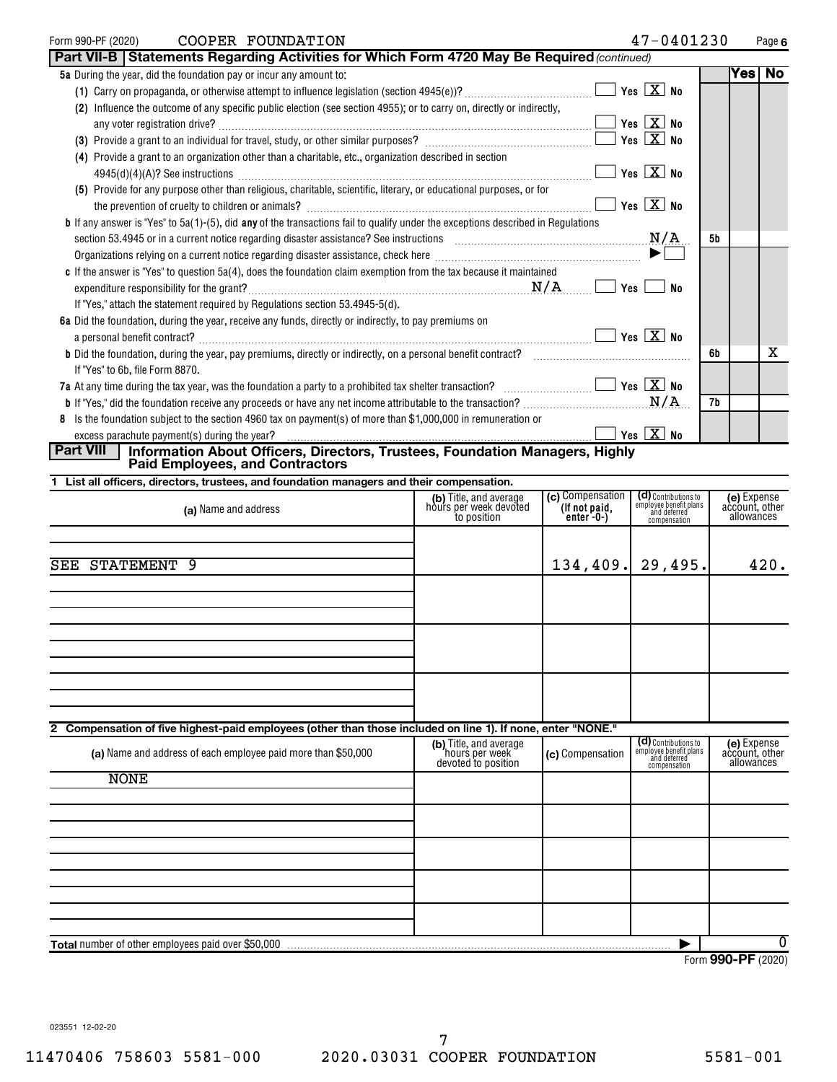| COOPER FOUNDATION<br>Form 990-PF (2020)                                                               |                                                                                                                                         |                                                   | 47-0401230 |      | Page 6         |
|-------------------------------------------------------------------------------------------------------|-----------------------------------------------------------------------------------------------------------------------------------------|---------------------------------------------------|------------|------|----------------|
|                                                                                                       | Part VII-B   Statements Regarding Activities for Which Form 4720 May Be Required (continued)                                            |                                                   |            |      |                |
| 5a During the year, did the foundation pay or incur any amount to:                                    |                                                                                                                                         |                                                   |            | Yes⊺ | $\overline{N}$ |
|                                                                                                       |                                                                                                                                         | $\boxed{\phantom{1}}$ Yes $\boxed{\textbf{X}}$ No |            |      |                |
|                                                                                                       | (2) Influence the outcome of any specific public election (see section 4955); or to carry on, directly or indirectly,                   |                                                   |            |      |                |
|                                                                                                       |                                                                                                                                         | $\sqrt{Y}$ es $\boxed{X}$ No                      |            |      |                |
|                                                                                                       |                                                                                                                                         | $Yes \; X$ No                                     |            |      |                |
|                                                                                                       | (4) Provide a grant to an organization other than a charitable, etc., organization described in section                                 |                                                   |            |      |                |
|                                                                                                       |                                                                                                                                         | Yes $\boxed{\mathbf{X}}$ No                       |            |      |                |
|                                                                                                       | (5) Provide for any purpose other than religious, charitable, scientific, literary, or educational purposes, or for                     |                                                   |            |      |                |
|                                                                                                       |                                                                                                                                         | Yes $X$ No                                        |            |      |                |
|                                                                                                       | <b>b</b> If any answer is "Yes" to 5a(1)-(5), did any of the transactions fail to qualify under the exceptions described in Regulations |                                                   |            |      |                |
|                                                                                                       | section 53.4945 or in a current notice regarding disaster assistance? See instructions $M/A$                                            |                                                   |            | 5b   |                |
|                                                                                                       |                                                                                                                                         |                                                   | ▶∣         |      |                |
|                                                                                                       | c If the answer is "Yes" to question 5a(4), does the foundation claim exemption from the tax because it maintained                      |                                                   |            |      |                |
|                                                                                                       |                                                                                                                                         | Yes                                               | No         |      |                |
| If "Yes," attach the statement required by Regulations section 53.4945-5(d).                          |                                                                                                                                         |                                                   |            |      |                |
| 6a Did the foundation, during the year, receive any funds, directly or indirectly, to pay premiums on |                                                                                                                                         |                                                   |            |      |                |
| a personal benefit contract?                                                                          |                                                                                                                                         | $\sqrt{Y}$ es $\boxed{X}$ No                      |            |      |                |
|                                                                                                       |                                                                                                                                         |                                                   |            | 6b   | x              |
| If "Yes" to 6b, file Form 8870.                                                                       |                                                                                                                                         |                                                   |            |      |                |
|                                                                                                       | 7a At any time during the tax year, was the foundation a party to a prohibited tax shelter transaction? $\ldots$                        |                                                   |            |      |                |
|                                                                                                       |                                                                                                                                         |                                                   |            | 7b   |                |
|                                                                                                       | 8 Is the foundation subject to the section 4960 tax on payment(s) of more than \$1,000,000 in remuneration or                           |                                                   |            |      |                |
| excess parachute payment(s) during the year?                                                          |                                                                                                                                         | Yes $X$ No                                        |            |      |                |
| <b>Part VIII</b>                                                                                      | Information About Officers, Directors, Trustees, Foundation Managers, Highly                                                            |                                                   |            |      |                |

**Information About Directors** 

**1 List all officers, directors, trustees, and foundation managers and their compensation.**

| (a) Name and address                                                                                        | (b) Title, and average<br>hours per week devoted<br>to position | (c) Compensation<br>(If not paid,<br>enter -0-) | (d) Contributions to<br>employee benefit plans<br>and deferred<br>compensation | (e) Expense<br>account, other<br>allowances |
|-------------------------------------------------------------------------------------------------------------|-----------------------------------------------------------------|-------------------------------------------------|--------------------------------------------------------------------------------|---------------------------------------------|
| STATEMENT 9<br>SEE                                                                                          |                                                                 | 134,409.                                        | 29,495.                                                                        | 420.                                        |
|                                                                                                             |                                                                 |                                                 |                                                                                |                                             |
|                                                                                                             |                                                                 |                                                 |                                                                                |                                             |
|                                                                                                             |                                                                 |                                                 |                                                                                |                                             |
| 2 Compensation of five highest-paid employees (other than those included on line 1). If none, enter "NONE." |                                                                 |                                                 |                                                                                |                                             |
| (a) Name and address of each employee paid more than \$50,000                                               | (b) Title, and average<br>hours per week<br>devoted to position | (c) Compensation                                | (d) Contributions to<br>employee benefit plans<br>and deferred<br>compensation | (e) Expense<br>account, other<br>allowances |
| <b>NONE</b>                                                                                                 |                                                                 |                                                 |                                                                                |                                             |
|                                                                                                             |                                                                 |                                                 |                                                                                |                                             |
|                                                                                                             |                                                                 |                                                 |                                                                                |                                             |
|                                                                                                             |                                                                 |                                                 |                                                                                |                                             |
|                                                                                                             |                                                                 |                                                 |                                                                                |                                             |
| Total number of other employees paid over \$50,000                                                          |                                                                 |                                                 |                                                                                | $\overline{0}$                              |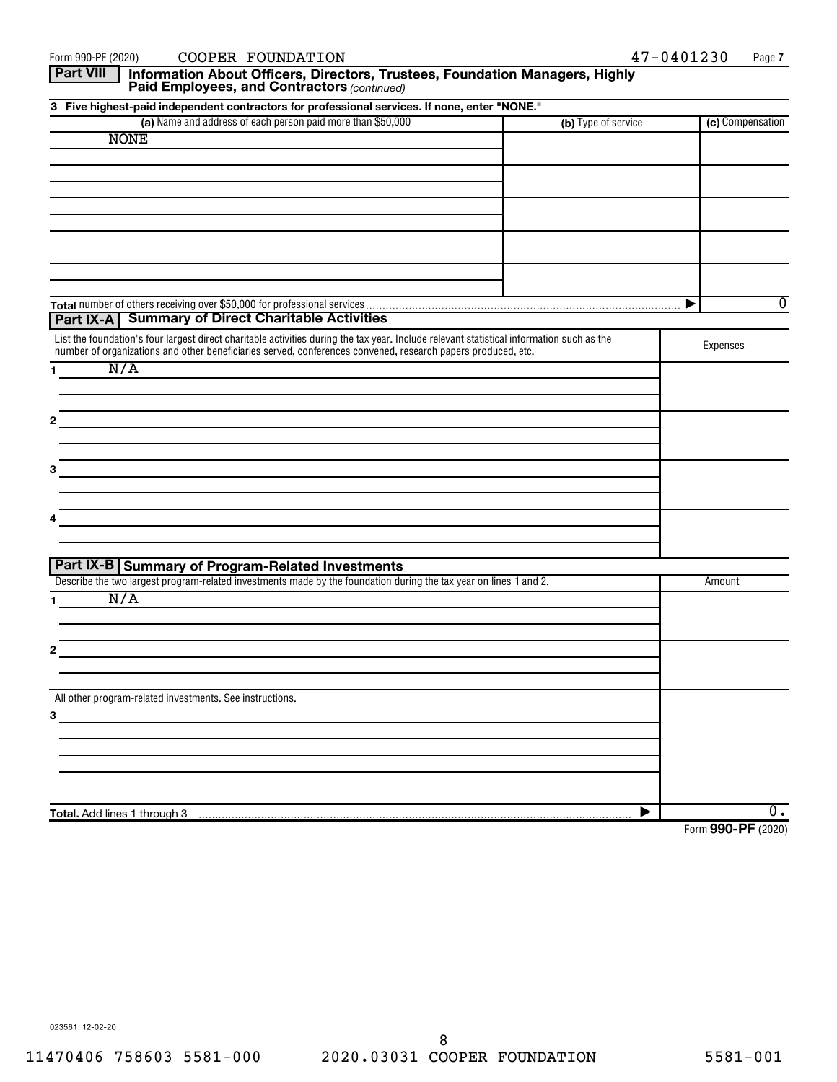| <b>Part VIII</b><br>Information About Officers, Directors, Trustees, Foundation Managers, Highly<br>Paid Employees, and Contractors (continued) |                    |
|-------------------------------------------------------------------------------------------------------------------------------------------------|--------------------|
| 3 Five highest-paid independent contractors for professional services. If none, enter "NONE."                                                   |                    |
| (a) Name and address of each person paid more than \$50,000<br>(b) Type of service                                                              | (c) Compensation   |
| <b>NONE</b>                                                                                                                                     |                    |
|                                                                                                                                                 |                    |
|                                                                                                                                                 |                    |
|                                                                                                                                                 |                    |
|                                                                                                                                                 |                    |
|                                                                                                                                                 |                    |
|                                                                                                                                                 |                    |
|                                                                                                                                                 |                    |
|                                                                                                                                                 |                    |
|                                                                                                                                                 | ⊽                  |
| <b>Part IX-A   Summary of Direct Charitable Activities</b>                                                                                      |                    |
| List the foundation's four largest direct charitable activities during the tax year. Include relevant statistical information such as the       |                    |
| number of organizations and other beneficiaries served, conferences convened, research papers produced, etc.                                    | Expenses           |
| N/A<br>1.                                                                                                                                       |                    |
|                                                                                                                                                 |                    |
|                                                                                                                                                 |                    |
| 2                                                                                                                                               |                    |
|                                                                                                                                                 |                    |
|                                                                                                                                                 |                    |
| 3                                                                                                                                               |                    |
|                                                                                                                                                 |                    |
|                                                                                                                                                 |                    |
| 4                                                                                                                                               |                    |
|                                                                                                                                                 |                    |
| Part IX-B Summary of Program-Related Investments                                                                                                |                    |
| Describe the two largest program-related investments made by the foundation during the tax year on lines 1 and 2.                               | Amount             |
| N/A<br>1.                                                                                                                                       |                    |
|                                                                                                                                                 |                    |
|                                                                                                                                                 |                    |
| 2                                                                                                                                               |                    |
|                                                                                                                                                 |                    |
|                                                                                                                                                 |                    |
| All other program-related investments. See instructions.                                                                                        |                    |
| 3                                                                                                                                               |                    |
|                                                                                                                                                 |                    |
|                                                                                                                                                 |                    |
|                                                                                                                                                 |                    |
|                                                                                                                                                 |                    |
| ▶<br>Total. Add lines 1 through 3                                                                                                               | $\overline{0}$ .   |
|                                                                                                                                                 | Form 990-PF (2020) |

Form 990-PF (2020)  $\qquad$   $\qquad$   $\qquad$   $\qquad$   $\qquad$   $\qquad$   $\qquad$   $\qquad$   $\qquad$   $\qquad$   $\qquad$   $\qquad$   $\qquad$   $\qquad$   $\qquad$   $\qquad$   $\qquad$   $\qquad$   $\qquad$   $\qquad$   $\qquad$   $\qquad$   $\qquad$   $\qquad$   $\qquad$   $\qquad$   $\qquad$   $\qquad$   $\qquad$   $\qquad$   $\qquad$   $\qquad$   $\qquad$   $\qquad$ 

**7**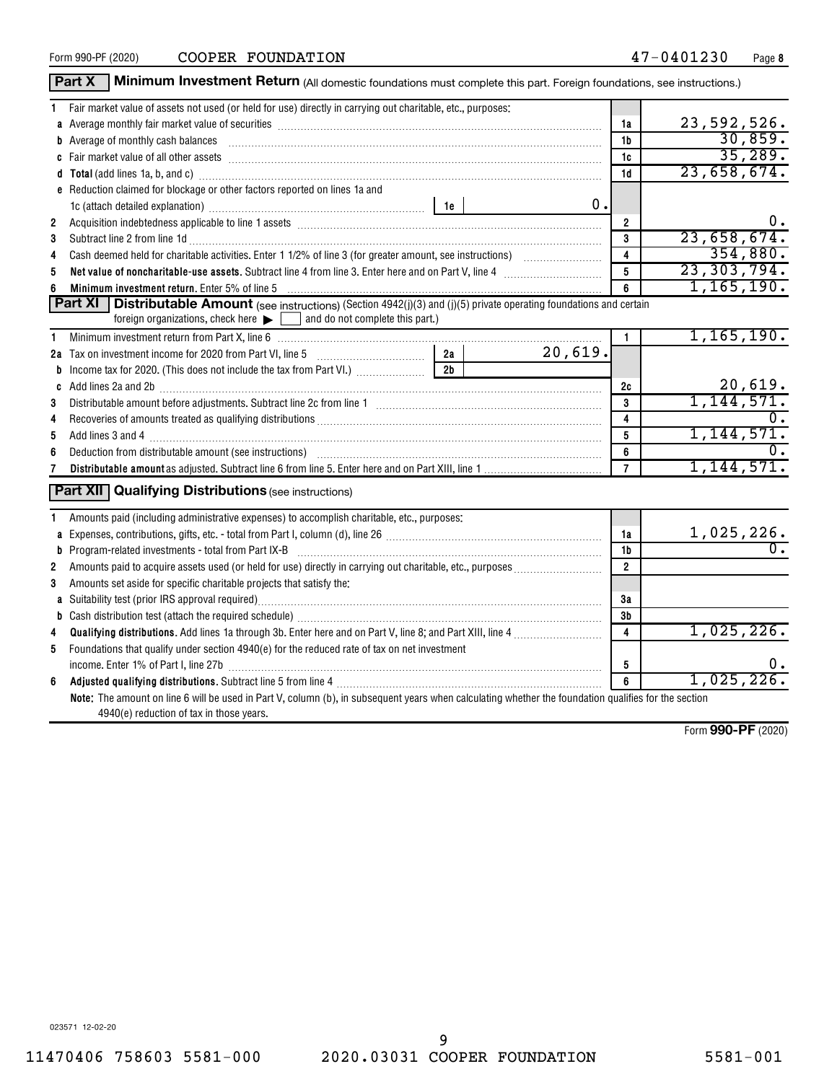Form 990-PF (2020)  $\qquad$   $\qquad$   $\qquad$   $\qquad$   $\qquad$   $\qquad$   $\qquad$   $\qquad$   $\qquad$   $\qquad$   $\qquad$   $\qquad$   $\qquad$   $\qquad$   $\qquad$   $\qquad$   $\qquad$   $\qquad$   $\qquad$   $\qquad$   $\qquad$   $\qquad$   $\qquad$   $\qquad$   $\qquad$   $\qquad$   $\qquad$   $\qquad$   $\qquad$   $\qquad$   $\qquad$   $\qquad$   $\qquad$   $\qquad$ 

|                | Part X<br>Minimum Investment Return (All domestic foundations must complete this part. Foreign foundations, see instructions.)                                                                                                 |                |         |                 |                   |
|----------------|--------------------------------------------------------------------------------------------------------------------------------------------------------------------------------------------------------------------------------|----------------|---------|-----------------|-------------------|
| 1.             | Fair market value of assets not used (or held for use) directly in carrying out charitable, etc., purposes:                                                                                                                    |                |         |                 |                   |
|                | a Average monthly fair market value of securities [11] match match match match of the control of the securities match of the second match match match match match match match match match match match match match match match  |                |         | 1a              | 23,592,526.       |
|                | b Average of monthly cash balances encounteral contracts and a series of monthly cash balances                                                                                                                                 |                |         | 1b              | 30,859.           |
|                |                                                                                                                                                                                                                                |                |         | 1c              | 35,289.           |
|                | d Total (add lines 1a, b, and c) manufactured and control of the control of the control of the control of the control of the control of the control of the control of the control of the control of the control of the control |                |         | 1 <sub>d</sub>  | 23,658,674.       |
|                | e Reduction claimed for blockage or other factors reported on lines 1a and                                                                                                                                                     |                |         |                 |                   |
|                |                                                                                                                                                                                                                                |                | 0.      |                 |                   |
| $\overline{2}$ | Acquisition indebtedness applicable to line 1 assets [11, 2010] Acquisition indebtedness applicable to line 1 assets [11, 2010] Acquisition indebtedness applicable to line 1 assets [11, 2010] Acquisition independent of the |                |         | $\mathbf{2}$    | 0.                |
| 3              | Subtract line 2 from line 1d <b>Machinese and Contract Line 2</b> from line 1d <b>Machinese Automobile 2</b>                                                                                                                   |                |         | 3               | 23,658,674.       |
| 4              |                                                                                                                                                                                                                                |                |         | 4               | 354,880.          |
| 5              |                                                                                                                                                                                                                                |                |         | 5               | 23, 303, 794.     |
|                | Minimum investment return. Enter 5% of line 5                                                                                                                                                                                  |                |         | 6               | 1, 165, 190.      |
|                | <b>Part XI</b> Distributable Amount (see instructions) (Section 4942(j)(3) and (j)(5) private operating foundations and certain                                                                                                |                |         |                 |                   |
|                | foreign organizations, check here $\blacktriangleright$ $\Box$ and do not complete this part.)                                                                                                                                 |                |         |                 |                   |
| 1              | Minimum investment return from Part X, line 6 [11] Minimum material contracts and the set of the set of the set of the set of the set of the set of the set of the set of the set of the set of the set of the set of the set  |                |         | $\mathbf{1}$    | 1,165,190.        |
|                |                                                                                                                                                                                                                                |                | 20,619. |                 |                   |
| b              | Income tax for 2020. (This does not include the tax from Part VI.)                                                                                                                                                             | 2 <sub>b</sub> |         |                 |                   |
|                |                                                                                                                                                                                                                                |                |         | 2c              | 20,619.           |
| 3              |                                                                                                                                                                                                                                |                |         | 3               | 1,144,571.        |
| 4              |                                                                                                                                                                                                                                |                |         | 4               | $\overline{0}$ .  |
| 5              |                                                                                                                                                                                                                                |                |         | 5               | 1,144,571.        |
| 6              |                                                                                                                                                                                                                                |                |         | 6               |                   |
| 7              |                                                                                                                                                                                                                                |                |         | $\overline{7}$  | 1, 144, 571.      |
|                | <b>Part XII</b> Qualifying Distributions (see instructions)                                                                                                                                                                    |                |         |                 |                   |
|                |                                                                                                                                                                                                                                |                |         |                 |                   |
| 1.             | Amounts paid (including administrative expenses) to accomplish charitable, etc., purposes:                                                                                                                                     |                |         |                 |                   |
|                |                                                                                                                                                                                                                                |                |         | 1a              | <u>1,025,226.</u> |
|                | <b>b</b> Program-related investments - total from Part IX-B                                                                                                                                                                    |                |         | 1b              |                   |
| 2              |                                                                                                                                                                                                                                |                |         | $\overline{2}$  |                   |
| 3              | Amounts set aside for specific charitable projects that satisfy the:                                                                                                                                                           |                |         |                 |                   |
|                |                                                                                                                                                                                                                                | 3a             |         |                 |                   |
|                |                                                                                                                                                                                                                                | 3b             |         |                 |                   |
| 4              |                                                                                                                                                                                                                                |                |         | 4               | 1,025,226.        |
| 5              | Foundations that qualify under section 4940(e) for the reduced rate of tax on net investment                                                                                                                                   |                |         |                 |                   |
|                | income. Enter 1% of Part I, line 27b [ with the content to the content of the content of the content of the content of the content of the content of the content of the content of the content of the content of the content o |                |         | 5               | 0.                |
| 6.             |                                                                                                                                                                                                                                |                |         | $6\overline{6}$ | 1,025,226.        |
|                | Note: The amount on line 6 will be used in Part V, column (b), in subsequent years when calculating whether the foundation qualifies for the section<br>4940(e) reduction of tax in those years.                               |                |         |                 |                   |

Form (2020) **990-PF**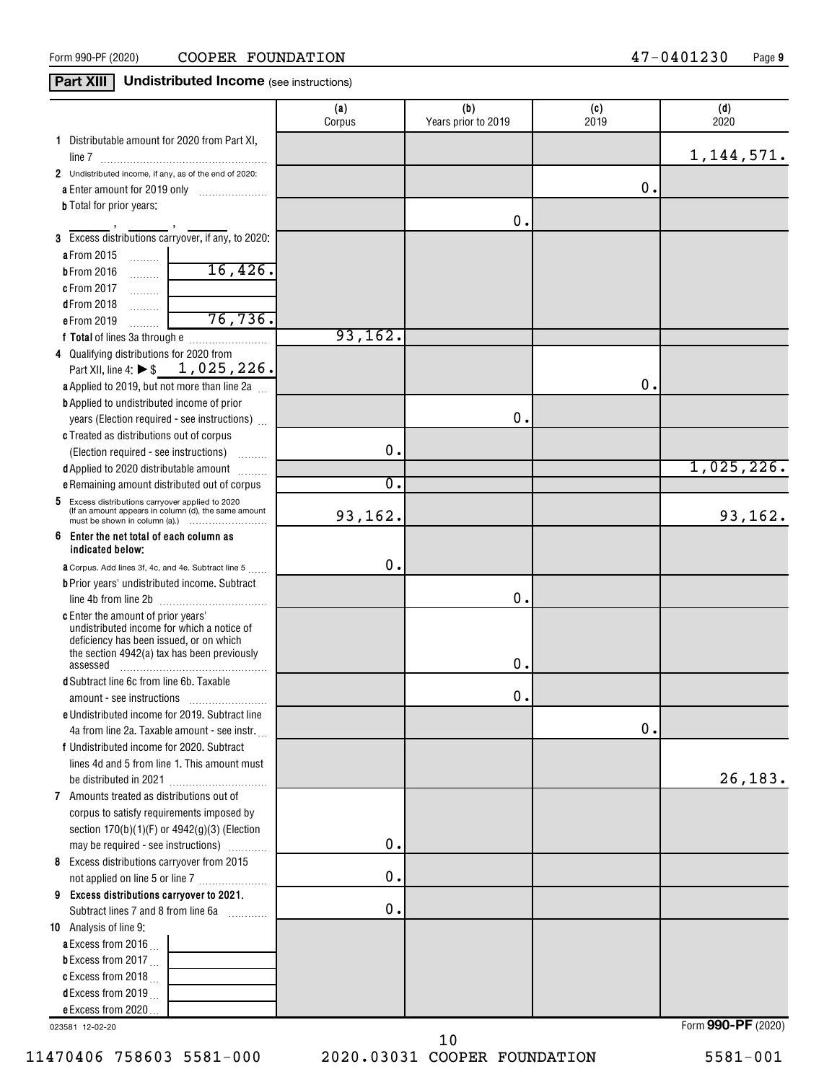## **Part XIII Undistributed Income** (see instructions)

|                                                                                     | (a)<br>Corpus | (b)<br>Years prior to 2019 | (c)<br>2019 | (d)<br>2020  |
|-------------------------------------------------------------------------------------|---------------|----------------------------|-------------|--------------|
| 1 Distributable amount for 2020 from Part XI,                                       |               |                            |             |              |
|                                                                                     |               |                            |             | 1, 144, 571. |
| 2 Undistributed income, if any, as of the end of 2020:                              |               |                            |             |              |
|                                                                                     |               |                            | 0.          |              |
| <b>b</b> Total for prior years:                                                     |               | о.                         |             |              |
| 3 Excess distributions carryover, if any, to 2020:                                  |               |                            |             |              |
| a From 2015<br>.                                                                    |               |                            |             |              |
| 16,426.<br><b>bFrom 2016</b><br>.                                                   |               |                            |             |              |
| c From 2017<br>.                                                                    |               |                            |             |              |
| <b>dFrom 2018</b><br>.                                                              |               |                            |             |              |
| 76, 736.<br>e From 2019                                                             |               |                            |             |              |
|                                                                                     | 93, 162.      |                            |             |              |
| 4 Qualifying distributions for 2020 from                                            |               |                            |             |              |
| Part XII, line 4: ▶ \$ 1, 025, 226.                                                 |               |                            |             |              |
| a Applied to 2019, but not more than line 2a                                        |               |                            | О.          |              |
| <b>b</b> Applied to undistributed income of prior                                   |               |                            |             |              |
| years (Election required - see instructions)                                        |               | 0.                         |             |              |
| c Treated as distributions out of corpus                                            | 0.            |                            |             |              |
| (Election required - see instructions)<br>d Applied to 2020 distributable amount    |               |                            |             | 1,025,226.   |
| e Remaining amount distributed out of corpus                                        | σ.            |                            |             |              |
| 5 Excess distributions carryover applied to 2020                                    |               |                            |             |              |
| (If an amount appears in column (d), the same amount                                | 93,162.       |                            |             | 93,162.      |
| Enter the net total of each column as<br>6<br>indicated below;                      |               |                            |             |              |
| <b>a</b> Corpus. Add lines 3f, 4c, and 4e. Subtract line 5                          | 0.            |                            |             |              |
| <b>b</b> Prior years' undistributed income. Subtract                                |               |                            |             |              |
|                                                                                     |               | о.                         |             |              |
| c Enter the amount of prior years'<br>undistributed income for which a notice of    |               |                            |             |              |
| deficiency has been issued, or on which                                             |               |                            |             |              |
| the section 4942(a) tax has been previously<br>assessed                             |               | о.                         |             |              |
| d Subtract line 6c from line 6b. Taxable                                            |               |                            |             |              |
|                                                                                     |               | 0.                         |             |              |
| e Undistributed income for 2019. Subtract line                                      |               |                            |             |              |
| 4a from line 2a. Taxable amount - see instr.                                        |               |                            | 0.          |              |
| f Undistributed income for 2020. Subtract                                           |               |                            |             |              |
| lines 4d and 5 from line 1. This amount must                                        |               |                            |             |              |
|                                                                                     |               |                            |             | 26,183.      |
| 7 Amounts treated as distributions out of                                           |               |                            |             |              |
| corpus to satisfy requirements imposed by                                           |               |                            |             |              |
| section 170(b)(1)(F) or 4942(g)(3) (Election<br>may be required - see instructions) | $\mathbf 0$ . |                            |             |              |
| 8 Excess distributions carryover from 2015                                          |               |                            |             |              |
| not applied on line 5 or line 7                                                     | $\mathbf 0$ . |                            |             |              |
| 9 Excess distributions carryover to 2021.                                           |               |                            |             |              |
| Subtract lines 7 and 8 from line 6a                                                 | 0.            |                            |             |              |
| 10 Analysis of line 9:                                                              |               |                            |             |              |
| a Excess from 2016.                                                                 |               |                            |             |              |
| <b>b</b> Excess from 2017 $\ldots$                                                  |               |                            |             |              |
| c Excess from 2018.                                                                 |               |                            |             |              |
| d Excess from 2019                                                                  |               |                            |             |              |
| e Excess from 2020                                                                  |               |                            |             |              |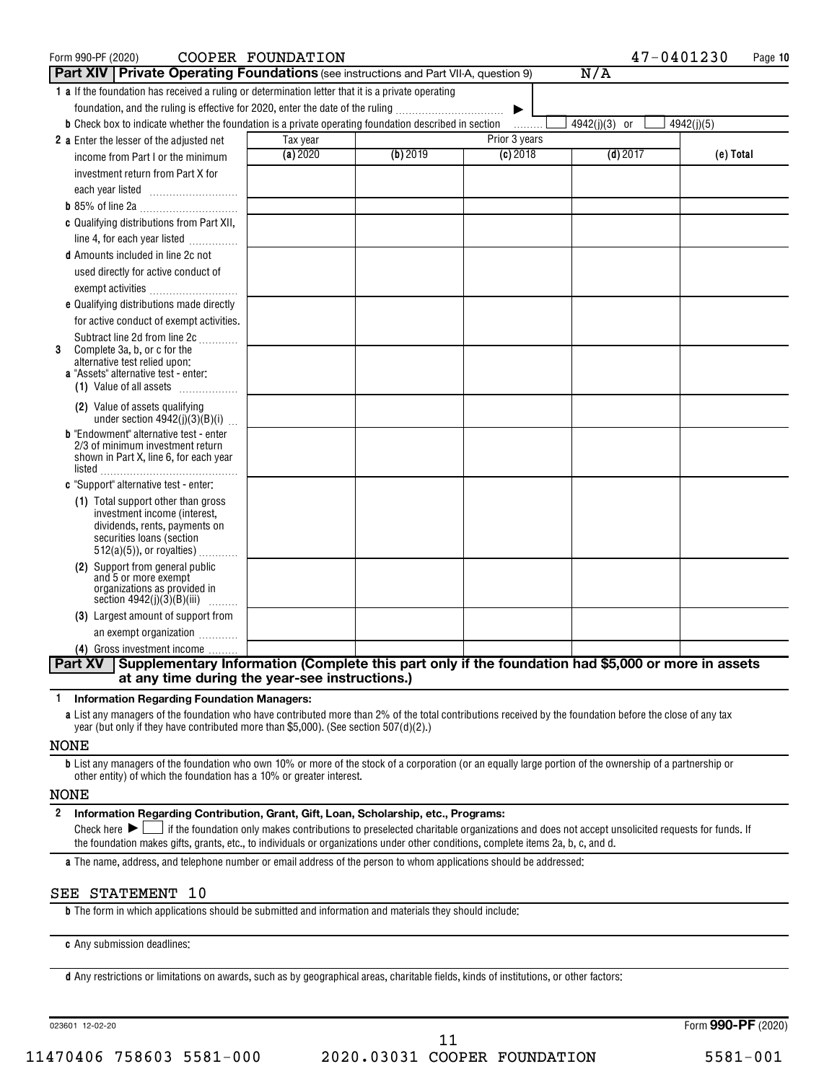| Form 990-PF (2020)                                                                                                                                  | COOPER FOUNDATION |          |               | 47-0401230    | Page 10    |
|-----------------------------------------------------------------------------------------------------------------------------------------------------|-------------------|----------|---------------|---------------|------------|
| <b>Part XIV Private Operating Foundations</b> (see instructions and Part VII-A, question 9)                                                         |                   |          |               | N/A           |            |
| 1 a If the foundation has received a ruling or determination letter that it is a private operating                                                  |                   |          |               |               |            |
| foundation, and the ruling is effective for 2020, enter the date of the ruling                                                                      |                   |          | ▶             |               |            |
| <b>b</b> Check box to indicate whether the foundation is a private operating foundation described in section                                        |                   |          | .             | 4942(j)(3) or | 4942(j)(5) |
| 2 a Enter the lesser of the adjusted net                                                                                                            | Tax year          |          | Prior 3 years |               |            |
| income from Part I or the minimum                                                                                                                   | (a) 2020          | (b) 2019 | $(c)$ 2018    | $(d)$ 2017    | (e) Total  |
| investment return from Part X for                                                                                                                   |                   |          |               |               |            |
|                                                                                                                                                     |                   |          |               |               |            |
|                                                                                                                                                     |                   |          |               |               |            |
| c Qualifying distributions from Part XII,                                                                                                           |                   |          |               |               |            |
| line 4, for each year listed                                                                                                                        |                   |          |               |               |            |
| d Amounts included in line 2c not                                                                                                                   |                   |          |               |               |            |
| used directly for active conduct of                                                                                                                 |                   |          |               |               |            |
| exempt activities                                                                                                                                   |                   |          |               |               |            |
| e Qualifying distributions made directly                                                                                                            |                   |          |               |               |            |
| for active conduct of exempt activities.                                                                                                            |                   |          |               |               |            |
| Subtract line 2d from line 2c                                                                                                                       |                   |          |               |               |            |
| Complete 3a, b, or c for the<br>3<br>alternative test relied upon:                                                                                  |                   |          |               |               |            |
| a "Assets" alternative test - enter:                                                                                                                |                   |          |               |               |            |
| (1) Value of all assets                                                                                                                             |                   |          |               |               |            |
| (2) Value of assets qualifying                                                                                                                      |                   |          |               |               |            |
| under section $4942(j)(3)(B)(i)$                                                                                                                    |                   |          |               |               |            |
| <b>b</b> "Endowment" alternative test - enter<br>2/3 of minimum investment return                                                                   |                   |          |               |               |            |
| shown in Part X, line 6, for each year                                                                                                              |                   |          |               |               |            |
|                                                                                                                                                     |                   |          |               |               |            |
| c "Support" alternative test - enter:                                                                                                               |                   |          |               |               |            |
| (1) Total support other than gross<br>investment income (interest,                                                                                  |                   |          |               |               |            |
| dividends, rents, payments on                                                                                                                       |                   |          |               |               |            |
| securities loans (section                                                                                                                           |                   |          |               |               |            |
| $512(a)(5)$ , or royalties)                                                                                                                         |                   |          |               |               |            |
| (2) Support from general public<br>and 5 or more exempt                                                                                             |                   |          |               |               |            |
| organizations as provided in                                                                                                                        |                   |          |               |               |            |
| section 4942(j)(3)(B)(iii)                                                                                                                          |                   |          |               |               |            |
| (3) Largest amount of support from                                                                                                                  |                   |          |               |               |            |
| an exempt organization                                                                                                                              |                   |          |               |               |            |
| (4) Gross investment income<br>Supplementary Information (Complete this part only if the foundation had \$5,000 or more in assets<br><b>Part XV</b> |                   |          |               |               |            |
| at any time during the year-see instructions.)                                                                                                      |                   |          |               |               |            |
|                                                                                                                                                     |                   |          |               |               |            |

#### **1 Information Regarding Foundation Managers:**

**a** List any managers of the foundation who have contributed more than 2% of the total contributions received by the foundation before the close of any tax year (but only if they have contributed more than \$5,000). (See section 507(d)(2).)

#### NONE

**b** List any managers of the foundation who own 10% or more of the stock of a corporation (or an equally large portion of the ownership of a partnership or other entity) of which the foundation has a 10% or greater interest.

#### NONE

#### **2 Information Regarding Contribution, Grant, Gift, Loan, Scholarship, etc., Programs:** Check here  $\sum_{n=0}^{\infty}$  if the foundation only makes contributions to preselected charitable organizations and does not accept unsolicited requests for funds. If

the foundation makes gifts, grants, etc., to individuals or organizations under other conditions, complete items 2a, b, c, and d.

**a** The name, address, and telephone number or email address of the person to whom applications should be addressed:

#### SEE STATEMENT 10

**b** The form in which applications should be submitted and information and materials they should include:

#### **c** Any submission deadlines:

**d** Any restrictions or limitations on awards, such as by geographical areas, charitable fields, kinds of institutions, or other factors:

023601 12-02-20

11470406 758603 5581-000 2020.03031 COOPER FOUNDATION 5581-001 11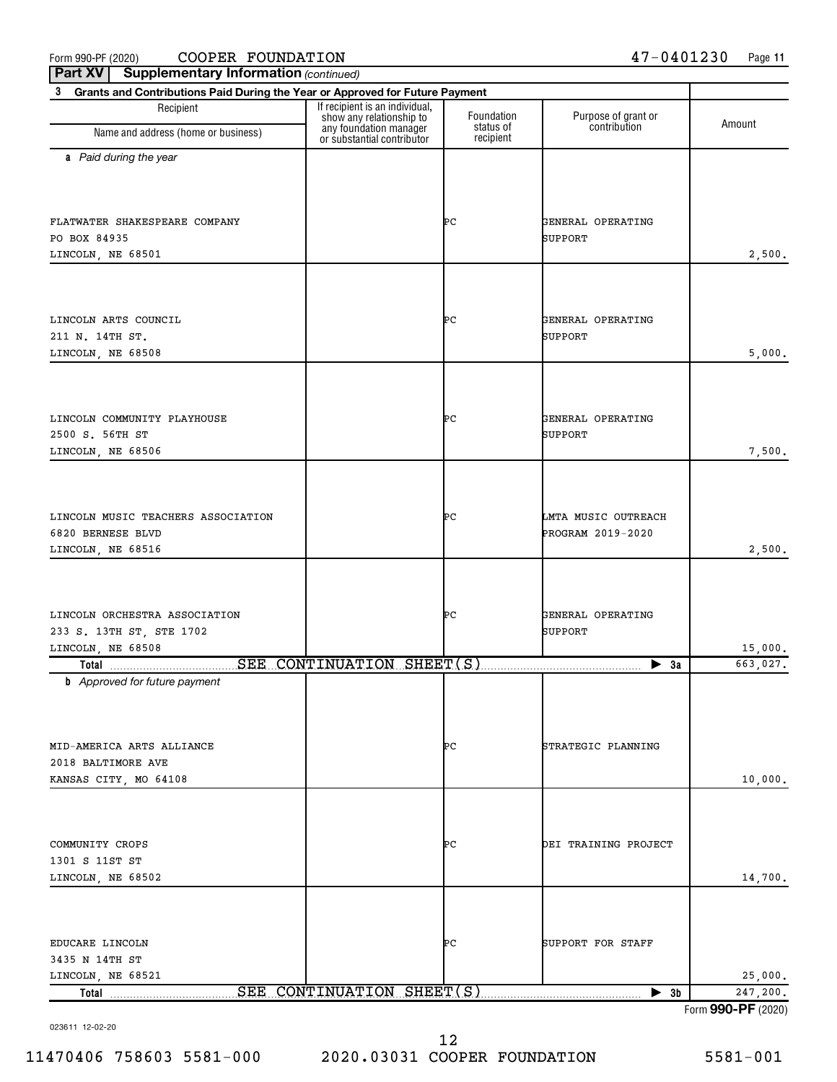Form 990-PF (2020)  $\qquad$   $\qquad$   $\qquad$   $\qquad$   $\qquad$   $\qquad$   $\qquad$   $\qquad$   $\qquad$   $\qquad$   $\qquad$   $\qquad$   $\qquad$   $\qquad$   $\qquad$   $\qquad$   $\qquad$   $\qquad$   $\qquad$   $\qquad$   $\qquad$   $\qquad$   $\qquad$   $\qquad$   $\qquad$   $\qquad$   $\qquad$   $\qquad$   $\qquad$   $\qquad$   $\qquad$   $\qquad$   $\qquad$   $\qquad$ 

**Part XV** | Supplementary Information (continued)

| 3<br>Grants and Contributions Paid During the Year or Approved for Future Payment |                                                            |                        |                                     |                    |  |  |
|-----------------------------------------------------------------------------------|------------------------------------------------------------|------------------------|-------------------------------------|--------------------|--|--|
| Recipient                                                                         | If recipient is an individual,<br>show any relationship to | Foundation             |                                     |                    |  |  |
| Name and address (home or business)                                               | any foundation manager<br>or substantial contributor       | status of<br>recipient | Purpose of grant or<br>contribution | Amount             |  |  |
| a Paid during the year                                                            |                                                            |                        |                                     |                    |  |  |
|                                                                                   |                                                            |                        |                                     |                    |  |  |
|                                                                                   |                                                            |                        |                                     |                    |  |  |
| FLATWATER SHAKESPEARE COMPANY                                                     |                                                            | ÞС                     | GENERAL OPERATING                   |                    |  |  |
| PO BOX 84935                                                                      |                                                            |                        | <b>SUPPORT</b>                      |                    |  |  |
| LINCOLN, NE 68501                                                                 |                                                            |                        |                                     | 2,500.             |  |  |
|                                                                                   |                                                            |                        |                                     |                    |  |  |
|                                                                                   |                                                            |                        |                                     |                    |  |  |
|                                                                                   |                                                            |                        |                                     |                    |  |  |
| LINCOLN ARTS COUNCIL<br>211 N. 14TH ST.                                           |                                                            | ÞС                     | GENERAL OPERATING<br>SUPPORT        |                    |  |  |
| LINCOLN, NE 68508                                                                 |                                                            |                        |                                     | 5,000.             |  |  |
|                                                                                   |                                                            |                        |                                     |                    |  |  |
|                                                                                   |                                                            |                        |                                     |                    |  |  |
|                                                                                   |                                                            |                        |                                     |                    |  |  |
| LINCOLN COMMUNITY PLAYHOUSE                                                       |                                                            | ÞС                     | GENERAL OPERATING                   |                    |  |  |
| 2500 S. 56TH ST                                                                   |                                                            |                        | SUPPORT                             |                    |  |  |
| LINCOLN, NE 68506                                                                 |                                                            |                        |                                     | 7,500.             |  |  |
|                                                                                   |                                                            |                        |                                     |                    |  |  |
|                                                                                   |                                                            |                        |                                     |                    |  |  |
| LINCOLN MUSIC TEACHERS ASSOCIATION                                                |                                                            | ÞС                     | LMTA MUSIC OUTREACH                 |                    |  |  |
| 6820 BERNESE BLVD                                                                 |                                                            |                        | PROGRAM 2019-2020                   |                    |  |  |
| LINCOLN, NE 68516                                                                 |                                                            |                        |                                     | 2,500.             |  |  |
|                                                                                   |                                                            |                        |                                     |                    |  |  |
|                                                                                   |                                                            |                        |                                     |                    |  |  |
| LINCOLN ORCHESTRA ASSOCIATION                                                     |                                                            | ÞС                     | GENERAL OPERATING                   |                    |  |  |
| 233 S. 13TH ST, STE 1702                                                          |                                                            |                        | <b>SUPPORT</b>                      |                    |  |  |
| LINCOLN, NE 68508                                                                 |                                                            |                        |                                     | 15,000.            |  |  |
| Total <b>Example 2018</b> SEE CONTINUATION SHEET(S)                               |                                                            |                        | $\blacktriangleright$ 3a            | 663,027.           |  |  |
| <b>b</b> Approved for future payment                                              |                                                            |                        |                                     |                    |  |  |
|                                                                                   |                                                            |                        |                                     |                    |  |  |
|                                                                                   |                                                            |                        |                                     |                    |  |  |
| MID-AMERICA ARTS ALLIANCE                                                         |                                                            | PС                     | STRATEGIC PLANNING                  |                    |  |  |
| 2018 BALTIMORE AVE                                                                |                                                            |                        |                                     |                    |  |  |
| KANSAS CITY, MO 64108                                                             |                                                            |                        |                                     | 10,000.            |  |  |
|                                                                                   |                                                            |                        |                                     |                    |  |  |
|                                                                                   |                                                            |                        |                                     |                    |  |  |
| COMMUNITY CROPS                                                                   |                                                            | PС                     | DEI TRAINING PROJECT                |                    |  |  |
| 1301 S 11ST ST                                                                    |                                                            |                        |                                     |                    |  |  |
| LINCOLN, NE 68502                                                                 |                                                            |                        |                                     | 14,700.            |  |  |
|                                                                                   |                                                            |                        |                                     |                    |  |  |
|                                                                                   |                                                            |                        |                                     |                    |  |  |
| EDUCARE LINCOLN                                                                   |                                                            | PС                     | SUPPORT FOR STAFF                   |                    |  |  |
| 3435 N 14TH ST                                                                    |                                                            |                        |                                     |                    |  |  |
| LINCOLN, NE 68521                                                                 |                                                            |                        |                                     | 25,000.            |  |  |
| Total                                                                             | SEE CONTINUATION SHEET (S)                                 |                        | $\blacktriangleright$ 3b            | 247,200.           |  |  |
|                                                                                   |                                                            |                        |                                     | Form 990-PF (2020) |  |  |

023611 12-02-20

11470406 758603 5581-000 2020.03031 COOPER FOUNDATION 5581-001 12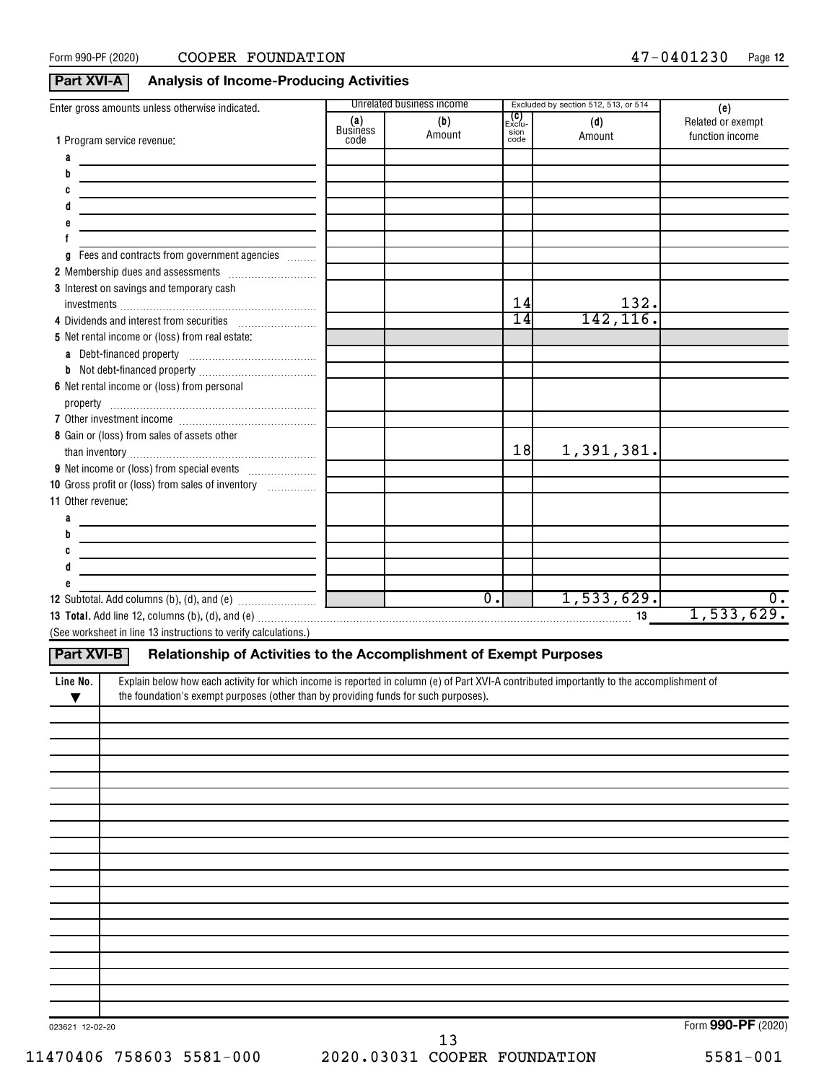## **Part XVI-A Analysis of Income-Producing Activities**

| Enter gross amounts unless otherwise indicated.                                                                                                       |                                | Unrelated business income |                                        | Excluded by section 512, 513, or 514 | (e)                                  |
|-------------------------------------------------------------------------------------------------------------------------------------------------------|--------------------------------|---------------------------|----------------------------------------|--------------------------------------|--------------------------------------|
| 1 Program service revenue:                                                                                                                            | (a)<br><b>Business</b><br>code | (b)<br>Amount             | _ <b>(C)</b><br>Exclu-<br>sion<br>code | (d)<br>Amount                        | Related or exempt<br>function income |
| a                                                                                                                                                     |                                |                           |                                        |                                      |                                      |
| b                                                                                                                                                     |                                |                           |                                        |                                      |                                      |
| c                                                                                                                                                     |                                |                           |                                        |                                      |                                      |
|                                                                                                                                                       |                                |                           |                                        |                                      |                                      |
|                                                                                                                                                       |                                |                           |                                        |                                      |                                      |
|                                                                                                                                                       |                                |                           |                                        |                                      |                                      |
| Fees and contracts from government agencies<br>g                                                                                                      |                                |                           |                                        |                                      |                                      |
|                                                                                                                                                       |                                |                           |                                        |                                      |                                      |
| 3 Interest on savings and temporary cash                                                                                                              |                                |                           |                                        |                                      |                                      |
|                                                                                                                                                       |                                |                           | 14                                     | $\frac{132}{142,116}$                |                                      |
| 4 Dividends and interest from securities                                                                                                              |                                |                           | $\overline{14}$                        |                                      |                                      |
| 5 Net rental income or (loss) from real estate:                                                                                                       |                                |                           |                                        |                                      |                                      |
|                                                                                                                                                       |                                |                           |                                        |                                      |                                      |
|                                                                                                                                                       |                                |                           |                                        |                                      |                                      |
| 6 Net rental income or (loss) from personal                                                                                                           |                                |                           |                                        |                                      |                                      |
|                                                                                                                                                       |                                |                           |                                        |                                      |                                      |
|                                                                                                                                                       |                                |                           |                                        |                                      |                                      |
| 8 Gain or (loss) from sales of assets other                                                                                                           |                                |                           | 18                                     | 1,391,381.                           |                                      |
|                                                                                                                                                       |                                |                           |                                        |                                      |                                      |
| 10 Gross profit or (loss) from sales of inventory                                                                                                     |                                |                           |                                        |                                      |                                      |
| 11 Other revenue:                                                                                                                                     |                                |                           |                                        |                                      |                                      |
| a                                                                                                                                                     |                                |                           |                                        |                                      |                                      |
| b                                                                                                                                                     |                                |                           |                                        |                                      |                                      |
| c                                                                                                                                                     |                                |                           |                                        |                                      |                                      |
|                                                                                                                                                       |                                |                           |                                        |                                      |                                      |
|                                                                                                                                                       |                                |                           |                                        |                                      |                                      |
|                                                                                                                                                       |                                | 0.1                       |                                        | 1,533,629.                           | $0$ .                                |
|                                                                                                                                                       |                                |                           |                                        |                                      | 1,533,629.                           |
| (See worksheet in line 13 instructions to verify calculations.)                                                                                       |                                |                           |                                        |                                      |                                      |
| Relationship of Activities to the Accomplishment of Exempt Purposes<br>Part XVI-B                                                                     |                                |                           |                                        |                                      |                                      |
| Explain below how each activity for which income is reported in column (e) of Part XVI-A contributed importantly to the accomplishment of<br>Line No. |                                |                           |                                        |                                      |                                      |
| the foundation's exempt purposes (other than by providing funds for such purposes).<br>▼                                                              |                                |                           |                                        |                                      |                                      |
|                                                                                                                                                       |                                |                           |                                        |                                      |                                      |
|                                                                                                                                                       |                                |                           |                                        |                                      |                                      |
|                                                                                                                                                       |                                |                           |                                        |                                      |                                      |
|                                                                                                                                                       |                                |                           |                                        |                                      |                                      |
|                                                                                                                                                       |                                |                           |                                        |                                      |                                      |
|                                                                                                                                                       |                                |                           |                                        |                                      |                                      |
|                                                                                                                                                       |                                |                           |                                        |                                      |                                      |
|                                                                                                                                                       |                                |                           |                                        |                                      |                                      |
|                                                                                                                                                       |                                |                           |                                        |                                      |                                      |
|                                                                                                                                                       |                                |                           |                                        |                                      |                                      |
|                                                                                                                                                       |                                |                           |                                        |                                      |                                      |
|                                                                                                                                                       |                                |                           |                                        |                                      |                                      |
|                                                                                                                                                       |                                |                           |                                        |                                      |                                      |
|                                                                                                                                                       |                                |                           |                                        |                                      |                                      |
|                                                                                                                                                       |                                |                           |                                        |                                      |                                      |
|                                                                                                                                                       |                                |                           |                                        |                                      |                                      |
|                                                                                                                                                       |                                |                           |                                        |                                      |                                      |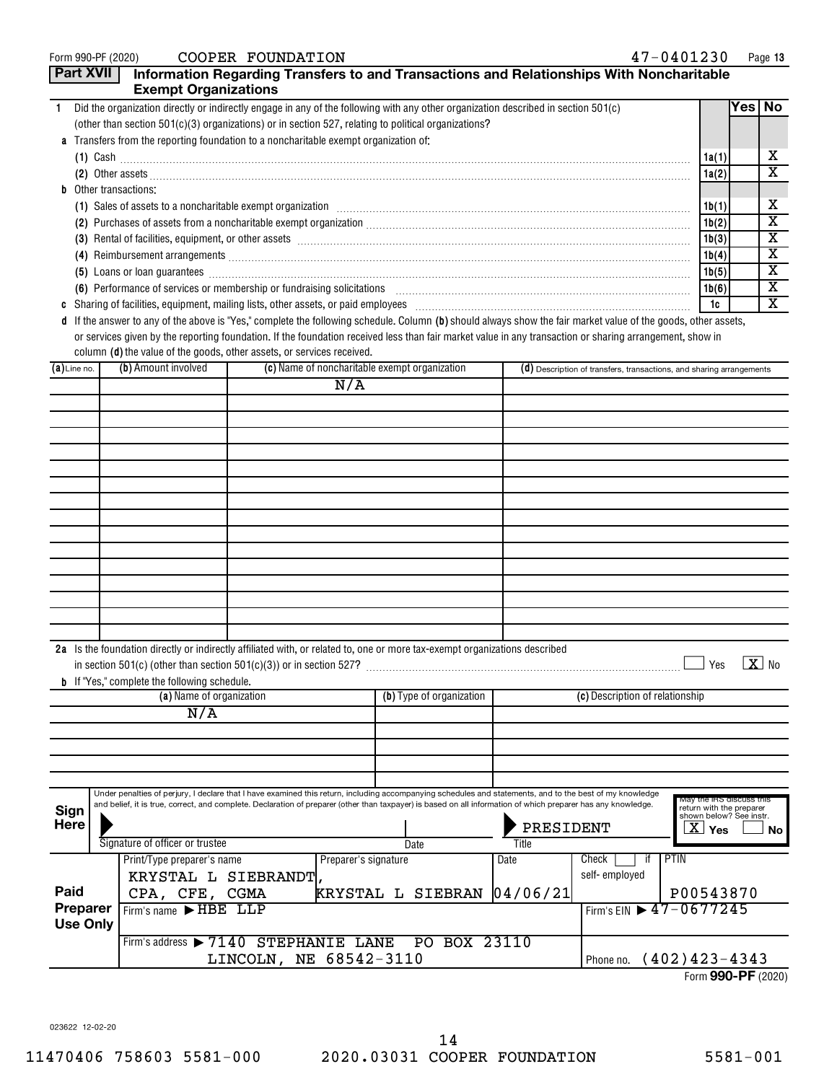|  |  | Form 990-PF (2020) |  |
|--|--|--------------------|--|
|--|--|--------------------|--|

Form 990-PF (2020) Page COOPER FOUNDATION 47-0401230

| <b>Part XVII</b> | <b>Exempt Organizations</b>                                                          |                        |                      |                                                                                                                                                                                                                                                                                                                           |           | Information Regarding Transfers to and Transactions and Relationships With Noncharitable                                                                                                                                            |                                                     |        |                         |
|------------------|--------------------------------------------------------------------------------------|------------------------|----------------------|---------------------------------------------------------------------------------------------------------------------------------------------------------------------------------------------------------------------------------------------------------------------------------------------------------------------------|-----------|-------------------------------------------------------------------------------------------------------------------------------------------------------------------------------------------------------------------------------------|-----------------------------------------------------|--------|-------------------------|
| $\mathbf{1}$     |                                                                                      |                        |                      | Did the organization directly or indirectly engage in any of the following with any other organization described in section 501(c)                                                                                                                                                                                        |           |                                                                                                                                                                                                                                     |                                                     | Yes No |                         |
|                  |                                                                                      |                        |                      | (other than section $501(c)(3)$ organizations) or in section 527, relating to political organizations?                                                                                                                                                                                                                    |           |                                                                                                                                                                                                                                     |                                                     |        |                         |
|                  | a Transfers from the reporting foundation to a noncharitable exempt organization of: |                        |                      |                                                                                                                                                                                                                                                                                                                           |           |                                                                                                                                                                                                                                     |                                                     |        |                         |
|                  |                                                                                      |                        |                      |                                                                                                                                                                                                                                                                                                                           |           |                                                                                                                                                                                                                                     | 1a(1)                                               |        | x                       |
|                  |                                                                                      |                        |                      |                                                                                                                                                                                                                                                                                                                           |           |                                                                                                                                                                                                                                     | 1a(2)                                               |        | $\overline{\texttt{x}}$ |
|                  | <b>b</b> Other transactions:                                                         |                        |                      |                                                                                                                                                                                                                                                                                                                           |           |                                                                                                                                                                                                                                     |                                                     |        |                         |
|                  |                                                                                      |                        |                      | (1) Sales of assets to a noncharitable exempt organization [11] Sales of assemnment can be a noncharitable exempt organization [11] Sales of assets to a noncharitable exempt organization [11] $\sim$                                                                                                                    |           |                                                                                                                                                                                                                                     | 1b(1)                                               |        | х                       |
|                  |                                                                                      |                        |                      |                                                                                                                                                                                                                                                                                                                           |           |                                                                                                                                                                                                                                     | 1b(2)                                               |        | $\overline{\text{x}}$   |
|                  |                                                                                      |                        |                      |                                                                                                                                                                                                                                                                                                                           |           | (3) Rental of facilities, equipment, or other assets [111] All and the content of the set of the set of the set of the set of the set of the set of the set of the set of the set of the set of the set of the set of the set       | 1b(3)                                               |        | $\overline{\mathbf{X}}$ |
|                  |                                                                                      |                        |                      |                                                                                                                                                                                                                                                                                                                           |           |                                                                                                                                                                                                                                     | 1b(4)                                               |        | $\overline{\textbf{x}}$ |
|                  |                                                                                      |                        |                      |                                                                                                                                                                                                                                                                                                                           |           | (5) Loans or loan guarantees <i>machines</i> and construction of the construction of the construction of the construction of the construction of the construction of the construction of the construction of the construction of th | 1b(5)                                               |        | $\overline{\mathbf{X}}$ |
|                  |                                                                                      |                        |                      |                                                                                                                                                                                                                                                                                                                           |           | (6) Performance of services or membership or fundraising solicitations [11] matches material content and services or membership or fundraising solicitations [11] material material content and the services of the services o      | 1b(6)                                               |        | $\overline{\text{x}}$   |
|                  |                                                                                      |                        |                      |                                                                                                                                                                                                                                                                                                                           |           |                                                                                                                                                                                                                                     | 1c                                                  |        | $\overline{\textbf{x}}$ |
|                  |                                                                                      |                        |                      |                                                                                                                                                                                                                                                                                                                           |           | d If the answer to any of the above is "Yes," complete the following schedule. Column (b) should always show the fair market value of the goods, other assets,                                                                      |                                                     |        |                         |
|                  |                                                                                      |                        |                      |                                                                                                                                                                                                                                                                                                                           |           | or services given by the reporting foundation. If the foundation received less than fair market value in any transaction or sharing arrangement, show in                                                                            |                                                     |        |                         |
|                  | column (d) the value of the goods, other assets, or services received.               |                        |                      |                                                                                                                                                                                                                                                                                                                           |           |                                                                                                                                                                                                                                     |                                                     |        |                         |
| $(a)$ Line no.   | (b) Amount involved                                                                  |                        |                      | (c) Name of noncharitable exempt organization                                                                                                                                                                                                                                                                             |           | (d) Description of transfers, transactions, and sharing arrangements                                                                                                                                                                |                                                     |        |                         |
|                  |                                                                                      |                        | N/A                  |                                                                                                                                                                                                                                                                                                                           |           |                                                                                                                                                                                                                                     |                                                     |        |                         |
|                  |                                                                                      |                        |                      |                                                                                                                                                                                                                                                                                                                           |           |                                                                                                                                                                                                                                     |                                                     |        |                         |
|                  |                                                                                      |                        |                      |                                                                                                                                                                                                                                                                                                                           |           |                                                                                                                                                                                                                                     |                                                     |        |                         |
|                  |                                                                                      |                        |                      |                                                                                                                                                                                                                                                                                                                           |           |                                                                                                                                                                                                                                     |                                                     |        |                         |
|                  |                                                                                      |                        |                      |                                                                                                                                                                                                                                                                                                                           |           |                                                                                                                                                                                                                                     |                                                     |        |                         |
|                  |                                                                                      |                        |                      |                                                                                                                                                                                                                                                                                                                           |           |                                                                                                                                                                                                                                     |                                                     |        |                         |
|                  |                                                                                      |                        |                      |                                                                                                                                                                                                                                                                                                                           |           |                                                                                                                                                                                                                                     |                                                     |        |                         |
|                  |                                                                                      |                        |                      |                                                                                                                                                                                                                                                                                                                           |           |                                                                                                                                                                                                                                     |                                                     |        |                         |
|                  |                                                                                      |                        |                      |                                                                                                                                                                                                                                                                                                                           |           |                                                                                                                                                                                                                                     |                                                     |        |                         |
|                  |                                                                                      |                        |                      |                                                                                                                                                                                                                                                                                                                           |           |                                                                                                                                                                                                                                     |                                                     |        |                         |
|                  |                                                                                      |                        |                      |                                                                                                                                                                                                                                                                                                                           |           |                                                                                                                                                                                                                                     |                                                     |        |                         |
|                  |                                                                                      |                        |                      |                                                                                                                                                                                                                                                                                                                           |           |                                                                                                                                                                                                                                     |                                                     |        |                         |
|                  |                                                                                      |                        |                      |                                                                                                                                                                                                                                                                                                                           |           |                                                                                                                                                                                                                                     |                                                     |        |                         |
|                  |                                                                                      |                        |                      |                                                                                                                                                                                                                                                                                                                           |           |                                                                                                                                                                                                                                     |                                                     |        |                         |
|                  |                                                                                      |                        |                      |                                                                                                                                                                                                                                                                                                                           |           |                                                                                                                                                                                                                                     |                                                     |        |                         |
|                  |                                                                                      |                        |                      | 2a Is the foundation directly or indirectly affiliated with, or related to, one or more tax-exempt organizations described                                                                                                                                                                                                |           |                                                                                                                                                                                                                                     |                                                     |        |                         |
|                  |                                                                                      |                        |                      |                                                                                                                                                                                                                                                                                                                           |           |                                                                                                                                                                                                                                     | Yes                                                 |        | $X$ No                  |
|                  | <b>b</b> If "Yes," complete the following schedule.                                  |                        |                      |                                                                                                                                                                                                                                                                                                                           |           |                                                                                                                                                                                                                                     |                                                     |        |                         |
|                  | (a) Name of organization                                                             |                        |                      | (b) Type of organization                                                                                                                                                                                                                                                                                                  |           | (c) Description of relationship                                                                                                                                                                                                     |                                                     |        |                         |
|                  | N/A                                                                                  |                        |                      |                                                                                                                                                                                                                                                                                                                           |           |                                                                                                                                                                                                                                     |                                                     |        |                         |
|                  |                                                                                      |                        |                      |                                                                                                                                                                                                                                                                                                                           |           |                                                                                                                                                                                                                                     |                                                     |        |                         |
|                  |                                                                                      |                        |                      |                                                                                                                                                                                                                                                                                                                           |           |                                                                                                                                                                                                                                     |                                                     |        |                         |
|                  |                                                                                      |                        |                      |                                                                                                                                                                                                                                                                                                                           |           |                                                                                                                                                                                                                                     |                                                     |        |                         |
|                  |                                                                                      |                        |                      |                                                                                                                                                                                                                                                                                                                           |           |                                                                                                                                                                                                                                     |                                                     |        |                         |
|                  |                                                                                      |                        |                      | Under penalties of perjury, I declare that I have examined this return, including accompanying schedules and statements, and to the best of my knowledge<br>and belief, it is true, correct, and complete. Declaration of preparer (other than taxpayer) is based on all information of which preparer has any knowledge. |           |                                                                                                                                                                                                                                     | May the IRS discuss this                            |        |                         |
| Sign             |                                                                                      |                        |                      |                                                                                                                                                                                                                                                                                                                           |           |                                                                                                                                                                                                                                     | return with the preparer<br>shown below? See instr. |        |                         |
| <b>Here</b>      |                                                                                      |                        |                      |                                                                                                                                                                                                                                                                                                                           | PRESIDENT |                                                                                                                                                                                                                                     | $\overline{X}$ Yes                                  |        | No                      |
|                  | Signature of officer or trustee                                                      |                        |                      | Date                                                                                                                                                                                                                                                                                                                      | Title     |                                                                                                                                                                                                                                     |                                                     |        |                         |
|                  | Print/Type preparer's name                                                           |                        | Preparer's signature |                                                                                                                                                                                                                                                                                                                           | Date      | PTIN<br>Check<br>if                                                                                                                                                                                                                 |                                                     |        |                         |
|                  | KRYSTAL L SIEBRANDT,                                                                 |                        |                      |                                                                                                                                                                                                                                                                                                                           |           | self-employed                                                                                                                                                                                                                       |                                                     |        |                         |
| Paid             | CPA, CFE, CGMA                                                                       |                        |                      | KRYSTAL L SIEBRAN                                                                                                                                                                                                                                                                                                         | 04/06/21  |                                                                                                                                                                                                                                     | P00543870                                           |        |                         |
| Preparer         | Firm's name FHBE LLP                                                                 |                        |                      |                                                                                                                                                                                                                                                                                                                           |           | Firm's EIN 17-0677245                                                                                                                                                                                                               |                                                     |        |                         |
| <b>Use Only</b>  |                                                                                      |                        |                      |                                                                                                                                                                                                                                                                                                                           |           |                                                                                                                                                                                                                                     |                                                     |        |                         |
|                  | Firm's address > 7140 STEPHANIE LANE                                                 |                        |                      | PO BOX 23110                                                                                                                                                                                                                                                                                                              |           |                                                                                                                                                                                                                                     |                                                     |        |                         |
|                  |                                                                                      | LINCOLN, NE 68542-3110 |                      |                                                                                                                                                                                                                                                                                                                           |           | Phone no. (402) 423-4343                                                                                                                                                                                                            |                                                     |        |                         |

Form (2020) **990-PF**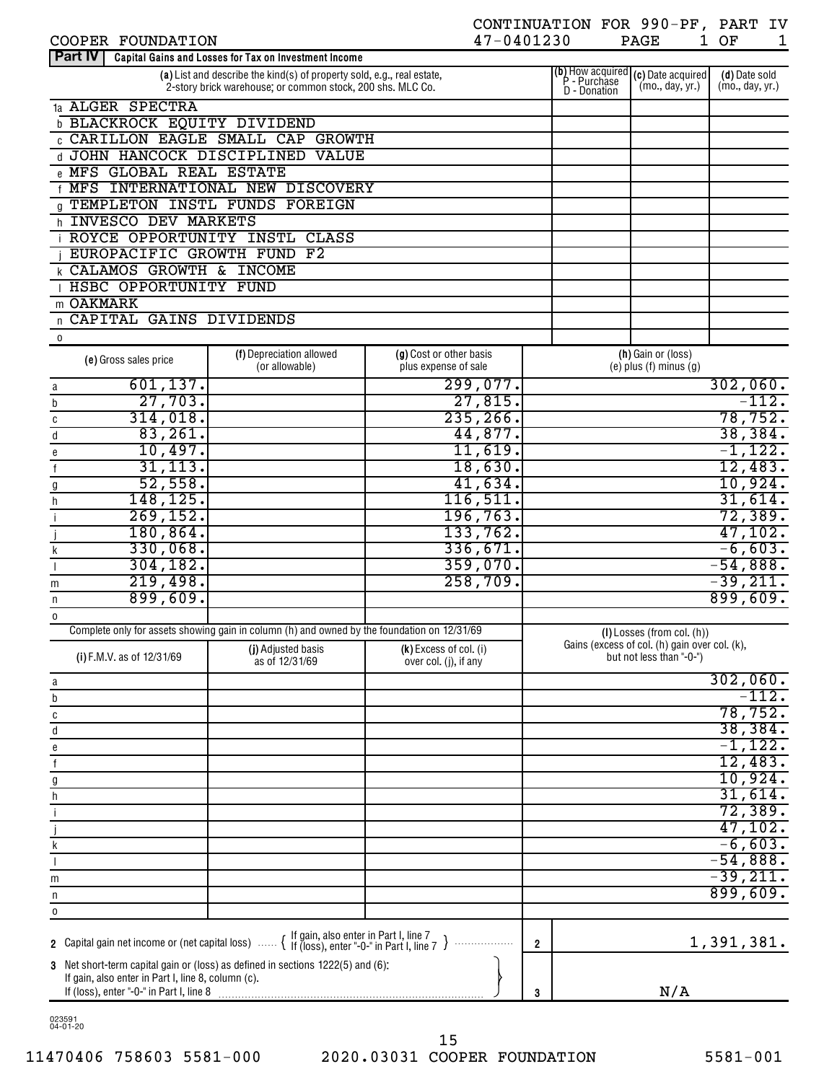| Part IV<br>Capital Gains and Losses for Tax on Investment Income                                                                                                                                                                                                                                                                                                                               |                                                                                             |                                                   |                |                                                                           |            |  |
|------------------------------------------------------------------------------------------------------------------------------------------------------------------------------------------------------------------------------------------------------------------------------------------------------------------------------------------------------------------------------------------------|---------------------------------------------------------------------------------------------|---------------------------------------------------|----------------|---------------------------------------------------------------------------|------------|--|
| (b) How acquired $(c)$ Date acquired<br>P - Purchase $\begin{pmatrix} (c) & \text{Date} & \text{acquired} \\ \text{C} & \text{C} & \text{day} & \text{yr} \end{pmatrix}$<br>(a) List and describe the kind(s) of property sold, e.g., real estate,<br>(d) Date sold<br>(mo., day, yr.)<br>(mo., day, yr.)<br>2-story brick warehouse; or common stock, 200 shs. MLC Co.<br><b>D</b> - Donation |                                                                                             |                                                   |                |                                                                           |            |  |
| 1a ALGER SPECTRA                                                                                                                                                                                                                                                                                                                                                                               |                                                                                             |                                                   |                |                                                                           |            |  |
| <b>b BLACKROCK EQUITY DIVIDEND</b>                                                                                                                                                                                                                                                                                                                                                             |                                                                                             |                                                   |                |                                                                           |            |  |
|                                                                                                                                                                                                                                                                                                                                                                                                | <b>C CARILLON EAGLE SMALL CAP GROWTH</b>                                                    |                                                   |                |                                                                           |            |  |
| d JOHN HANCOCK DISCIPLINED                                                                                                                                                                                                                                                                                                                                                                     | VALUE                                                                                       |                                                   |                |                                                                           |            |  |
| e MFS GLOBAL REAL ESTATE                                                                                                                                                                                                                                                                                                                                                                       |                                                                                             |                                                   |                |                                                                           |            |  |
| MFS                                                                                                                                                                                                                                                                                                                                                                                            | INTERNATIONAL NEW DISCOVERY                                                                 |                                                   |                |                                                                           |            |  |
| a                                                                                                                                                                                                                                                                                                                                                                                              | TEMPLETON INSTL FUNDS FOREIGN                                                               |                                                   |                |                                                                           |            |  |
| h INVESCO DEV MARKETS                                                                                                                                                                                                                                                                                                                                                                          |                                                                                             |                                                   |                |                                                                           |            |  |
| ROYCE OPPORTUNITY INSTL                                                                                                                                                                                                                                                                                                                                                                        | CLASS                                                                                       |                                                   |                |                                                                           |            |  |
| EUROPACIFIC GROWTH FUND                                                                                                                                                                                                                                                                                                                                                                        | F2                                                                                          |                                                   |                |                                                                           |            |  |
| <b>k CALAMOS GROWTH &amp; INCOME</b><br>HSBC OPPORTUNITY FUND                                                                                                                                                                                                                                                                                                                                  |                                                                                             |                                                   |                |                                                                           |            |  |
| m OAKMARK                                                                                                                                                                                                                                                                                                                                                                                      |                                                                                             |                                                   |                |                                                                           |            |  |
| CAPITAL GAINS DIVIDENDS                                                                                                                                                                                                                                                                                                                                                                        |                                                                                             |                                                   |                |                                                                           |            |  |
| n                                                                                                                                                                                                                                                                                                                                                                                              |                                                                                             |                                                   |                |                                                                           |            |  |
| 0                                                                                                                                                                                                                                                                                                                                                                                              | (f) Depreciation allowed                                                                    | (g) Cost or other basis                           |                | (h) Gain or (loss)                                                        |            |  |
| (e) Gross sales price                                                                                                                                                                                                                                                                                                                                                                          | (or allowable)                                                                              | plus expense of sale                              |                | $(e)$ plus $(f)$ minus $(g)$                                              |            |  |
| 601, 137.<br>a                                                                                                                                                                                                                                                                                                                                                                                 |                                                                                             | 299,077.                                          |                |                                                                           | 302,060.   |  |
| 27,703.<br>b                                                                                                                                                                                                                                                                                                                                                                                   |                                                                                             | 27,815.                                           |                |                                                                           | $-112.$    |  |
| 314,018.<br>C                                                                                                                                                                                                                                                                                                                                                                                  |                                                                                             | 235, 266.                                         |                |                                                                           | 78, 752.   |  |
| 83,261.<br>d                                                                                                                                                                                                                                                                                                                                                                                   |                                                                                             | 44,877.                                           |                |                                                                           | 38,384.    |  |
| 10,497.<br>e                                                                                                                                                                                                                                                                                                                                                                                   |                                                                                             | 11,619.                                           |                |                                                                           | $-1,122.$  |  |
| 31, 113.<br>$\mathsf{f}$                                                                                                                                                                                                                                                                                                                                                                       |                                                                                             | 18,630.                                           |                |                                                                           | 12,483.    |  |
| 52,558.<br>$\mathfrak{g}$                                                                                                                                                                                                                                                                                                                                                                      |                                                                                             | 41,634.                                           |                |                                                                           | 10,924.    |  |
| 148,125.<br>h                                                                                                                                                                                                                                                                                                                                                                                  |                                                                                             | 116,511.                                          |                |                                                                           | 31,614.    |  |
| 269, 152.<br>j.                                                                                                                                                                                                                                                                                                                                                                                |                                                                                             | 196, 763.                                         |                |                                                                           | 72,389.    |  |
| 180, 864.                                                                                                                                                                                                                                                                                                                                                                                      |                                                                                             | 133,762.                                          |                |                                                                           | 47,102.    |  |
| 330,068.<br>k                                                                                                                                                                                                                                                                                                                                                                                  |                                                                                             | 336,671.                                          |                |                                                                           | $-6,603.$  |  |
| 304, 182.<br>$\overline{\phantom{a}}$                                                                                                                                                                                                                                                                                                                                                          |                                                                                             | 359,070.                                          |                |                                                                           | $-54,888.$ |  |
| 219,498.<br>m                                                                                                                                                                                                                                                                                                                                                                                  |                                                                                             | 258,709.                                          |                |                                                                           | $-39,211.$ |  |
| 899,609.<br>n                                                                                                                                                                                                                                                                                                                                                                                  |                                                                                             |                                                   |                |                                                                           | 899,609.   |  |
| $\mathbf 0$                                                                                                                                                                                                                                                                                                                                                                                    |                                                                                             |                                                   |                |                                                                           |            |  |
|                                                                                                                                                                                                                                                                                                                                                                                                | Complete only for assets showing gain in column (h) and owned by the foundation on 12/31/69 |                                                   |                | $(I)$ Losses (from col. $(h)$ )                                           |            |  |
| (i) F.M.V. as of 12/31/69                                                                                                                                                                                                                                                                                                                                                                      | (j) Adjusted basis<br>as of 12/31/69                                                        | $(k)$ Excess of col. (i)<br>over col. (j), if any |                | Gains (excess of col. (h) gain over col. (k),<br>but not less than "-0-") |            |  |
| a                                                                                                                                                                                                                                                                                                                                                                                              |                                                                                             |                                                   |                |                                                                           | 302,060.   |  |
| b                                                                                                                                                                                                                                                                                                                                                                                              |                                                                                             |                                                   |                |                                                                           | $-112.$    |  |
| C                                                                                                                                                                                                                                                                                                                                                                                              |                                                                                             |                                                   |                |                                                                           | 78, 752.   |  |
| d                                                                                                                                                                                                                                                                                                                                                                                              |                                                                                             |                                                   |                |                                                                           | 38,384.    |  |
| e                                                                                                                                                                                                                                                                                                                                                                                              |                                                                                             |                                                   |                |                                                                           | $-1, 122.$ |  |
| $\mathsf f$                                                                                                                                                                                                                                                                                                                                                                                    |                                                                                             |                                                   |                |                                                                           | 12,483.    |  |
| $\mathfrak{g}$                                                                                                                                                                                                                                                                                                                                                                                 |                                                                                             |                                                   |                |                                                                           | 10,924.    |  |
| h                                                                                                                                                                                                                                                                                                                                                                                              |                                                                                             |                                                   |                |                                                                           | 31,614.    |  |
| j.                                                                                                                                                                                                                                                                                                                                                                                             |                                                                                             |                                                   |                |                                                                           | 72,389.    |  |
|                                                                                                                                                                                                                                                                                                                                                                                                |                                                                                             |                                                   |                |                                                                           | 47, 102.   |  |
| k                                                                                                                                                                                                                                                                                                                                                                                              |                                                                                             |                                                   |                |                                                                           | $-6,603.$  |  |
| $\overline{\phantom{a}}$                                                                                                                                                                                                                                                                                                                                                                       |                                                                                             |                                                   |                |                                                                           | $-54,888.$ |  |
| m                                                                                                                                                                                                                                                                                                                                                                                              |                                                                                             |                                                   |                |                                                                           | $-39,211.$ |  |
| n                                                                                                                                                                                                                                                                                                                                                                                              |                                                                                             |                                                   |                |                                                                           | 899,609.   |  |
| $\mathbf 0$                                                                                                                                                                                                                                                                                                                                                                                    |                                                                                             |                                                   |                |                                                                           |            |  |
|                                                                                                                                                                                                                                                                                                                                                                                                | 2 Capital gain net income or (net capital loss)  { If gain, also enter in Part I, line 7 ]  |                                                   | $\overline{2}$ |                                                                           | 1,391,381. |  |
|                                                                                                                                                                                                                                                                                                                                                                                                | 3 Net short-term capital gain or (loss) as defined in sections 1222(5) and (6):             |                                                   |                |                                                                           |            |  |
| If gain, also enter in Part I, line 8, column (c).                                                                                                                                                                                                                                                                                                                                             |                                                                                             |                                                   |                |                                                                           |            |  |
| If (loss), enter "-0-" in Part I, line 8                                                                                                                                                                                                                                                                                                                                                       |                                                                                             |                                                   | 3              | N/A                                                                       |            |  |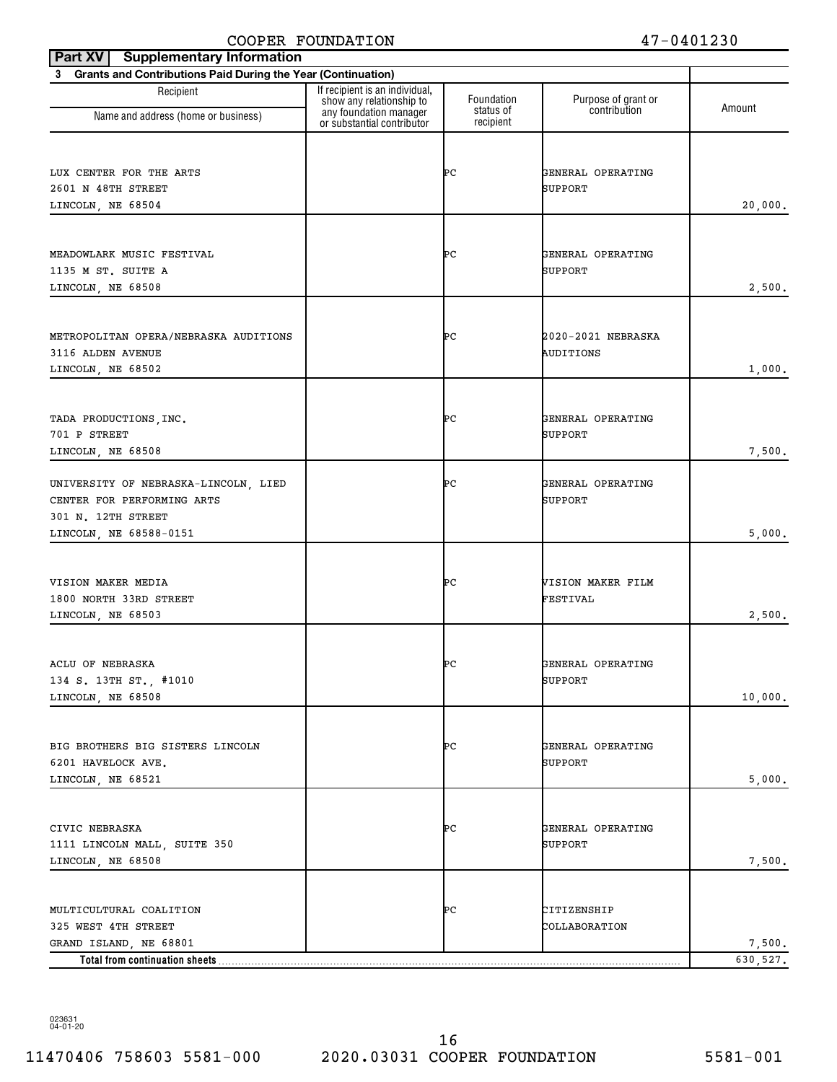| Part XV<br><b>Supplementary Information</b>                    |                                                                                      |                         |                                     |          |
|----------------------------------------------------------------|--------------------------------------------------------------------------------------|-------------------------|-------------------------------------|----------|
| 3 Grants and Contributions Paid During the Year (Continuation) |                                                                                      |                         |                                     |          |
| Recipient<br>Name and address (home or business)               | If recipient is an individual,<br>show any relationship to<br>any foundation manager | Foundation<br>status of | Purpose of grant or<br>contribution | Amount   |
|                                                                | or substantial contributor                                                           | recipient               |                                     |          |
|                                                                |                                                                                      |                         |                                     |          |
| LUX CENTER FOR THE ARTS                                        |                                                                                      | ÞС                      | GENERAL OPERATING                   |          |
| 2601 N 48TH STREET                                             |                                                                                      |                         | SUPPORT                             |          |
| LINCOLN, NE 68504                                              |                                                                                      |                         |                                     | 20,000.  |
|                                                                |                                                                                      |                         |                                     |          |
| MEADOWLARK MUSIC FESTIVAL                                      |                                                                                      | ÞС                      | GENERAL OPERATING                   |          |
| 1135 M ST. SUITE A                                             |                                                                                      |                         | SUPPORT                             |          |
| LINCOLN, NE 68508                                              |                                                                                      |                         |                                     | 2,500.   |
|                                                                |                                                                                      |                         |                                     |          |
|                                                                |                                                                                      |                         |                                     |          |
| METROPOLITAN OPERA/NEBRASKA AUDITIONS                          |                                                                                      | ÞС                      | 2020-2021 NEBRASKA                  |          |
| 3116 ALDEN AVENUE<br>LINCOLN, NE 68502                         |                                                                                      |                         | AUDITIONS                           | 1,000.   |
|                                                                |                                                                                      |                         |                                     |          |
|                                                                |                                                                                      |                         |                                     |          |
| TADA PRODUCTIONS, INC.                                         |                                                                                      | ÞС                      | GENERAL OPERATING                   |          |
| 701 P STREET                                                   |                                                                                      |                         | SUPPORT                             |          |
| LINCOLN, NE 68508                                              |                                                                                      |                         |                                     | 7,500.   |
| UNIVERSITY OF NEBRASKA-LINCOLN, LIED                           |                                                                                      | ÞС                      | GENERAL OPERATING                   |          |
| CENTER FOR PERFORMING ARTS                                     |                                                                                      |                         | SUPPORT                             |          |
| 301 N. 12TH STREET                                             |                                                                                      |                         |                                     |          |
| LINCOLN, NE 68588-0151                                         |                                                                                      |                         |                                     | 5,000.   |
|                                                                |                                                                                      |                         |                                     |          |
| VISION MAKER MEDIA                                             |                                                                                      | ÞС                      | VISION MAKER FILM                   |          |
| 1800 NORTH 33RD STREET                                         |                                                                                      |                         | FESTIVAL                            |          |
| LINCOLN, NE 68503                                              |                                                                                      |                         |                                     | 2,500.   |
|                                                                |                                                                                      |                         |                                     |          |
|                                                                |                                                                                      |                         |                                     |          |
| ACLU OF NEBRASKA<br>134 S. 13TH ST., #1010                     |                                                                                      | ÞС                      | GENERAL OPERATING                   |          |
| LINCOLN, NE 68508                                              |                                                                                      |                         | SUPPORT                             | 10,000.  |
|                                                                |                                                                                      |                         |                                     |          |
|                                                                |                                                                                      |                         |                                     |          |
| BIG BROTHERS BIG SISTERS LINCOLN                               |                                                                                      | ÞС                      | GENERAL OPERATING                   |          |
| 6201 HAVELOCK AVE.                                             |                                                                                      |                         | SUPPORT                             |          |
| LINCOLN, NE 68521                                              |                                                                                      |                         |                                     | 5,000.   |
|                                                                |                                                                                      |                         |                                     |          |
| CIVIC NEBRASKA                                                 |                                                                                      | ÞС                      | GENERAL OPERATING                   |          |
| 1111 LINCOLN MALL, SUITE 350                                   |                                                                                      |                         | SUPPORT                             |          |
| LINCOLN, NE 68508                                              |                                                                                      |                         |                                     | 7,500.   |
|                                                                |                                                                                      |                         |                                     |          |
| MULTICULTURAL COALITION                                        |                                                                                      | ÞС                      | CITIZENSHIP                         |          |
| 325 WEST 4TH STREET                                            |                                                                                      |                         | COLLABORATION                       |          |
| GRAND ISLAND, NE 68801                                         |                                                                                      |                         |                                     | 7,500.   |
| Total from continuation sheets                                 |                                                                                      |                         |                                     | 630,527. |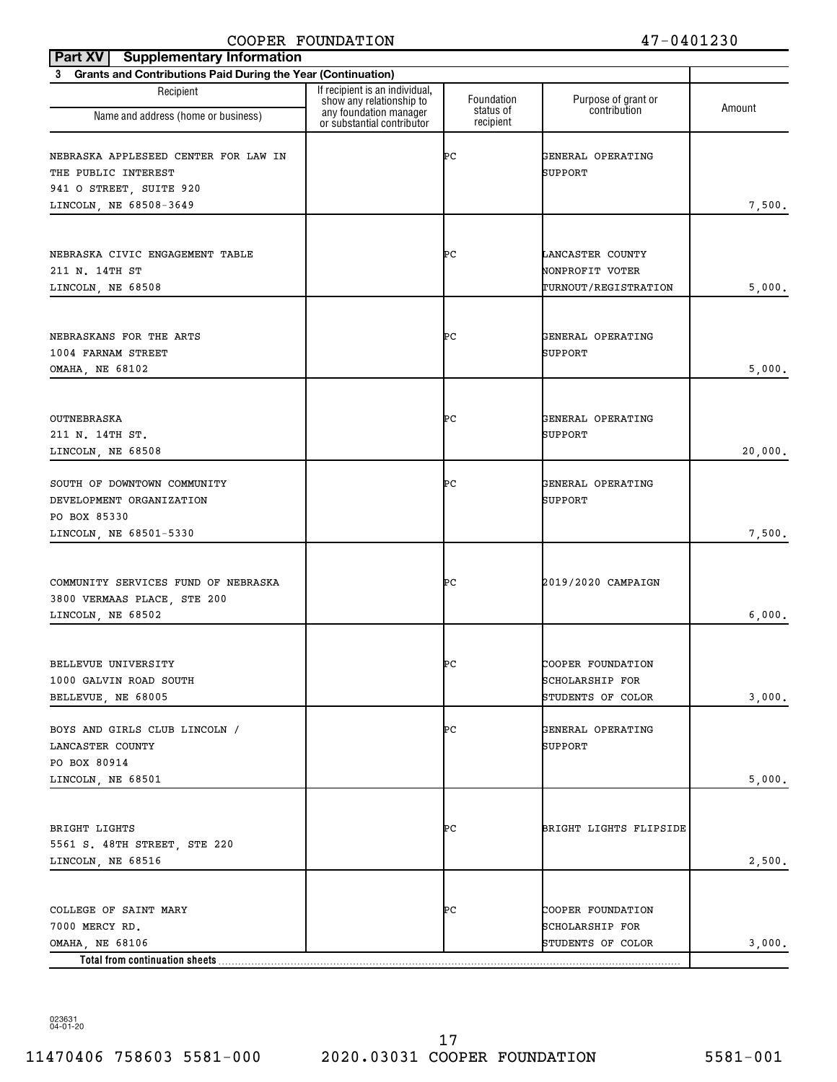| Part XV<br><b>Supplementary Information</b>                                 |                                                            |                        |                                     |         |
|-----------------------------------------------------------------------------|------------------------------------------------------------|------------------------|-------------------------------------|---------|
| Grants and Contributions Paid During the Year (Continuation)<br>$3^{\circ}$ |                                                            |                        |                                     |         |
| Recipient                                                                   | If recipient is an individual,<br>show any relationship to | Foundation             | Purpose of grant or<br>contribution | Amount  |
| Name and address (home or business)                                         | any foundation manager<br>or substantial contributor       | status of<br>recipient |                                     |         |
| NEBRASKA APPLESEED CENTER FOR LAW IN                                        |                                                            | ÞС                     | GENERAL OPERATING                   |         |
| THE PUBLIC INTEREST                                                         |                                                            |                        | SUPPORT                             |         |
| 941 O STREET, SUITE 920                                                     |                                                            |                        |                                     |         |
| LINCOLN, NE 68508-3649                                                      |                                                            |                        |                                     | 7,500.  |
|                                                                             |                                                            |                        |                                     |         |
| NEBRASKA CIVIC ENGAGEMENT TABLE                                             |                                                            | ÞС                     | LANCASTER COUNTY                    |         |
| 211 N. 14TH ST                                                              |                                                            |                        | NONPROFIT VOTER                     |         |
| LINCOLN, NE 68508                                                           |                                                            |                        | <b>TURNOUT/REGISTRATION</b>         | 5,000.  |
| NEBRASKANS FOR THE ARTS                                                     |                                                            | ÞС                     | GENERAL OPERATING                   |         |
| 1004 FARNAM STREET                                                          |                                                            |                        | SUPPORT                             |         |
| OMAHA, NE 68102                                                             |                                                            |                        |                                     | 5,000.  |
|                                                                             |                                                            |                        |                                     |         |
| OUTNEBRASKA                                                                 |                                                            | ÞС                     | GENERAL OPERATING                   |         |
| 211 N. 14TH ST.                                                             |                                                            |                        | SUPPORT                             |         |
| LINCOLN, NE 68508                                                           |                                                            |                        |                                     | 20,000. |
| SOUTH OF DOWNTOWN COMMUNITY                                                 |                                                            | ÞС                     | GENERAL OPERATING                   |         |
| DEVELOPMENT ORGANIZATION                                                    |                                                            |                        | SUPPORT                             |         |
| PO BOX 85330                                                                |                                                            |                        |                                     |         |
| LINCOLN, NE 68501-5330                                                      |                                                            |                        |                                     | 7,500.  |
|                                                                             |                                                            |                        |                                     |         |
| COMMUNITY SERVICES FUND OF NEBRASKA                                         |                                                            | ÞС                     | 2019/2020 CAMPAIGN                  |         |
| 3800 VERMAAS PLACE, STE 200                                                 |                                                            |                        |                                     |         |
| LINCOLN, NE 68502                                                           |                                                            |                        |                                     | 6,000.  |
|                                                                             |                                                            |                        |                                     |         |
| BELLEVUE UNIVERSITY                                                         |                                                            | ÞС                     | COOPER FOUNDATION                   |         |
| 1000 GALVIN ROAD SOUTH                                                      |                                                            |                        | SCHOLARSHIP FOR                     |         |
| BELLEVUE, NE 68005                                                          |                                                            |                        | STUDENTS OF COLOR                   | 3,000.  |
| BOYS AND GIRLS CLUB LINCOLN /                                               |                                                            | ÞС                     | GENERAL OPERATING                   |         |
| LANCASTER COUNTY                                                            |                                                            |                        | SUPPORT                             |         |
| PO BOX 80914                                                                |                                                            |                        |                                     |         |
| LINCOLN, NE 68501                                                           |                                                            |                        |                                     | 5,000.  |
|                                                                             |                                                            |                        |                                     |         |
| BRIGHT LIGHTS                                                               |                                                            | ÞС                     | BRIGHT LIGHTS FLIPSIDE              |         |
| 5561 S. 48TH STREET, STE 220                                                |                                                            |                        |                                     |         |
| LINCOLN, NE 68516                                                           |                                                            |                        |                                     | 2,500.  |
|                                                                             |                                                            |                        |                                     |         |
| COLLEGE OF SAINT MARY                                                       |                                                            | ÞС                     | COOPER FOUNDATION                   |         |
| 7000 MERCY RD.                                                              |                                                            |                        | SCHOLARSHIP FOR                     |         |
| OMAHA, NE 68106                                                             |                                                            |                        | STUDENTS OF COLOR                   | 3,000.  |
| Total from continuation sheets                                              |                                                            |                        |                                     |         |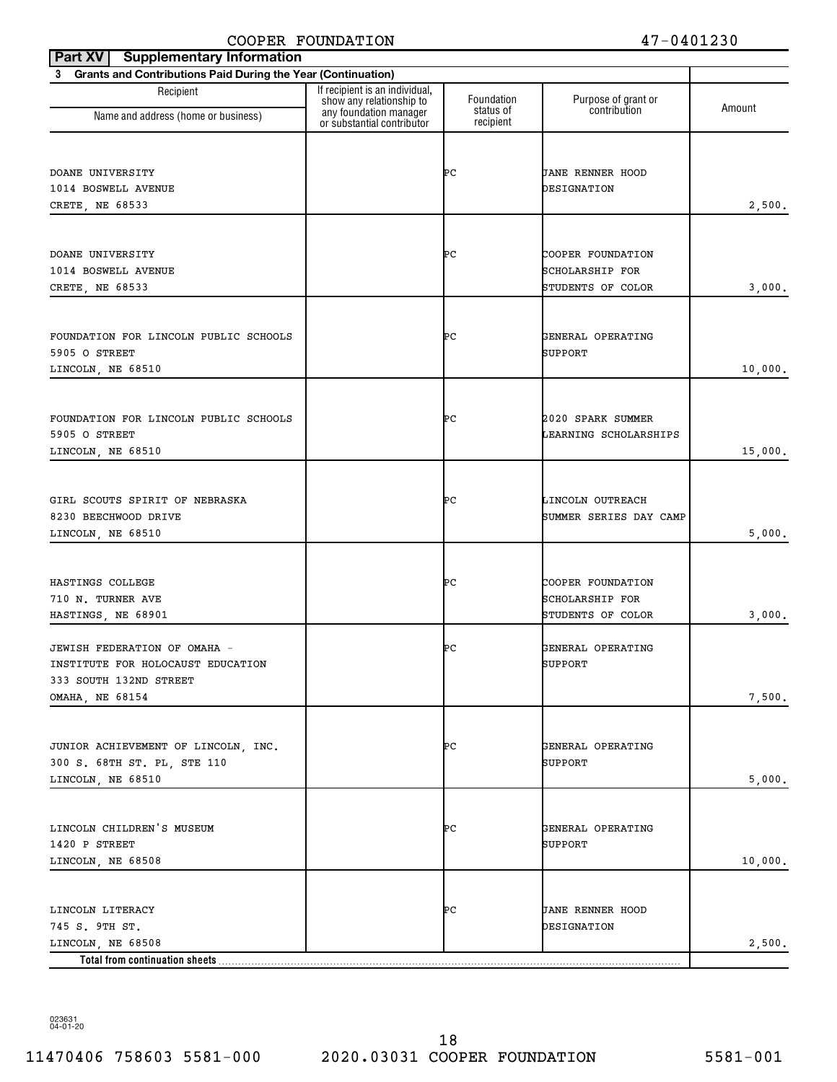| Part XV<br><b>Supplementary Information</b>                    |                                                            |                         |                                      |         |  |  |
|----------------------------------------------------------------|------------------------------------------------------------|-------------------------|--------------------------------------|---------|--|--|
| 3 Grants and Contributions Paid During the Year (Continuation) |                                                            |                         |                                      |         |  |  |
| Recipient                                                      | If recipient is an individual,<br>show any relationship to | Foundation<br>status of | Purpose of grant or<br>contribution  | Amount  |  |  |
| Name and address (home or business)                            | any foundation manager<br>or substantial contributor       | recipient               |                                      |         |  |  |
|                                                                |                                                            |                         |                                      |         |  |  |
| DOANE UNIVERSITY                                               |                                                            | ÞС                      | <b>JANE RENNER HOOD</b>              |         |  |  |
| 1014 BOSWELL AVENUE<br>CRETE, NE 68533                         |                                                            |                         | DESIGNATION                          |         |  |  |
|                                                                |                                                            |                         |                                      | 2,500.  |  |  |
| DOANE UNIVERSITY                                               |                                                            | ÞС                      |                                      |         |  |  |
| 1014 BOSWELL AVENUE                                            |                                                            |                         | COOPER FOUNDATION<br>SCHOLARSHIP FOR |         |  |  |
| CRETE, NE 68533                                                |                                                            |                         | STUDENTS OF COLOR                    | 3,000.  |  |  |
|                                                                |                                                            |                         |                                      |         |  |  |
| FOUNDATION FOR LINCOLN PUBLIC SCHOOLS                          |                                                            | ÞС                      | GENERAL OPERATING                    |         |  |  |
| 5905 O STREET                                                  |                                                            |                         | SUPPORT                              |         |  |  |
| LINCOLN, NE 68510                                              |                                                            |                         |                                      | 10,000. |  |  |
|                                                                |                                                            |                         |                                      |         |  |  |
| FOUNDATION FOR LINCOLN PUBLIC SCHOOLS                          |                                                            | ÞС                      | 2020 SPARK SUMMER                    |         |  |  |
| 5905 O STREET                                                  |                                                            |                         | LEARNING SCHOLARSHIPS                |         |  |  |
| LINCOLN, NE 68510                                              |                                                            |                         |                                      | 15,000. |  |  |
|                                                                |                                                            |                         |                                      |         |  |  |
| GIRL SCOUTS SPIRIT OF NEBRASKA                                 |                                                            | ÞС                      | LINCOLN OUTREACH                     |         |  |  |
| 8230 BEECHWOOD DRIVE<br>LINCOLN, NE 68510                      |                                                            |                         | SUMMER SERIES DAY CAMP               | 5,000.  |  |  |
|                                                                |                                                            |                         |                                      |         |  |  |
| HASTINGS COLLEGE                                               |                                                            | ÞС                      | COOPER FOUNDATION                    |         |  |  |
| 710 N. TURNER AVE                                              |                                                            |                         | SCHOLARSHIP FOR                      |         |  |  |
| HASTINGS, NE 68901                                             |                                                            |                         | STUDENTS OF COLOR                    | 3,000.  |  |  |
| JEWISH FEDERATION OF OMAHA -                                   |                                                            | ÞС                      | GENERAL OPERATING                    |         |  |  |
| INSTITUTE FOR HOLOCAUST EDUCATION                              |                                                            |                         | SUPPORT                              |         |  |  |
| 333 SOUTH 132ND STREET                                         |                                                            |                         |                                      |         |  |  |
| OMAHA, NE 68154                                                |                                                            |                         |                                      | 7,500.  |  |  |
|                                                                |                                                            |                         |                                      |         |  |  |
| JUNIOR ACHIEVEMENT OF LINCOLN, INC.                            |                                                            | ÞС                      | GENERAL OPERATING                    |         |  |  |
| 300 S. 68TH ST. PL, STE 110                                    |                                                            |                         | SUPPORT                              |         |  |  |
| LINCOLN, NE 68510                                              |                                                            |                         |                                      | 5,000.  |  |  |
|                                                                |                                                            |                         |                                      |         |  |  |
| LINCOLN CHILDREN'S MUSEUM<br>1420 P STREET                     |                                                            | ÞС                      | GENERAL OPERATING<br>SUPPORT         |         |  |  |
| LINCOLN, NE 68508                                              |                                                            |                         |                                      | 10,000. |  |  |
|                                                                |                                                            |                         |                                      |         |  |  |
| LINCOLN LITERACY                                               |                                                            | ÞС                      | <b>JANE RENNER HOOD</b>              |         |  |  |
| 745 S. 9TH ST.                                                 |                                                            |                         | DESIGNATION                          |         |  |  |
| LINCOLN, NE 68508                                              |                                                            |                         |                                      | 2,500.  |  |  |
| Total from continuation sheets                                 |                                                            |                         |                                      |         |  |  |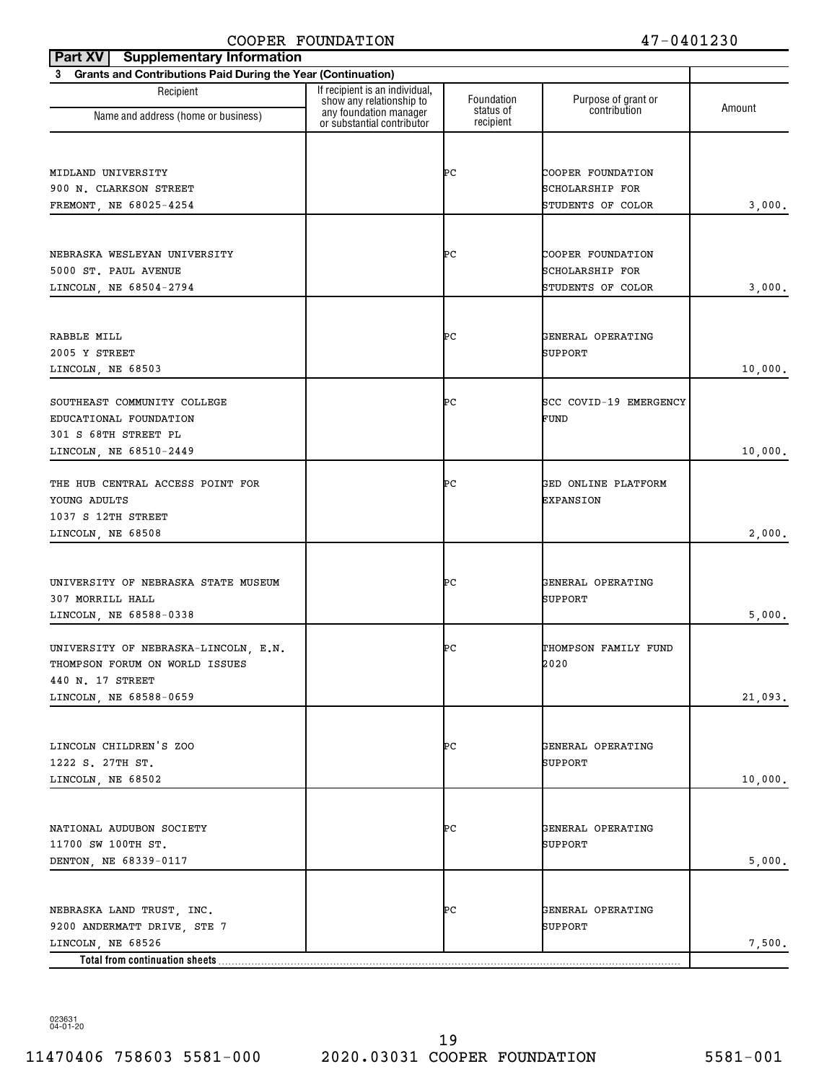| <b>Supplementary Information</b><br>Part XV                    |                                                                                      |                         |                                     |         |
|----------------------------------------------------------------|--------------------------------------------------------------------------------------|-------------------------|-------------------------------------|---------|
| 3 Grants and Contributions Paid During the Year (Continuation) |                                                                                      |                         |                                     |         |
| Recipient                                                      | If recipient is an individual,<br>show any relationship to<br>any foundation manager | Foundation<br>status of | Purpose of grant or<br>contribution | Amount  |
| Name and address (home or business)                            | or substantial contributor                                                           | recipient               |                                     |         |
|                                                                |                                                                                      |                         |                                     |         |
| MIDLAND UNIVERSITY                                             |                                                                                      | ÞС                      | COOPER FOUNDATION                   |         |
| 900 N. CLARKSON STREET                                         |                                                                                      |                         | SCHOLARSHIP FOR                     |         |
| FREMONT, NE 68025-4254                                         |                                                                                      |                         | STUDENTS OF COLOR                   | 3,000.  |
|                                                                |                                                                                      |                         |                                     |         |
| NEBRASKA WESLEYAN UNIVERSITY                                   |                                                                                      | ÞС                      | COOPER FOUNDATION                   |         |
| 5000 ST. PAUL AVENUE                                           |                                                                                      |                         | SCHOLARSHIP FOR                     |         |
| LINCOLN, NE 68504-2794                                         |                                                                                      |                         | STUDENTS OF COLOR                   | 3,000.  |
|                                                                |                                                                                      |                         |                                     |         |
| RABBLE MILL                                                    |                                                                                      | ÞС                      | GENERAL OPERATING                   |         |
| 2005 Y STREET                                                  |                                                                                      |                         | SUPPORT                             |         |
| LINCOLN, NE 68503                                              |                                                                                      |                         |                                     | 10,000. |
| SOUTHEAST COMMUNITY COLLEGE                                    |                                                                                      | ÞС                      | SCC COVID-19 EMERGENCY              |         |
| EDUCATIONAL FOUNDATION                                         |                                                                                      |                         | FUND                                |         |
| 301 S 68TH STREET PL                                           |                                                                                      |                         |                                     |         |
| LINCOLN, NE 68510-2449                                         |                                                                                      |                         |                                     | 10,000. |
| THE HUB CENTRAL ACCESS POINT FOR                               |                                                                                      | ÞС                      | GED ONLINE PLATFORM                 |         |
| YOUNG ADULTS                                                   |                                                                                      |                         | <b>EXPANSION</b>                    |         |
| 1037 S 12TH STREET                                             |                                                                                      |                         |                                     |         |
| LINCOLN, NE 68508                                              |                                                                                      |                         |                                     | 2,000.  |
|                                                                |                                                                                      |                         |                                     |         |
| UNIVERSITY OF NEBRASKA STATE MUSEUM                            |                                                                                      | ÞС                      | GENERAL OPERATING                   |         |
| 307 MORRILL HALL                                               |                                                                                      |                         | SUPPORT                             |         |
| LINCOLN, NE 68588-0338                                         |                                                                                      |                         |                                     | 5,000.  |
| UNIVERSITY OF NEBRASKA-LINCOLN, E.N.                           |                                                                                      | ÞС                      | THOMPSON FAMILY FUND                |         |
| THOMPSON FORUM ON WORLD ISSUES                                 |                                                                                      |                         | 2020                                |         |
| 440 N. 17 STREET                                               |                                                                                      |                         |                                     |         |
| LINCOLN, NE 68588-0659                                         |                                                                                      |                         |                                     | 21,093. |
|                                                                |                                                                                      |                         |                                     |         |
| LINCOLN CHILDREN'S ZOO                                         |                                                                                      | ÞС                      | GENERAL OPERATING                   |         |
| 1222 S. 27TH ST.                                               |                                                                                      |                         | SUPPORT                             |         |
| LINCOLN, NE 68502                                              |                                                                                      |                         |                                     | 10,000. |
|                                                                |                                                                                      |                         |                                     |         |
| NATIONAL AUDUBON SOCIETY                                       |                                                                                      | ÞС                      | GENERAL OPERATING                   |         |
| 11700 SW 100TH ST.                                             |                                                                                      |                         | SUPPORT                             |         |
| DENTON, NE 68339-0117                                          |                                                                                      |                         |                                     | 5,000.  |
|                                                                |                                                                                      |                         |                                     |         |
| NEBRASKA LAND TRUST, INC.                                      |                                                                                      | ÞС                      | GENERAL OPERATING                   |         |
| 9200 ANDERMATT DRIVE, STE 7                                    |                                                                                      |                         | SUPPORT                             |         |
| LINCOLN, NE 68526                                              |                                                                                      |                         |                                     | 7,500.  |
| Total from continuation sheets                                 |                                                                                      |                         |                                     |         |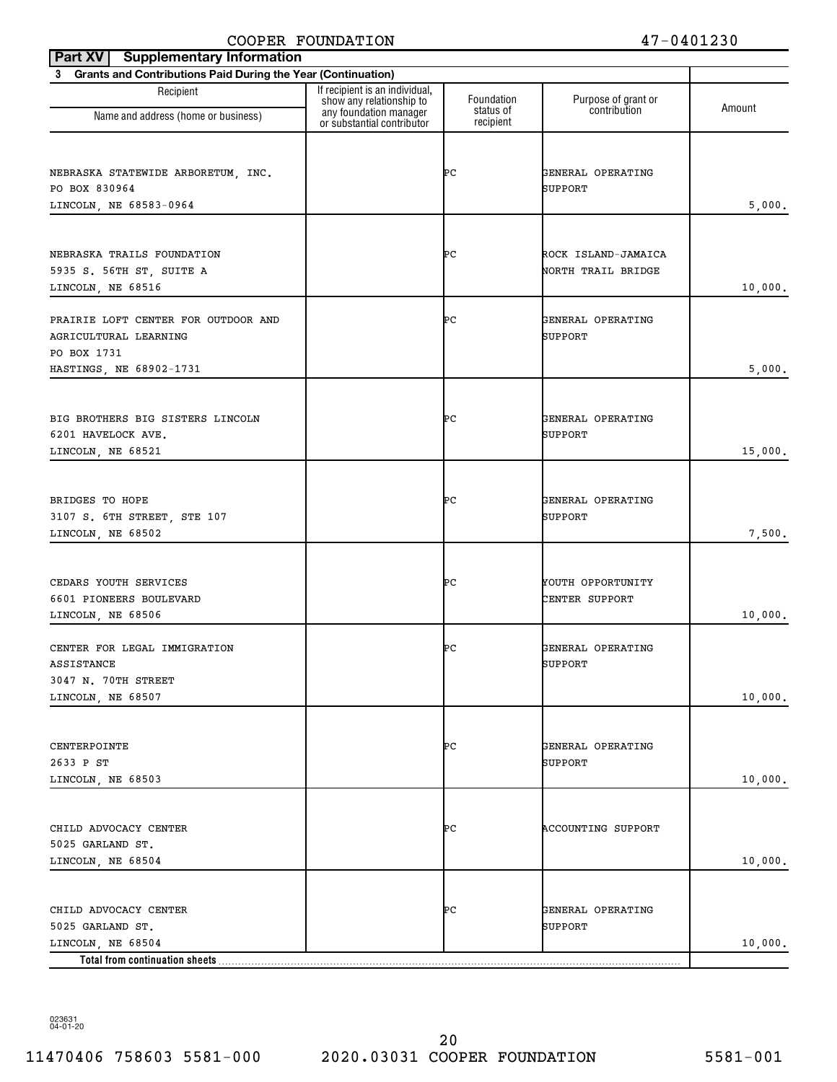| <b>Supplementary Information</b><br>Part XV                    |                                                                                      |                         |                                     |         |
|----------------------------------------------------------------|--------------------------------------------------------------------------------------|-------------------------|-------------------------------------|---------|
| 3 Grants and Contributions Paid During the Year (Continuation) |                                                                                      |                         |                                     |         |
| Recipient<br>Name and address (home or business)               | If recipient is an individual,<br>show any relationship to<br>any foundation manager | Foundation<br>status of | Purpose of grant or<br>contribution | Amount  |
|                                                                | or substantial contributor                                                           | recipient               |                                     |         |
|                                                                |                                                                                      |                         |                                     |         |
| NEBRASKA STATEWIDE ARBORETUM, INC.                             |                                                                                      | ÞС                      | GENERAL OPERATING                   |         |
| PO BOX 830964                                                  |                                                                                      |                         | <b>SUPPORT</b>                      |         |
| LINCOLN, NE 68583-0964                                         |                                                                                      |                         |                                     | 5,000.  |
|                                                                |                                                                                      |                         |                                     |         |
| NEBRASKA TRAILS FOUNDATION                                     |                                                                                      | ÞС                      | ROCK ISLAND-JAMAICA                 |         |
| 5935 S. 56TH ST, SUITE A                                       |                                                                                      |                         | NORTH TRAIL BRIDGE                  |         |
| LINCOLN, NE 68516                                              |                                                                                      |                         |                                     | 10,000. |
|                                                                |                                                                                      |                         |                                     |         |
| PRAIRIE LOFT CENTER FOR OUTDOOR AND                            |                                                                                      | ÞС                      | GENERAL OPERATING                   |         |
| AGRICULTURAL LEARNING                                          |                                                                                      |                         | <b>SUPPORT</b>                      |         |
| PO BOX 1731<br>HASTINGS, NE 68902-1731                         |                                                                                      |                         |                                     | 5,000.  |
|                                                                |                                                                                      |                         |                                     |         |
|                                                                |                                                                                      |                         |                                     |         |
| BIG BROTHERS BIG SISTERS LINCOLN                               |                                                                                      | ÞС                      | GENERAL OPERATING                   |         |
| 6201 HAVELOCK AVE.                                             |                                                                                      |                         | SUPPORT                             |         |
| LINCOLN, NE 68521                                              |                                                                                      |                         |                                     | 15,000. |
|                                                                |                                                                                      |                         |                                     |         |
| BRIDGES TO HOPE                                                |                                                                                      | ÞС                      | GENERAL OPERATING                   |         |
| 3107 S. 6TH STREET, STE 107                                    |                                                                                      |                         | SUPPORT                             |         |
| LINCOLN, NE 68502                                              |                                                                                      |                         |                                     | 7,500.  |
|                                                                |                                                                                      |                         |                                     |         |
| CEDARS YOUTH SERVICES                                          |                                                                                      | ÞС                      | YOUTH OPPORTUNITY                   |         |
| 6601 PIONEERS BOULEVARD                                        |                                                                                      |                         | CENTER SUPPORT                      |         |
| LINCOLN, NE 68506                                              |                                                                                      |                         |                                     | 10,000. |
|                                                                |                                                                                      |                         |                                     |         |
| CENTER FOR LEGAL IMMIGRATION                                   |                                                                                      | ÞС                      | GENERAL OPERATING                   |         |
| ASSISTANCE                                                     |                                                                                      |                         | SUPPORT                             |         |
| 3047 N. 70TH STREET<br>LINCOLN, NE 68507                       |                                                                                      |                         |                                     | 10,000. |
|                                                                |                                                                                      |                         |                                     |         |
|                                                                |                                                                                      |                         |                                     |         |
| CENTERPOINTE                                                   |                                                                                      | ÞС                      | GENERAL OPERATING                   |         |
| 2633 P ST                                                      |                                                                                      |                         | SUPPORT                             |         |
| LINCOLN, NE 68503                                              |                                                                                      |                         |                                     | 10,000. |
|                                                                |                                                                                      |                         |                                     |         |
| CHILD ADVOCACY CENTER                                          |                                                                                      | ÞС                      | ACCOUNTING SUPPORT                  |         |
| 5025 GARLAND ST.                                               |                                                                                      |                         |                                     |         |
| LINCOLN, NE 68504                                              |                                                                                      |                         |                                     | 10,000. |
|                                                                |                                                                                      |                         |                                     |         |
| CHILD ADVOCACY CENTER                                          |                                                                                      | ÞС                      | GENERAL OPERATING                   |         |
| 5025 GARLAND ST.                                               |                                                                                      |                         | SUPPORT                             |         |
| LINCOLN, NE 68504                                              |                                                                                      |                         |                                     | 10,000. |
| Total from continuation sheets                                 |                                                                                      |                         |                                     |         |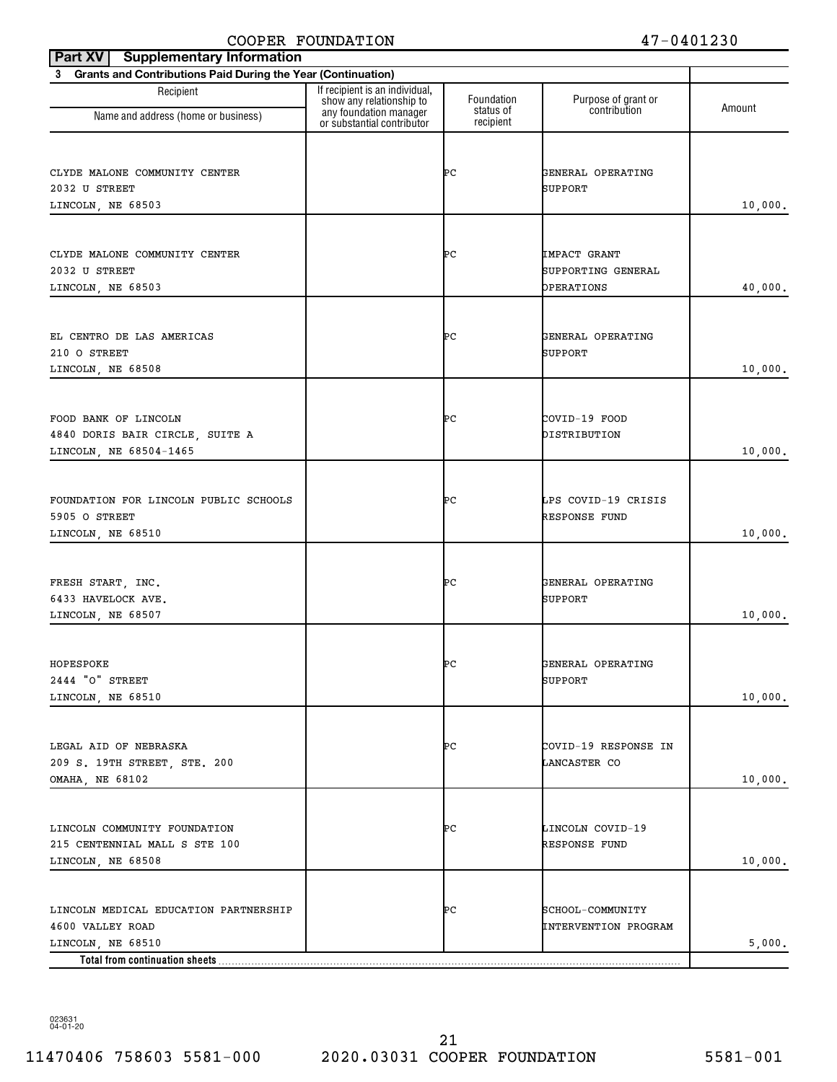| <b>Supplementary Information</b><br>Part XV                                                                      |                                                            |                         |                                                         |         |
|------------------------------------------------------------------------------------------------------------------|------------------------------------------------------------|-------------------------|---------------------------------------------------------|---------|
| 3 Grants and Contributions Paid During the Year (Continuation)                                                   |                                                            |                         |                                                         |         |
| Recipient                                                                                                        | If recipient is an individual,<br>show any relationship to | Foundation<br>status of | Purpose of grant or<br>contribution                     | Amount  |
| Name and address (home or business)                                                                              | any foundation manager<br>or substantial contributor       | recipient               |                                                         |         |
| CLYDE MALONE COMMUNITY CENTER<br>2032 U STREET<br>LINCOLN, NE 68503                                              |                                                            | ÞС                      | GENERAL OPERATING<br><b>SUPPORT</b>                     | 10,000. |
| CLYDE MALONE COMMUNITY CENTER<br>2032 U STREET<br>LINCOLN, NE 68503                                              |                                                            | ÞС                      | <b>IMPACT GRANT</b><br>SUPPORTING GENERAL<br>OPERATIONS | 40,000. |
| EL CENTRO DE LAS AMERICAS<br>210 O STREET<br>LINCOLN, NE 68508                                                   |                                                            | ÞС                      | GENERAL OPERATING<br><b>SUPPORT</b>                     | 10,000. |
| FOOD BANK OF LINCOLN<br>4840 DORIS BAIR CIRCLE, SUITE A<br>LINCOLN, NE 68504-1465                                |                                                            | ÞС                      | COVID-19 FOOD<br>DISTRIBUTION                           | 10,000. |
| FOUNDATION FOR LINCOLN PUBLIC SCHOOLS<br>5905 O STREET<br>LINCOLN, NE 68510                                      |                                                            | ÞС                      | LPS COVID-19 CRISIS<br><b>RESPONSE FUND</b>             | 10,000. |
| FRESH START, INC.<br>6433 HAVELOCK AVE.<br>LINCOLN, NE 68507                                                     |                                                            | ÞС                      | GENERAL OPERATING<br><b>SUPPORT</b>                     | 10,000. |
| HOPESPOKE<br>2444 "O" STREET<br>LINCOLN, NE 68510                                                                |                                                            | ÞС                      | GENERAL OPERATING<br>SUPPORT                            | 10,000. |
| LEGAL AID OF NEBRASKA<br>209 S. 19TH STREET, STE. 200<br>OMAHA, NE 68102                                         |                                                            | ÞС                      | COVID-19 RESPONSE IN<br>LANCASTER CO                    | 10,000. |
| LINCOLN COMMUNITY FOUNDATION<br>215 CENTENNIAL MALL S STE 100<br>LINCOLN, NE 68508                               |                                                            | ÞС                      | LINCOLN COVID-19<br><b>RESPONSE FUND</b>                | 10,000. |
| LINCOLN MEDICAL EDUCATION PARTNERSHIP<br>4600 VALLEY ROAD<br>LINCOLN, NE 68510<br>Total from continuation sheets |                                                            | ÞС                      | SCHOOL-COMMUNITY<br><b>INTERVENTION PROGRAM</b>         | 5,000.  |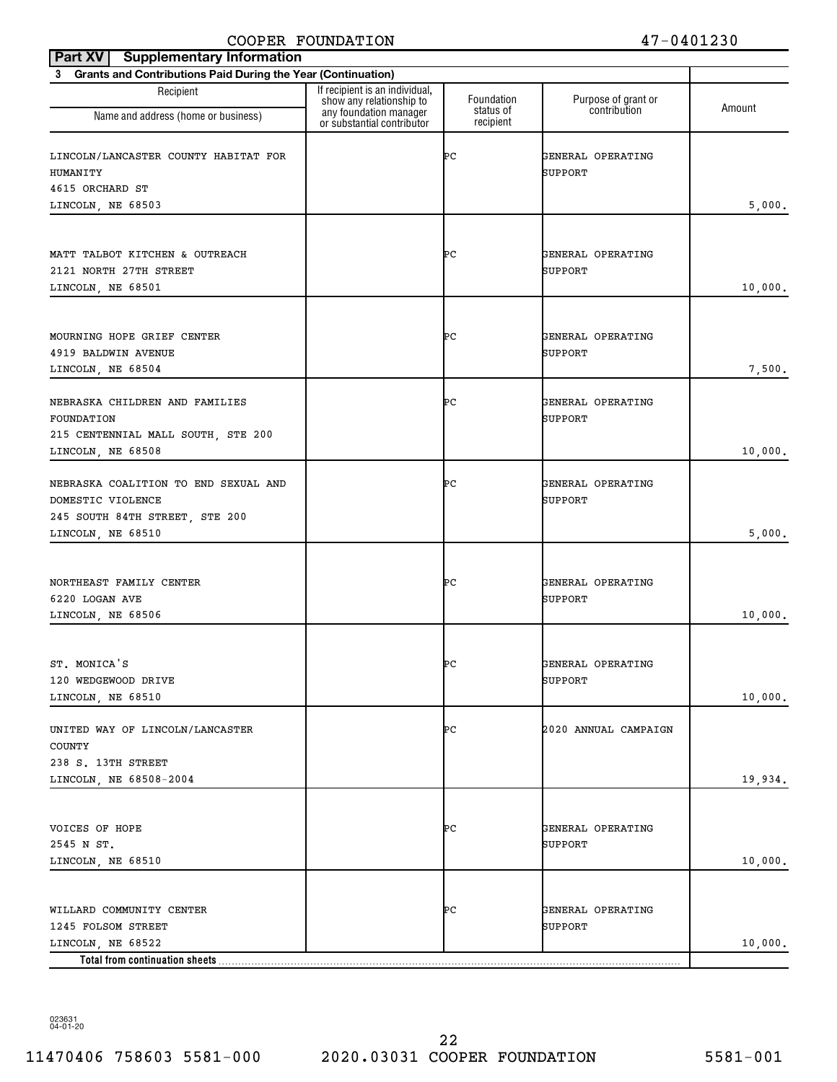| Part XV   Supplementary Information                            |                                                                                      |                         |                                     |         |
|----------------------------------------------------------------|--------------------------------------------------------------------------------------|-------------------------|-------------------------------------|---------|
| 3 Grants and Contributions Paid During the Year (Continuation) |                                                                                      |                         |                                     |         |
| Recipient                                                      | If recipient is an individual,<br>show any relationship to<br>any foundation manager | Foundation<br>status of | Purpose of grant or<br>contribution | Amount  |
| Name and address (home or business)                            | or substantial contributor                                                           | recipient               |                                     |         |
| LINCOLN/LANCASTER COUNTY HABITAT FOR                           |                                                                                      | ÞС                      | GENERAL OPERATING                   |         |
| HUMANITY                                                       |                                                                                      |                         | SUPPORT                             |         |
| 4615 ORCHARD ST                                                |                                                                                      |                         |                                     |         |
| LINCOLN, NE 68503                                              |                                                                                      |                         |                                     | 5,000.  |
|                                                                |                                                                                      |                         |                                     |         |
| MATT TALBOT KITCHEN & OUTREACH                                 |                                                                                      | ÞС                      | GENERAL OPERATING                   |         |
| 2121 NORTH 27TH STREET                                         |                                                                                      |                         | SUPPORT                             |         |
| LINCOLN, NE 68501                                              |                                                                                      |                         |                                     | 10,000. |
|                                                                |                                                                                      |                         |                                     |         |
| MOURNING HOPE GRIEF CENTER<br>4919 BALDWIN AVENUE              |                                                                                      | ÞС                      | GENERAL OPERATING<br>SUPPORT        |         |
| LINCOLN, NE 68504                                              |                                                                                      |                         |                                     | 7,500.  |
| NEBRASKA CHILDREN AND FAMILIES                                 |                                                                                      | ÞС                      | GENERAL OPERATING                   |         |
| FOUNDATION                                                     |                                                                                      |                         | SUPPORT                             |         |
| 215 CENTENNIAL MALL SOUTH, STE 200                             |                                                                                      |                         |                                     |         |
| LINCOLN, NE 68508                                              |                                                                                      |                         |                                     | 10,000. |
| NEBRASKA COALITION TO END SEXUAL AND                           |                                                                                      | ÞС                      | GENERAL OPERATING                   |         |
| DOMESTIC VIOLENCE                                              |                                                                                      |                         | SUPPORT                             |         |
| 245 SOUTH 84TH STREET, STE 200                                 |                                                                                      |                         |                                     |         |
| LINCOLN, NE 68510                                              |                                                                                      |                         |                                     | 5,000.  |
|                                                                |                                                                                      |                         |                                     |         |
| NORTHEAST FAMILY CENTER                                        |                                                                                      | ÞС                      | GENERAL OPERATING                   |         |
| 6220 LOGAN AVE                                                 |                                                                                      |                         | <b>SUPPORT</b>                      |         |
| LINCOLN, NE 68506                                              |                                                                                      |                         |                                     | 10,000. |
|                                                                |                                                                                      |                         |                                     |         |
| ST. MONICA'S                                                   |                                                                                      | ÞС                      | GENERAL OPERATING                   |         |
| 120 WEDGEWOOD DRIVE                                            |                                                                                      |                         | SUPPORT                             |         |
| LINCOLN, NE 68510                                              |                                                                                      |                         |                                     | 10,000. |
| UNITED WAY OF LINCOLN/LANCASTER                                |                                                                                      | ÞС                      | 2020 ANNUAL CAMPAIGN                |         |
| COUNTY                                                         |                                                                                      |                         |                                     |         |
| 238 S. 13TH STREET                                             |                                                                                      |                         |                                     |         |
| LINCOLN, NE 68508-2004                                         |                                                                                      |                         |                                     | 19,934. |
|                                                                |                                                                                      |                         |                                     |         |
| VOICES OF HOPE                                                 |                                                                                      | ÞС                      | GENERAL OPERATING                   |         |
| 2545 N ST.                                                     |                                                                                      |                         | SUPPORT                             |         |
| LINCOLN, NE 68510                                              |                                                                                      |                         |                                     | 10,000. |
|                                                                |                                                                                      |                         |                                     |         |
| WILLARD COMMUNITY CENTER<br>1245 FOLSOM STREET                 |                                                                                      | ÞС                      | GENERAL OPERATING<br>SUPPORT        |         |
| LINCOLN, NE 68522                                              |                                                                                      |                         |                                     | 10,000. |
| Total from continuation sheets                                 |                                                                                      |                         |                                     |         |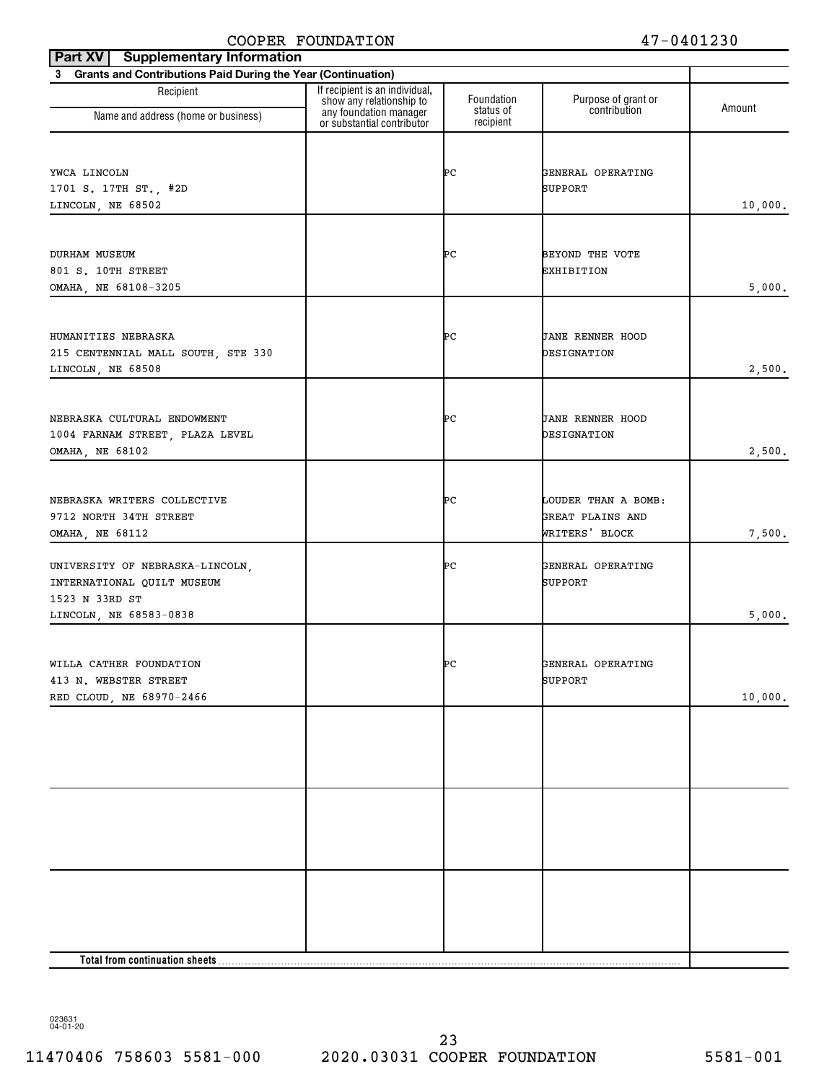| <b>Supplementary Information</b><br>Part XV                                       |                                                                                                                    |                         |                                                           |         |
|-----------------------------------------------------------------------------------|--------------------------------------------------------------------------------------------------------------------|-------------------------|-----------------------------------------------------------|---------|
| 3 Grants and Contributions Paid During the Year (Continuation)                    |                                                                                                                    |                         |                                                           |         |
| Recipient<br>Name and address (home or business)                                  | If recipient is an individual,<br>show any relationship to<br>any foundation manager<br>or substantial contributor | Foundation<br>status of | Purpose of grant or<br>contribution                       | Amount  |
|                                                                                   |                                                                                                                    | recipient               |                                                           |         |
| YWCA LINCOLN<br>1701 S. 17TH ST., #2D<br>LINCOLN, NE 68502                        |                                                                                                                    | ÞС                      | GENERAL OPERATING<br><b>SUPPORT</b>                       | 10,000. |
| <b>DURHAM MUSEUM</b><br>801 S. 10TH STREET<br>OMAHA, NE 68108-3205                |                                                                                                                    | ÞС                      | BEYOND THE VOTE<br><b>EXHIBITION</b>                      | 5,000.  |
| HUMANITIES NEBRASKA<br>215 CENTENNIAL MALL SOUTH, STE 330<br>LINCOLN, NE 68508    |                                                                                                                    | ÞС                      | <b>JANE RENNER HOOD</b><br>DESIGNATION                    | 2,500.  |
| NEBRASKA CULTURAL ENDOWMENT<br>1004 FARNAM STREET, PLAZA LEVEL<br>OMAHA, NE 68102 |                                                                                                                    | ÞС                      | <b>JANE RENNER HOOD</b><br>DESIGNATION                    | 2,500.  |
| NEBRASKA WRITERS COLLECTIVE<br>9712 NORTH 34TH STREET<br>OMAHA, NE 68112          |                                                                                                                    | ÞС                      | LOUDER THAN A BOMB:<br>GREAT PLAINS AND<br>WRITERS' BLOCK | 7,500.  |
| UNIVERSITY OF NEBRASKA-LINCOLN,<br>INTERNATIONAL QUILT MUSEUM<br>1523 N 33RD ST   |                                                                                                                    | ÞС                      | GENERAL OPERATING<br><b>SUPPORT</b>                       |         |
| LINCOLN, NE 68583-0838                                                            |                                                                                                                    |                         |                                                           | 5,000.  |
| WILLA CATHER FOUNDATION<br>413 N. WEBSTER STREET<br>RED CLOUD, NE 68970-2466      |                                                                                                                    | ÞС                      | GENERAL OPERATING<br><b>SUPPORT</b>                       | 10,000. |
|                                                                                   |                                                                                                                    |                         |                                                           |         |
|                                                                                   |                                                                                                                    |                         |                                                           |         |
|                                                                                   |                                                                                                                    |                         |                                                           |         |
|                                                                                   |                                                                                                                    |                         |                                                           |         |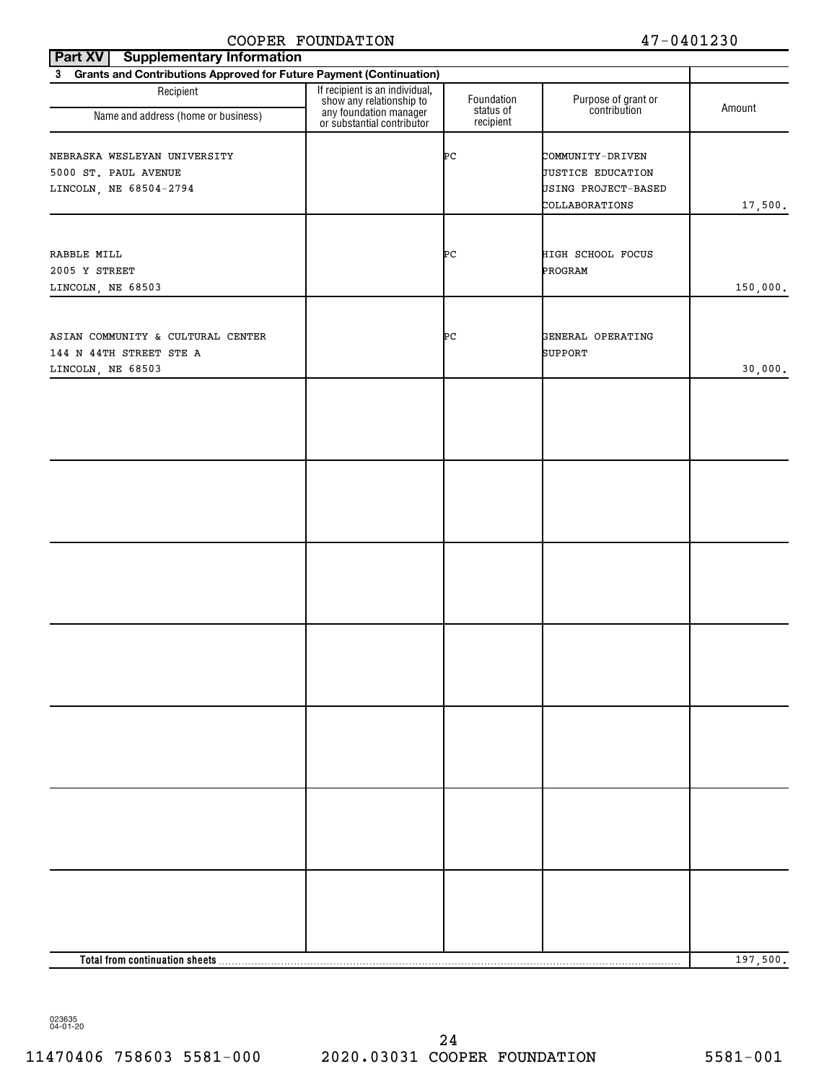| <b>Supplementary Information</b><br><b>Part XV</b>                                |                                                                                                                    |                        |                                                                                       |          |
|-----------------------------------------------------------------------------------|--------------------------------------------------------------------------------------------------------------------|------------------------|---------------------------------------------------------------------------------------|----------|
| 3 Grants and Contributions Approved for Future Payment (Continuation)             |                                                                                                                    |                        |                                                                                       |          |
| Recipient                                                                         | If recipient is an individual,<br>show any relationship to<br>any foundation manager<br>or substantial contributor | Foundation             | Purpose of grant or<br>contribution                                                   | Amount   |
| Name and address (home or business)                                               |                                                                                                                    | status of<br>recipient |                                                                                       |          |
| NEBRASKA WESLEYAN UNIVERSITY<br>5000 ST. PAUL AVENUE<br>LINCOLN, NE 68504-2794    |                                                                                                                    | ÞС                     | COMMUNITY-DRIVEN<br><b>JUSTICE EDUCATION</b><br>USING PROJECT-BASED<br>COLLABORATIONS | 17,500.  |
|                                                                                   |                                                                                                                    |                        |                                                                                       |          |
| RABBLE MILL<br>2005 Y STREET<br>LINCOLN, NE 68503                                 |                                                                                                                    | ÞС                     | HIGH SCHOOL FOCUS<br>PROGRAM                                                          | 150,000. |
|                                                                                   |                                                                                                                    |                        |                                                                                       |          |
| ASIAN COMMUNITY & CULTURAL CENTER<br>144 N 44TH STREET STE A<br>LINCOLN, NE 68503 |                                                                                                                    | ÞС                     | GENERAL OPERATING<br>SUPPORT                                                          | 30,000.  |
|                                                                                   |                                                                                                                    |                        |                                                                                       |          |
|                                                                                   |                                                                                                                    |                        |                                                                                       |          |
|                                                                                   |                                                                                                                    |                        |                                                                                       |          |
|                                                                                   |                                                                                                                    |                        |                                                                                       |          |
|                                                                                   |                                                                                                                    |                        |                                                                                       |          |
|                                                                                   |                                                                                                                    |                        |                                                                                       |          |
|                                                                                   |                                                                                                                    |                        |                                                                                       |          |
|                                                                                   |                                                                                                                    |                        |                                                                                       |          |
|                                                                                   |                                                                                                                    |                        |                                                                                       |          |
|                                                                                   |                                                                                                                    |                        |                                                                                       |          |
|                                                                                   |                                                                                                                    |                        |                                                                                       |          |
|                                                                                   |                                                                                                                    |                        |                                                                                       |          |
|                                                                                   |                                                                                                                    |                        |                                                                                       |          |
|                                                                                   |                                                                                                                    |                        |                                                                                       |          |
|                                                                                   |                                                                                                                    |                        |                                                                                       |          |
| Total from continuation sheets                                                    |                                                                                                                    |                        |                                                                                       | 197,500. |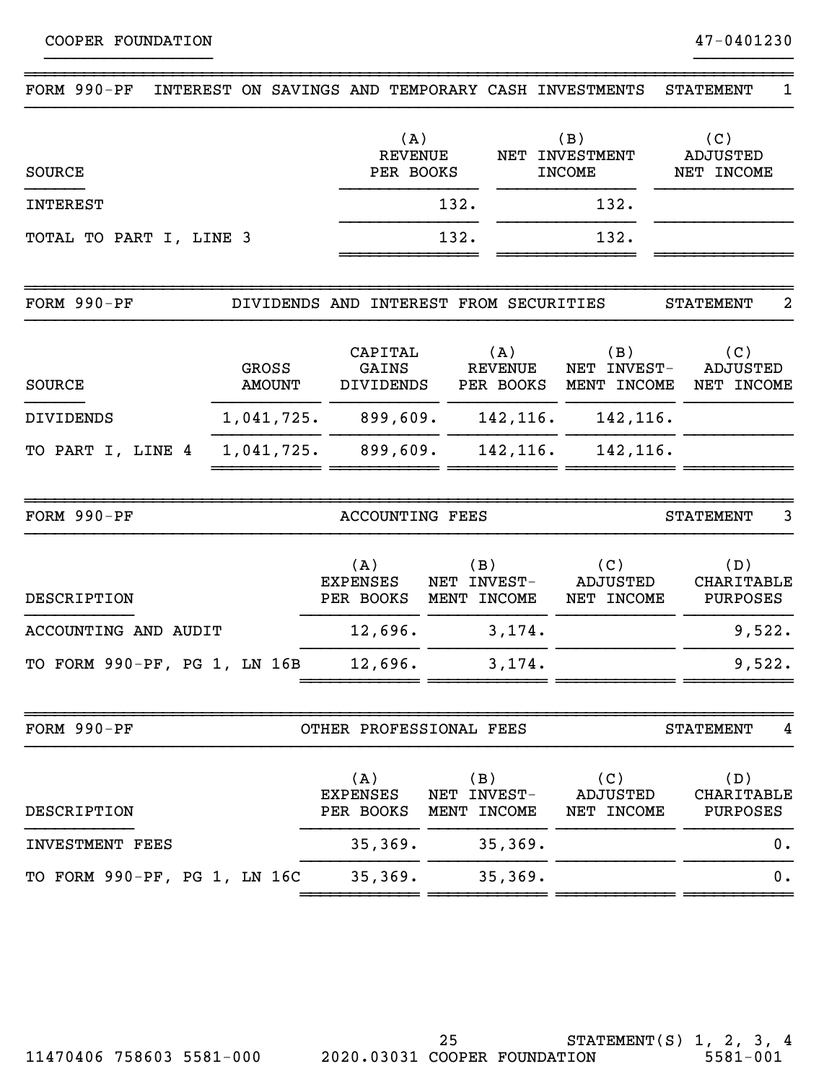| FORM 990-PF                  | INTEREST ON SAVINGS AND TEMPORARY CASH INVESTMENTS |                                     |                                      |      |                                    |                                           | <b>STATEMENT</b><br>1                |
|------------------------------|----------------------------------------------------|-------------------------------------|--------------------------------------|------|------------------------------------|-------------------------------------------|--------------------------------------|
| <b>SOURCE</b>                |                                                    |                                     | (A)<br><b>REVENUE</b><br>PER BOOKS   |      | NET                                | (B)<br><b>INVESTMENT</b><br><b>INCOME</b> | (C)<br><b>ADJUSTED</b><br>NET INCOME |
| <b>INTEREST</b>              |                                                    |                                     |                                      | 132. |                                    | 132.                                      |                                      |
| TOTAL TO PART I, LINE 3      |                                                    |                                     |                                      | 132. |                                    | 132.                                      |                                      |
| FORM $990-PF$                | DIVIDENDS AND INTEREST FROM SECURITIES             |                                     |                                      |      |                                    |                                           | 2<br><b>STATEMENT</b>                |
| <b>SOURCE</b>                | GROSS<br><b>AMOUNT</b>                             |                                     | CAPITAL<br>GAINS<br><b>DIVIDENDS</b> |      | (A)<br><b>REVENUE</b><br>PER BOOKS | (B)<br>NET INVEST-<br>MENT INCOME         | (C)<br><b>ADJUSTED</b><br>NET INCOME |
| <b>DIVIDENDS</b>             | 1,041,725.                                         |                                     | 899,609.                             |      | 142, 116.                          | 142, 116.                                 |                                      |
| TO PART I, LINE 4            | 1,041,725.                                         |                                     | 899,609.                             |      | 142,116.                           | 142,116.                                  |                                      |
| FORM 990-PF                  |                                                    |                                     | <b>ACCOUNTING FEES</b>               |      |                                    |                                           | 3<br><b>STATEMENT</b>                |
| DESCRIPTION                  |                                                    | (A)<br><b>EXPENSES</b><br>PER BOOKS |                                      | (B)  | NET INVEST-<br>MENT INCOME         | (C)<br><b>ADJUSTED</b><br>NET INCOME      | (D)<br>CHARITABLE<br><b>PURPOSES</b> |
| ACCOUNTING AND AUDIT         |                                                    |                                     | 12,696.                              |      | 3,174.                             |                                           | 9,522.                               |
| TO FORM 990-PF, PG 1, LN 16B |                                                    |                                     | 12,696.                              |      | 3,174.                             |                                           | 9,522.                               |
| FORM 990-PF                  |                                                    |                                     | OTHER PROFESSIONAL FEES              |      |                                    |                                           | <b>STATEMENT</b><br>4                |
| DESCRIPTION                  |                                                    | (A)<br><b>EXPENSES</b>              | PER BOOKS                            | (B)  | NET INVEST-<br>MENT INCOME         | (C)<br>ADJUSTED<br>NET INCOME             | (D)<br>CHARITABLE<br>PURPOSES        |
| INVESTMENT FEES              |                                                    |                                     | 35,369.                              |      | 35, 369.                           |                                           | 0.                                   |
| TO FORM 990-PF, PG 1, LN 16C |                                                    |                                     | 35,369.                              |      | 35,369.                            |                                           | $0$ .                                |
|                              |                                                    |                                     |                                      |      |                                    |                                           |                                      |

}}}}}}}}}}}}}}}}} }}}}}}}}}}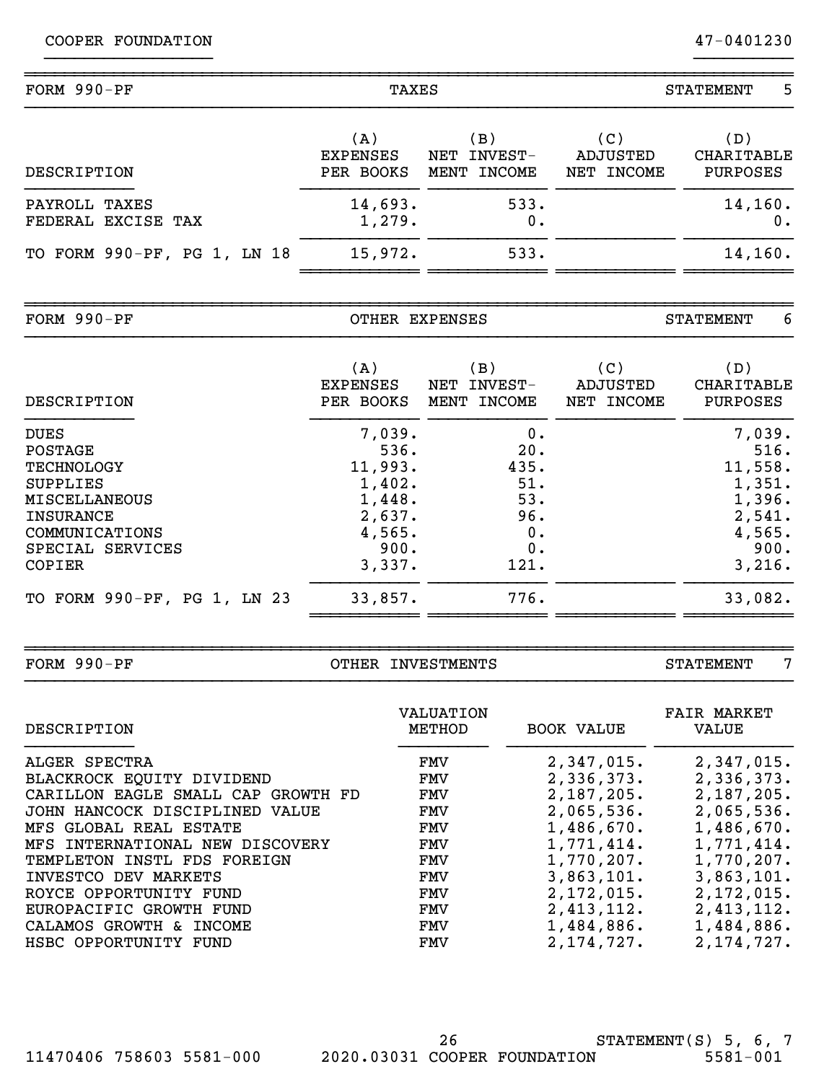| FORM 990-PF                         | TAXES                               |                                                        |                               | 5<br><b>STATEMENT</b>                       |  |  |
|-------------------------------------|-------------------------------------|--------------------------------------------------------|-------------------------------|---------------------------------------------|--|--|
| DESCRIPTION                         | (A)<br><b>EXPENSES</b><br>PER BOOKS | $\langle$ B $\rangle$<br>INVEST-<br>NET<br>MENT INCOME | (C)<br>ADJUSTED<br>NET INCOME | (D)<br><b>CHARITABLE</b><br><b>PURPOSES</b> |  |  |
| PAYROLL TAXES<br>FEDERAL EXCISE TAX | 14,693.<br>1,279.                   | 533.<br>0.                                             |                               | 14, 160.<br>0.                              |  |  |
| TO FORM 990-PF, PG 1, LN 18         | 15,972.                             | 533.                                                   |                               | 14, 160.                                    |  |  |

}}}}}}}}}}}}}}}}} }}}}}}}}}}

| $FORM 990-PF$                                                                                                                                                     | OTHER EXPENSES                                                                      |                                                            | <b>STATEMENT</b><br>6         |                                                                                     |
|-------------------------------------------------------------------------------------------------------------------------------------------------------------------|-------------------------------------------------------------------------------------|------------------------------------------------------------|-------------------------------|-------------------------------------------------------------------------------------|
| DESCRIPTION                                                                                                                                                       | (A)<br><b>EXPENSES</b><br>PER BOOKS                                                 | (B)<br>INVEST-<br>NET<br><b>INCOME</b><br>MENT             | (C)<br>ADJUSTED<br>NET INCOME | (D)<br>CHARITABLE<br>PURPOSES                                                       |
| <b>DUES</b><br>POSTAGE<br><b>TECHNOLOGY</b><br><b>SUPPLIES</b><br><b>MISCELLANEOUS</b><br><b>INSURANCE</b><br>COMMUNICATIONS<br>SPECIAL SERVICES<br><b>COPIER</b> | 7,039.<br>536.<br>11,993.<br>1,402.<br>1,448.<br>2,637.<br>4,565.<br>900.<br>3,337. | 0.<br>20.<br>435.<br>51.<br>53.<br>96.<br>0.<br>0.<br>121. |                               | 7,039.<br>516.<br>11,558.<br>1,351.<br>1,396.<br>2,541.<br>4,565.<br>900.<br>3,216. |
| FORM 990-PF, PG 1, LN 23<br>TO                                                                                                                                    | 33,857.                                                                             | 776.                                                       |                               | 33,082.                                                                             |

| $FORM 990-PF$                                                                                                                                                                                                                                                       | OTHER INVESTMENTS                                                  |                                                                                                                            | 7<br><b>STATEMENT</b>                                                                                                        |
|---------------------------------------------------------------------------------------------------------------------------------------------------------------------------------------------------------------------------------------------------------------------|--------------------------------------------------------------------|----------------------------------------------------------------------------------------------------------------------------|------------------------------------------------------------------------------------------------------------------------------|
| DESCRIPTION                                                                                                                                                                                                                                                         | VALUATION<br>METHOD                                                | <b>BOOK VALUE</b>                                                                                                          | <b>FAIR MARKET</b><br>VALUE                                                                                                  |
| ALGER SPECTRA<br>BLACKROCK EQUITY DIVIDEND<br>CARILLON EAGLE SMALL CAP<br>GROWTH FD<br>JOHN HANCOCK DISCIPLINED VALUE<br>MFS GLOBAL REAL ESTATE<br>MFS INTERNATIONAL NEW DISCOVERY<br>TEMPLETON INSTL FDS FOREIGN<br>INVESTCO DEV MARKETS<br>ROYCE OPPORTUNITY FUND | FMV<br>FMV<br>FMV<br><b>FMV</b><br>FMV<br>FMV<br>FMV<br>FMV<br>FMV | 2,347,015.<br>2,336,373.<br>2,187,205.<br>2,065,536.<br>1,486,670.<br>1,771,414.<br>1,770,207.<br>3,863,101.<br>2,172,015. | 2,347,015.<br>2,336,373.<br>2,187,205.<br>2,065,536.<br>1,486,670.<br>1,771,414.<br>1,770,207.<br>3,863,101.<br>2, 172, 015. |
| EUROPACIFIC GROWTH FUND<br>CALAMOS GROWTH & INCOME<br>HSBC OPPORTUNITY FUND                                                                                                                                                                                         | FMV<br>FMV<br>FMV                                                  | 2,413,112.<br>1,484,886.<br>2, 174, 727.                                                                                   | 2, 413, 112.<br>1,484,886.<br>2, 174, 727.                                                                                   |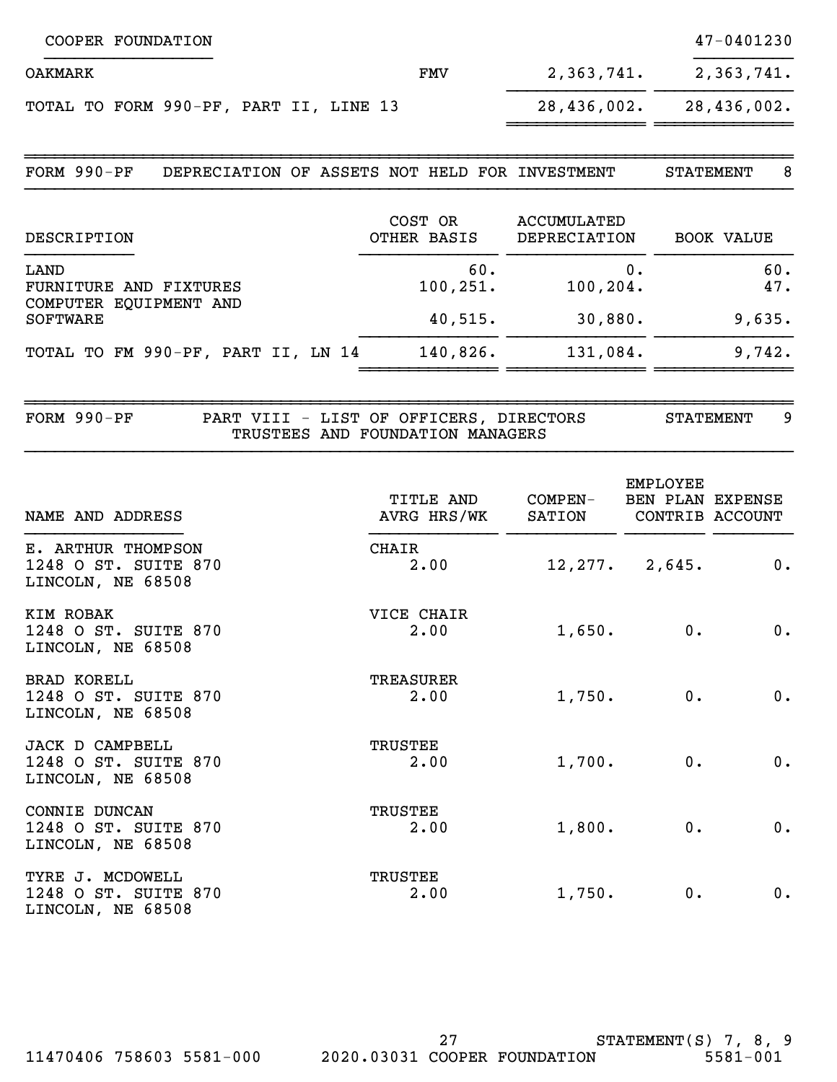| COOPER FOUNDATION                                                   |                                                       |                                    |                 | 47-0401230                                |
|---------------------------------------------------------------------|-------------------------------------------------------|------------------------------------|-----------------|-------------------------------------------|
| <b>OAKMARK</b>                                                      | <b>FMV</b>                                            | 2,363,741.                         |                 | 2,363,741.                                |
| TOTAL TO FORM 990-PF, PART II, LINE 13                              |                                                       | 28,436,002.                        |                 | 28,436,002.                               |
| FORM $990-PF$<br>DEPRECIATION OF ASSETS NOT HELD FOR INVESTMENT     |                                                       |                                    |                 | <b>STATEMENT</b><br>8                     |
| DESCRIPTION                                                         | COST OR<br>OTHER BASIS                                | <b>ACCUMULATED</b><br>DEPRECIATION |                 | <b>BOOK VALUE</b>                         |
| LAND<br>FURNITURE AND FIXTURES<br>COMPUTER EQUIPMENT AND            | 60.<br>100, 251.                                      | 100, 204.                          | 0.              | 60.<br>47.                                |
| <b>SOFTWARE</b>                                                     | 40,515.                                               | 30,880.                            |                 | 9,635.                                    |
| TOTAL TO FM 990-PF, PART II, LN 14                                  | 140,826.                                              | 131,084.                           |                 | 9,742.                                    |
| FORM 990-PF<br>PART VIII - LIST OF OFFICERS, DIRECTORS              | TRUSTEES AND FOUNDATION MANAGERS<br>TITLE AND COMPEN- |                                    | <b>EMPLOYEE</b> | <b>STATEMENT</b><br>9<br>BEN PLAN EXPENSE |
| NAME AND ADDRESS                                                    | AVRG HRS/WK                                           | SATION                             |                 | CONTRIB ACCOUNT                           |
| E. ARTHUR THOMPSON<br>1248 O ST. SUITE 870<br>LINCOLN, NE 68508     | <b>CHAIR</b><br>2.00                                  |                                    | 12,277.2,645.   | 0.                                        |
| KIM ROBAK<br>1248 O ST. SUITE 870<br>LINCOLN, NE 68508              | VICE CHAIR<br>2.00                                    | 1,650.                             | 0.              | 0.                                        |
| <b>BRAD KORELL</b><br>1248 O ST. SUITE 870<br>LINCOLN, NE 68508     | <b>TREASURER</b><br>2.00                              | 1,750.                             | 0.              | 0.                                        |
| <b>JACK D CAMPBELL</b><br>1248 O ST. SUITE 870<br>LINCOLN, NE 68508 | TRUSTEE<br>2.00                                       | 1,700.                             | 0.              | 0.                                        |
| CONNIE DUNCAN<br>1248 O ST. SUITE 870<br>LINCOLN, NE 68508          | TRUSTEE<br>2.00                                       | 1,800.                             | 0.              | 0.                                        |
| TYRE J. MCDOWELL<br>1248 O ST. SUITE 870<br>LINCOLN, NE 68508       | TRUSTEE<br>2.00                                       | 1,750.                             | 0.              | 0.                                        |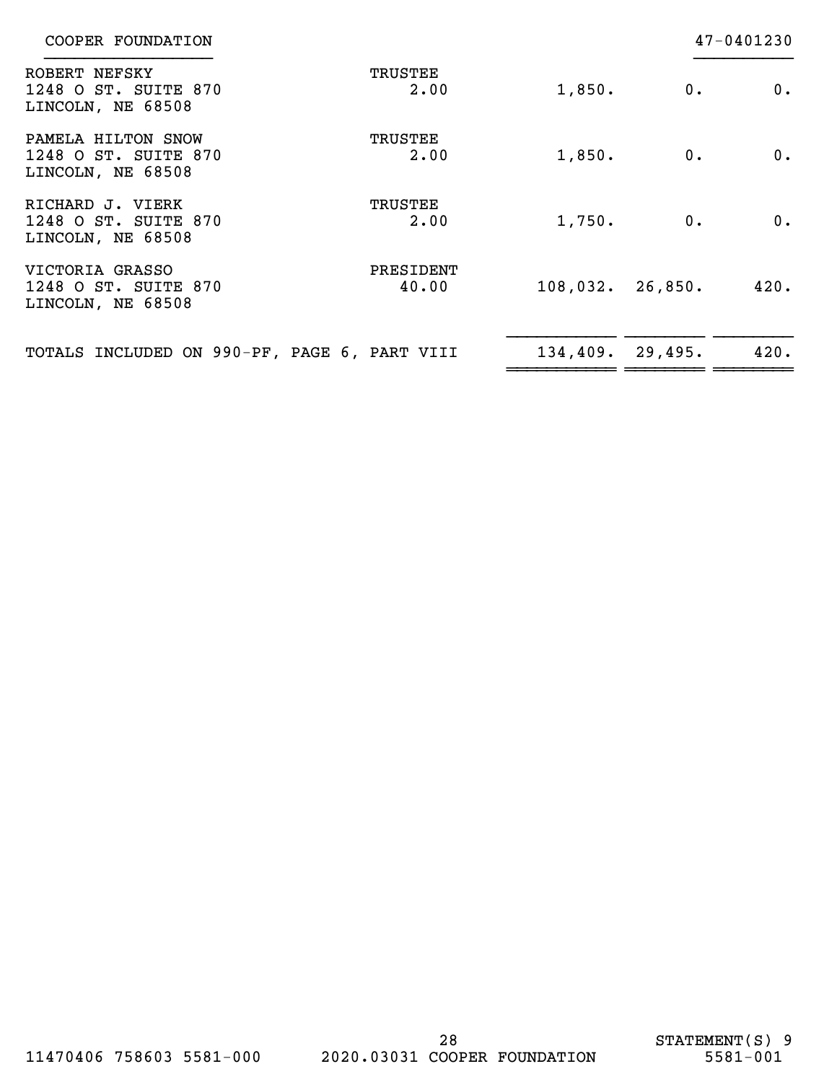| COOPER FOUNDATION                                               |                        |                     |       | 47-0401230 |
|-----------------------------------------------------------------|------------------------|---------------------|-------|------------|
| ROBERT NEFSKY<br>1248 O ST. SUITE 870<br>LINCOLN, NE 68508      | <b>TRUSTEE</b><br>2.00 | 1,850.              | $0$ . | $0$ .      |
| PAMELA HILTON SNOW<br>1248 O ST. SUITE 870<br>LINCOLN, NE 68508 | <b>TRUSTEE</b><br>2.00 | 1,850.              | 0.    | $0$ .      |
| RICHARD J. VIERK<br>1248 O ST. SUITE 870<br>LINCOLN, NE 68508   | <b>TRUSTEE</b><br>2.00 | 1,750.              | 0.    | $0$ .      |
| VICTORIA GRASSO<br>1248 O ST. SUITE 870<br>LINCOLN, NE 68508    | PRESIDENT<br>40.00     | $108,032.$ 26,850.  |       | 420.       |
| TOTALS INCLUDED ON 990-PF, PAGE 6, PART VIII                    |                        | $134,409$ . 29,495. |       | 420.       |